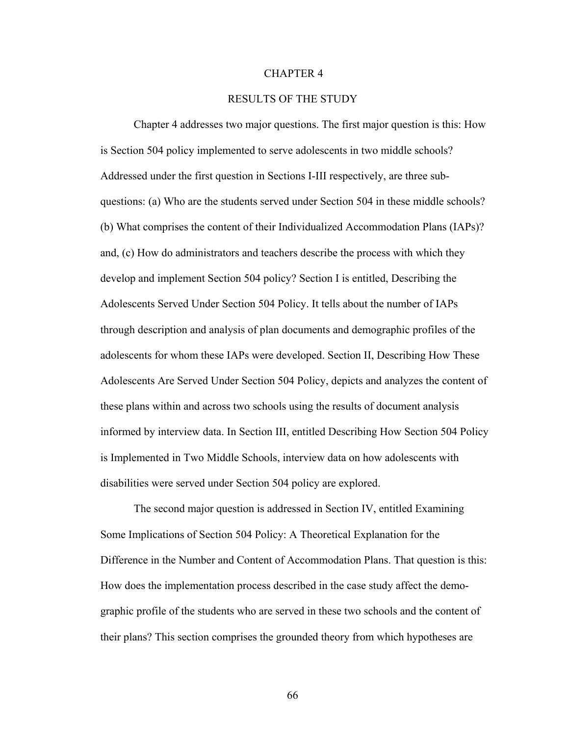#### CHAPTER 4

# RESULTS OF THE STUDY

Chapter 4 addresses two major questions. The first major question is this: How is Section 504 policy implemented to serve adolescents in two middle schools? Addressed under the first question in Sections I-III respectively, are three subquestions: (a) Who are the students served under Section 504 in these middle schools? (b) What comprises the content of their Individualized Accommodation Plans (IAPs)? and, (c) How do administrators and teachers describe the process with which they develop and implement Section 504 policy? Section I is entitled, Describing the Adolescents Served Under Section 504 Policy. It tells about the number of IAPs through description and analysis of plan documents and demographic profiles of the adolescents for whom these IAPs were developed. Section II, Describing How These Adolescents Are Served Under Section 504 Policy, depicts and analyzes the content of these plans within and across two schools using the results of document analysis informed by interview data. In Section III, entitled Describing How Section 504 Policy is Implemented in Two Middle Schools, interview data on how adolescents with disabilities were served under Section 504 policy are explored.

 The second major question is addressed in Section IV, entitled Examining Some Implications of Section 504 Policy: A Theoretical Explanation for the Difference in the Number and Content of Accommodation Plans. That question is this: How does the implementation process described in the case study affect the demographic profile of the students who are served in these two schools and the content of their plans? This section comprises the grounded theory from which hypotheses are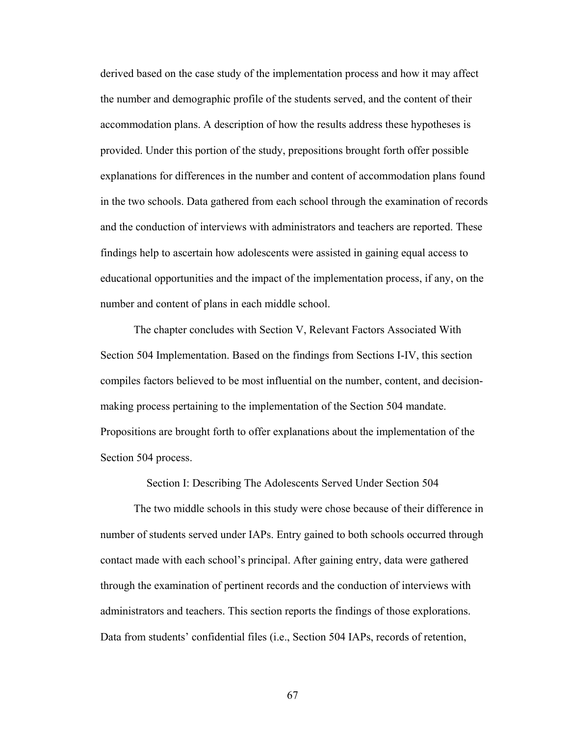derived based on the case study of the implementation process and how it may affect the number and demographic profile of the students served, and the content of their accommodation plans. A description of how the results address these hypotheses is provided. Under this portion of the study, prepositions brought forth offer possible explanations for differences in the number and content of accommodation plans found in the two schools. Data gathered from each school through the examination of records and the conduction of interviews with administrators and teachers are reported. These findings help to ascertain how adolescents were assisted in gaining equal access to educational opportunities and the impact of the implementation process, if any, on the number and content of plans in each middle school.

 The chapter concludes with Section V, Relevant Factors Associated With Section 504 Implementation. Based on the findings from Sections I-IV, this section compiles factors believed to be most influential on the number, content, and decisionmaking process pertaining to the implementation of the Section 504 mandate. Propositions are brought forth to offer explanations about the implementation of the Section 504 process.

Section I: Describing The Adolescents Served Under Section 504

 The two middle schools in this study were chose because of their difference in number of students served under IAPs. Entry gained to both schools occurred through contact made with each school's principal. After gaining entry, data were gathered through the examination of pertinent records and the conduction of interviews with administrators and teachers. This section reports the findings of those explorations. Data from students' confidential files (i.e., Section 504 IAPs, records of retention,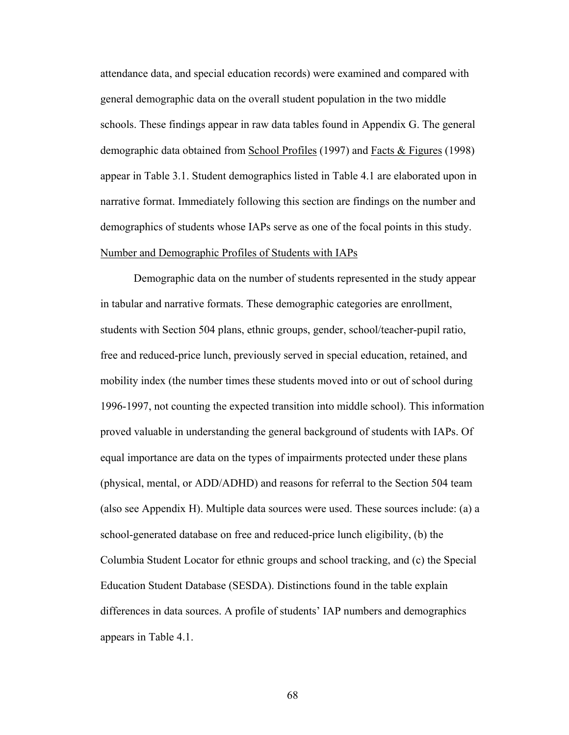attendance data, and special education records) were examined and compared with general demographic data on the overall student population in the two middle schools. These findings appear in raw data tables found in Appendix G. The general demographic data obtained from School Profiles (1997) and Facts & Figures (1998) appear in Table 3.1. Student demographics listed in Table 4.1 are elaborated upon in narrative format. Immediately following this section are findings on the number and demographics of students whose IAPs serve as one of the focal points in this study. Number and Demographic Profiles of Students with IAPs

 Demographic data on the number of students represented in the study appear in tabular and narrative formats. These demographic categories are enrollment, students with Section 504 plans, ethnic groups, gender, school/teacher-pupil ratio, free and reduced-price lunch, previously served in special education, retained, and mobility index (the number times these students moved into or out of school during 1996-1997, not counting the expected transition into middle school). This information proved valuable in understanding the general background of students with IAPs. Of equal importance are data on the types of impairments protected under these plans (physical, mental, or ADD/ADHD) and reasons for referral to the Section 504 team (also see Appendix H). Multiple data sources were used. These sources include: (a) a school-generated database on free and reduced-price lunch eligibility, (b) the Columbia Student Locator for ethnic groups and school tracking, and (c) the Special Education Student Database (SESDA). Distinctions found in the table explain differences in data sources. A profile of students' IAP numbers and demographics appears in Table 4.1.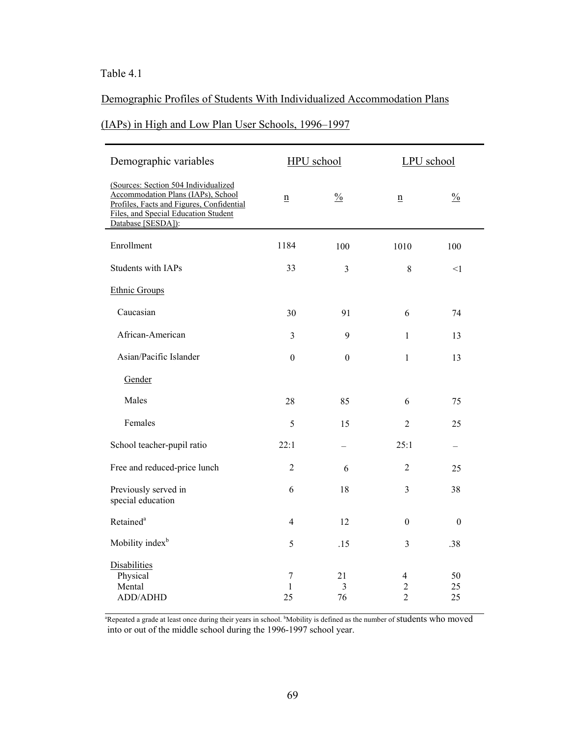# Table 4.1

# Demographic Profiles of Students With Individualized Accommodation Plans

# (IAPs) in High and Low Plan User Schools, 1996–1997

| Demographic variables                                                                                                                                                                 | HPU school                   |                                     | LPU school                                           |                |
|---------------------------------------------------------------------------------------------------------------------------------------------------------------------------------------|------------------------------|-------------------------------------|------------------------------------------------------|----------------|
| (Sources: Section 504 Individualized<br>Accommodation Plans (IAPs), School<br>Profiles, Facts and Figures, Confidential<br>Files, and Special Education Student<br>Database [SESDA]): | $\underline{n}$              | $\%$                                | n                                                    | $\%$           |
| Enrollment                                                                                                                                                                            | 1184                         | 100                                 | 1010                                                 | 100            |
| Students with IAPs                                                                                                                                                                    | 33                           | $\overline{3}$                      | 8                                                    | <1             |
| <b>Ethnic Groups</b>                                                                                                                                                                  |                              |                                     |                                                      |                |
| Caucasian                                                                                                                                                                             | 30                           | 91                                  | 6                                                    | 74             |
| African-American                                                                                                                                                                      | 3                            | 9                                   | $\mathbf{1}$                                         | 13             |
| Asian/Pacific Islander                                                                                                                                                                | $\boldsymbol{0}$             | $\boldsymbol{0}$                    | $\mathbf{1}$                                         | 13             |
| Gender                                                                                                                                                                                |                              |                                     |                                                      |                |
| Males                                                                                                                                                                                 | 28                           | 85                                  | 6                                                    | 75             |
| Females                                                                                                                                                                               | 5                            | 15                                  | $\overline{2}$                                       | 25             |
| School teacher-pupil ratio                                                                                                                                                            | 22:1                         |                                     | 25:1                                                 |                |
| Free and reduced-price lunch                                                                                                                                                          | $\overline{2}$               | 6                                   | $\overline{2}$                                       | 25             |
| Previously served in<br>special education                                                                                                                                             | 6                            | 18                                  | 3                                                    | 38             |
| Retained <sup>a</sup>                                                                                                                                                                 | $\overline{4}$               | 12                                  | $\theta$                                             | $\theta$       |
| Mobility index <sup>b</sup>                                                                                                                                                           | 5                            | .15                                 | 3                                                    | .38            |
| Disabilities<br>Physical<br>Mental<br>ADD/ADHD                                                                                                                                        | $\tau$<br>$\mathbf{1}$<br>25 | 21<br>$\overline{\mathbf{3}}$<br>76 | $\overline{4}$<br>$\boldsymbol{2}$<br>$\overline{2}$ | 50<br>25<br>25 |

<sup>a</sup>Repeated a grade at least once during their years in school. <sup>b</sup>Mobility is defined as the number of students who moved into or out of the middle school during the 1996-1997 school year.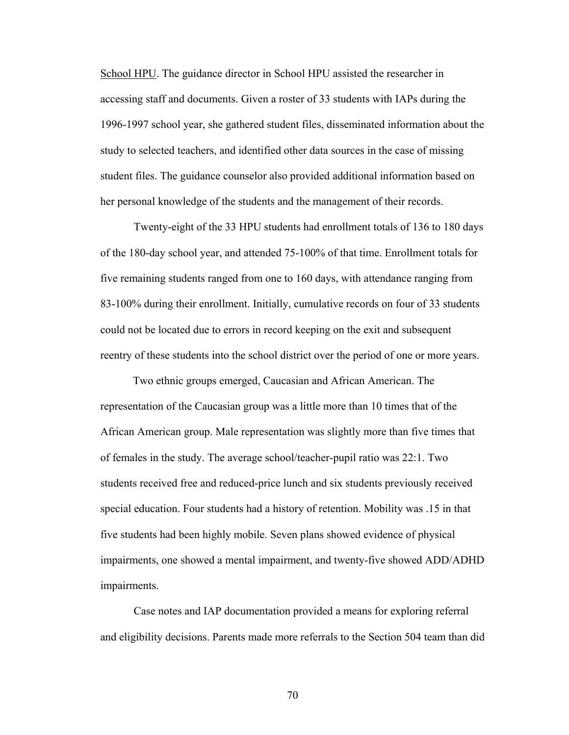School HPU. The guidance director in School HPU assisted the researcher in accessing staff and documents. Given a roster of 33 students with IAPs during the 1996-1997 school year, she gathered student files, disseminated information about the study to selected teachers, and identified other data sources in the case of missing student files. The guidance counselor also provided additional information based on her personal knowledge of the students and the management of their records.

 Twenty-eight of the 33 HPU students had enrollment totals of 136 to 180 days of the 180-day school year, and attended 75-100% of that time. Enrollment totals for five remaining students ranged from one to 160 days, with attendance ranging from 83-100% during their enrollment. Initially, cumulative records on four of 33 students could not be located due to errors in record keeping on the exit and subsequent reentry of these students into the school district over the period of one or more years.

 Two ethnic groups emerged, Caucasian and African American. The representation of the Caucasian group was a little more than 10 times that of the African American group. Male representation was slightly more than five times that of females in the study. The average school/teacher-pupil ratio was 22:1. Two students received free and reduced-price lunch and six students previously received special education. Four students had a history of retention. Mobility was .15 in that five students had been highly mobile. Seven plans showed evidence of physical impairments, one showed a mental impairment, and twenty-five showed ADD/ADHD impairments.

 Case notes and IAP documentation provided a means for exploring referral and eligibility decisions. Parents made more referrals to the Section 504 team than did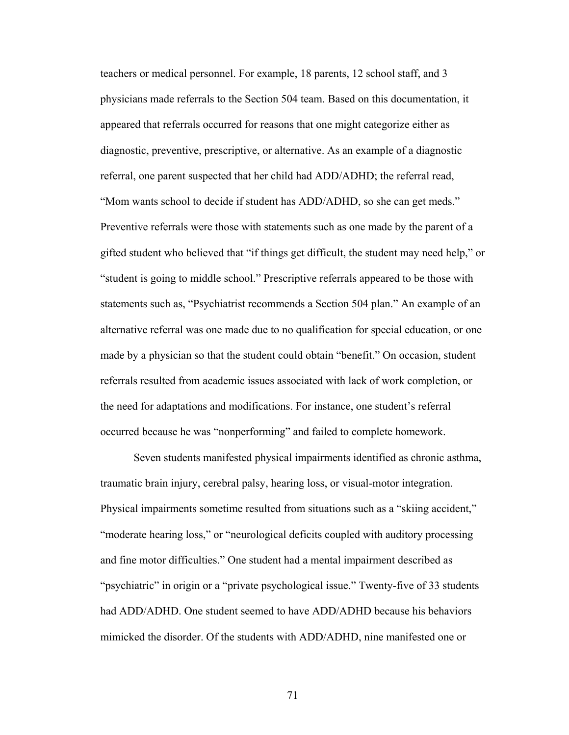teachers or medical personnel. For example, 18 parents, 12 school staff, and 3 physicians made referrals to the Section 504 team. Based on this documentation, it appeared that referrals occurred for reasons that one might categorize either as diagnostic, preventive, prescriptive, or alternative. As an example of a diagnostic referral, one parent suspected that her child had ADD/ADHD; the referral read, "Mom wants school to decide if student has ADD/ADHD, so she can get meds." Preventive referrals were those with statements such as one made by the parent of a gifted student who believed that "if things get difficult, the student may need help," or "student is going to middle school." Prescriptive referrals appeared to be those with statements such as, "Psychiatrist recommends a Section 504 plan." An example of an alternative referral was one made due to no qualification for special education, or one made by a physician so that the student could obtain "benefit." On occasion, student referrals resulted from academic issues associated with lack of work completion, or the need for adaptations and modifications. For instance, one student's referral occurred because he was "nonperforming" and failed to complete homework.

Seven students manifested physical impairments identified as chronic asthma, traumatic brain injury, cerebral palsy, hearing loss, or visual-motor integration. Physical impairments sometime resulted from situations such as a "skiing accident," "moderate hearing loss," or "neurological deficits coupled with auditory processing and fine motor difficulties." One student had a mental impairment described as "psychiatric" in origin or a "private psychological issue." Twenty-five of 33 students had ADD/ADHD. One student seemed to have ADD/ADHD because his behaviors mimicked the disorder. Of the students with ADD/ADHD, nine manifested one or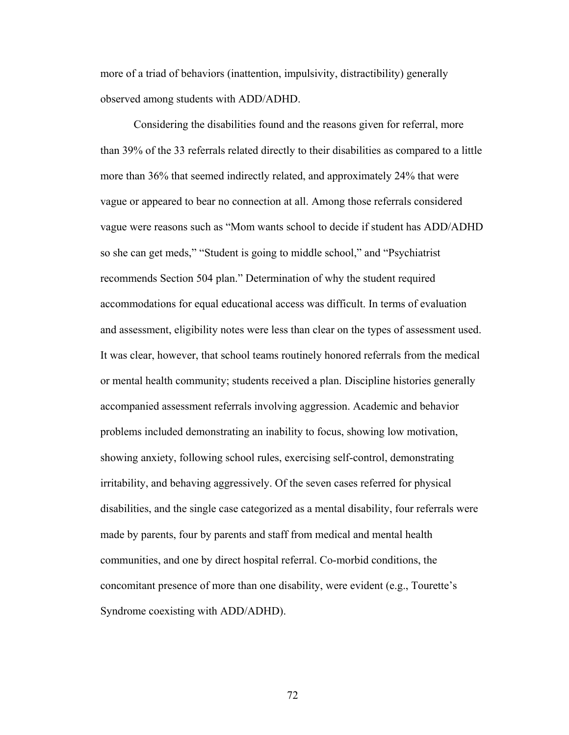more of a triad of behaviors (inattention, impulsivity, distractibility) generally observed among students with ADD/ADHD.

Considering the disabilities found and the reasons given for referral, more than 39% of the 33 referrals related directly to their disabilities as compared to a little more than 36% that seemed indirectly related, and approximately 24% that were vague or appeared to bear no connection at all. Among those referrals considered vague were reasons such as "Mom wants school to decide if student has ADD/ADHD so she can get meds," "Student is going to middle school," and "Psychiatrist recommends Section 504 plan." Determination of why the student required accommodations for equal educational access was difficult. In terms of evaluation and assessment, eligibility notes were less than clear on the types of assessment used. It was clear, however, that school teams routinely honored referrals from the medical or mental health community; students received a plan. Discipline histories generally accompanied assessment referrals involving aggression. Academic and behavior problems included demonstrating an inability to focus, showing low motivation, showing anxiety, following school rules, exercising self-control, demonstrating irritability, and behaving aggressively. Of the seven cases referred for physical disabilities, and the single case categorized as a mental disability, four referrals were made by parents, four by parents and staff from medical and mental health communities, and one by direct hospital referral. Co-morbid conditions, the concomitant presence of more than one disability, were evident (e.g., Tourette's Syndrome coexisting with ADD/ADHD).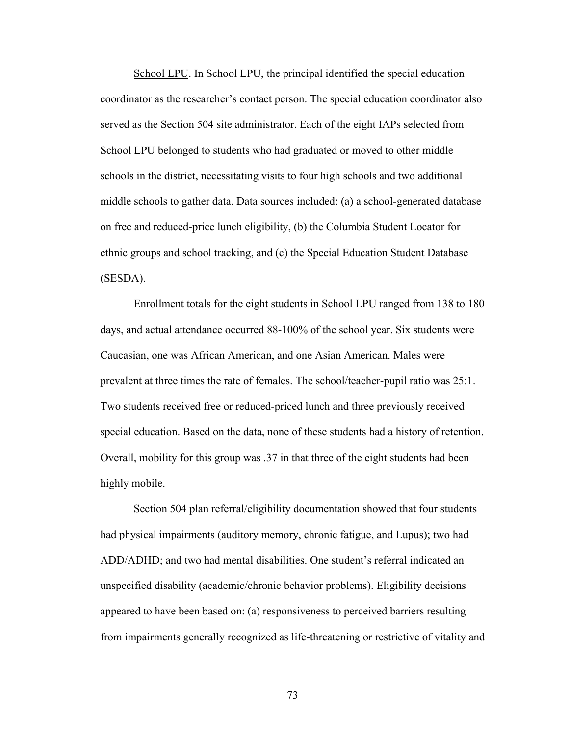School LPU. In School LPU, the principal identified the special education coordinator as the researcher's contact person. The special education coordinator also served as the Section 504 site administrator. Each of the eight IAPs selected from School LPU belonged to students who had graduated or moved to other middle schools in the district, necessitating visits to four high schools and two additional middle schools to gather data. Data sources included: (a) a school-generated database on free and reduced-price lunch eligibility, (b) the Columbia Student Locator for ethnic groups and school tracking, and (c) the Special Education Student Database (SESDA).

 Enrollment totals for the eight students in School LPU ranged from 138 to 180 days, and actual attendance occurred 88-100% of the school year. Six students were Caucasian, one was African American, and one Asian American. Males were prevalent at three times the rate of females. The school/teacher-pupil ratio was 25:1. Two students received free or reduced-priced lunch and three previously received special education. Based on the data, none of these students had a history of retention. Overall, mobility for this group was .37 in that three of the eight students had been highly mobile.

 Section 504 plan referral/eligibility documentation showed that four students had physical impairments (auditory memory, chronic fatigue, and Lupus); two had ADD/ADHD; and two had mental disabilities. One student's referral indicated an unspecified disability (academic/chronic behavior problems). Eligibility decisions appeared to have been based on: (a) responsiveness to perceived barriers resulting from impairments generally recognized as life-threatening or restrictive of vitality and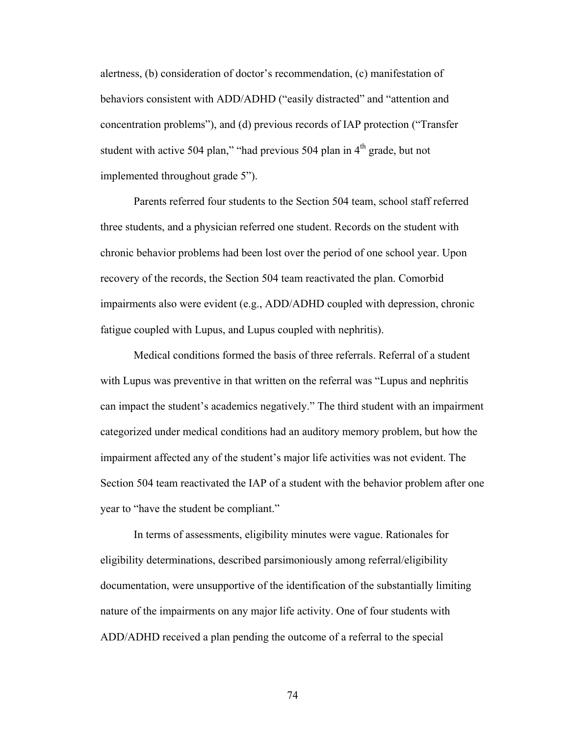alertness, (b) consideration of doctor's recommendation, (c) manifestation of behaviors consistent with ADD/ADHD ("easily distracted" and "attention and concentration problems"), and (d) previous records of IAP protection ("Transfer student with active 504 plan," "had previous 504 plan in  $4<sup>th</sup>$  grade, but not implemented throughout grade 5").

 Parents referred four students to the Section 504 team, school staff referred three students, and a physician referred one student. Records on the student with chronic behavior problems had been lost over the period of one school year. Upon recovery of the records, the Section 504 team reactivated the plan. Comorbid impairments also were evident (e.g., ADD/ADHD coupled with depression, chronic fatigue coupled with Lupus, and Lupus coupled with nephritis).

 Medical conditions formed the basis of three referrals. Referral of a student with Lupus was preventive in that written on the referral was "Lupus and nephritis" can impact the student's academics negatively." The third student with an impairment categorized under medical conditions had an auditory memory problem, but how the impairment affected any of the student's major life activities was not evident. The Section 504 team reactivated the IAP of a student with the behavior problem after one year to "have the student be compliant."

 In terms of assessments, eligibility minutes were vague. Rationales for eligibility determinations, described parsimoniously among referral/eligibility documentation, were unsupportive of the identification of the substantially limiting nature of the impairments on any major life activity. One of four students with ADD/ADHD received a plan pending the outcome of a referral to the special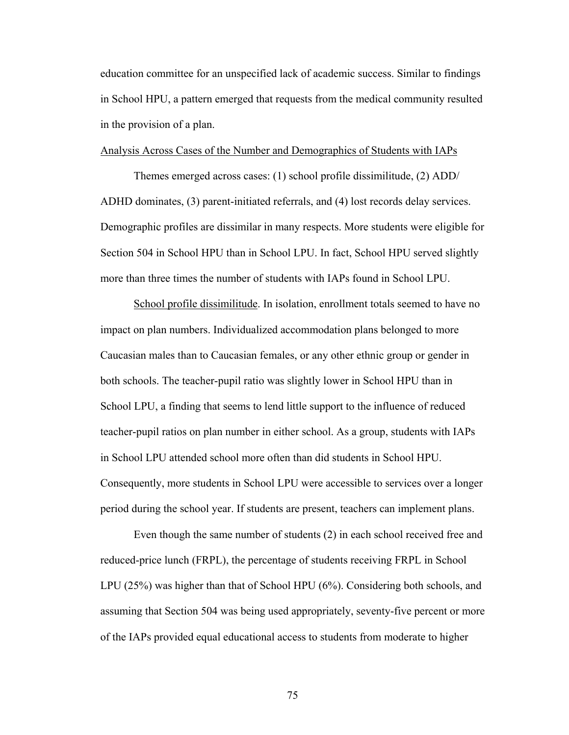education committee for an unspecified lack of academic success. Similar to findings in School HPU, a pattern emerged that requests from the medical community resulted in the provision of a plan.

### Analysis Across Cases of the Number and Demographics of Students with IAPs

Themes emerged across cases: (1) school profile dissimilitude, (2) ADD/ ADHD dominates, (3) parent-initiated referrals, and (4) lost records delay services. Demographic profiles are dissimilar in many respects. More students were eligible for Section 504 in School HPU than in School LPU. In fact, School HPU served slightly more than three times the number of students with IAPs found in School LPU.

 School profile dissimilitude. In isolation, enrollment totals seemed to have no impact on plan numbers. Individualized accommodation plans belonged to more Caucasian males than to Caucasian females, or any other ethnic group or gender in both schools. The teacher-pupil ratio was slightly lower in School HPU than in School LPU, a finding that seems to lend little support to the influence of reduced teacher-pupil ratios on plan number in either school. As a group, students with IAPs in School LPU attended school more often than did students in School HPU. Consequently, more students in School LPU were accessible to services over a longer period during the school year. If students are present, teachers can implement plans.

 Even though the same number of students (2) in each school received free and reduced-price lunch (FRPL), the percentage of students receiving FRPL in School LPU (25%) was higher than that of School HPU (6%). Considering both schools, and assuming that Section 504 was being used appropriately, seventy-five percent or more of the IAPs provided equal educational access to students from moderate to higher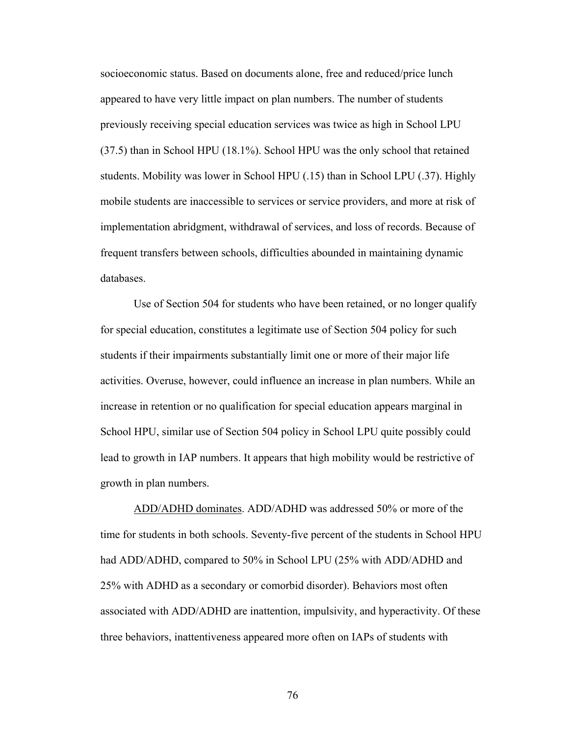socioeconomic status. Based on documents alone, free and reduced/price lunch appeared to have very little impact on plan numbers. The number of students previously receiving special education services was twice as high in School LPU (37.5) than in School HPU (18.1%). School HPU was the only school that retained students. Mobility was lower in School HPU (.15) than in School LPU (.37). Highly mobile students are inaccessible to services or service providers, and more at risk of implementation abridgment, withdrawal of services, and loss of records. Because of frequent transfers between schools, difficulties abounded in maintaining dynamic databases.

 Use of Section 504 for students who have been retained, or no longer qualify for special education, constitutes a legitimate use of Section 504 policy for such students if their impairments substantially limit one or more of their major life activities. Overuse, however, could influence an increase in plan numbers. While an increase in retention or no qualification for special education appears marginal in School HPU, similar use of Section 504 policy in School LPU quite possibly could lead to growth in IAP numbers. It appears that high mobility would be restrictive of growth in plan numbers.

 ADD/ADHD dominates. ADD/ADHD was addressed 50% or more of the time for students in both schools. Seventy-five percent of the students in School HPU had ADD/ADHD, compared to 50% in School LPU (25% with ADD/ADHD and 25% with ADHD as a secondary or comorbid disorder). Behaviors most often associated with ADD/ADHD are inattention, impulsivity, and hyperactivity. Of these three behaviors, inattentiveness appeared more often on IAPs of students with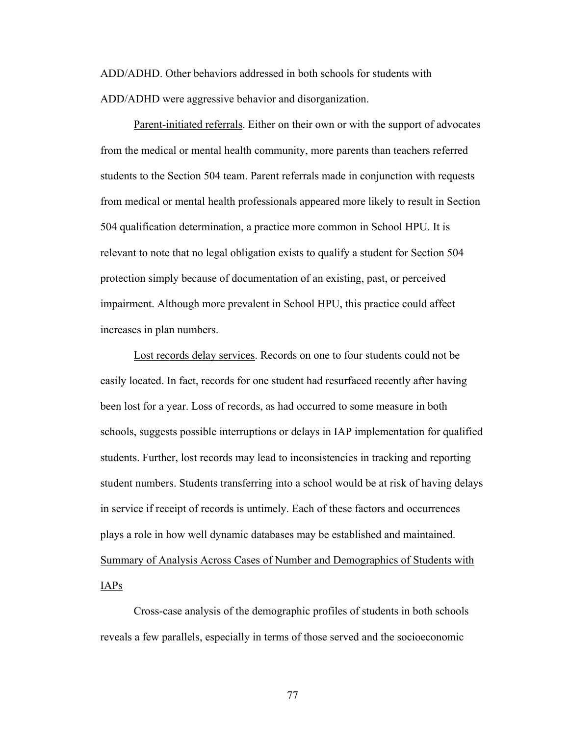ADD/ADHD. Other behaviors addressed in both schools for students with ADD/ADHD were aggressive behavior and disorganization.

 Parent-initiated referrals. Either on their own or with the support of advocates from the medical or mental health community, more parents than teachers referred students to the Section 504 team. Parent referrals made in conjunction with requests from medical or mental health professionals appeared more likely to result in Section 504 qualification determination, a practice more common in School HPU. It is relevant to note that no legal obligation exists to qualify a student for Section 504 protection simply because of documentation of an existing, past, or perceived impairment. Although more prevalent in School HPU, this practice could affect increases in plan numbers.

 Lost records delay services. Records on one to four students could not be easily located. In fact, records for one student had resurfaced recently after having been lost for a year. Loss of records, as had occurred to some measure in both schools, suggests possible interruptions or delays in IAP implementation for qualified students. Further, lost records may lead to inconsistencies in tracking and reporting student numbers. Students transferring into a school would be at risk of having delays in service if receipt of records is untimely. Each of these factors and occurrences plays a role in how well dynamic databases may be established and maintained. Summary of Analysis Across Cases of Number and Demographics of Students with IAPs

 Cross-case analysis of the demographic profiles of students in both schools reveals a few parallels, especially in terms of those served and the socioeconomic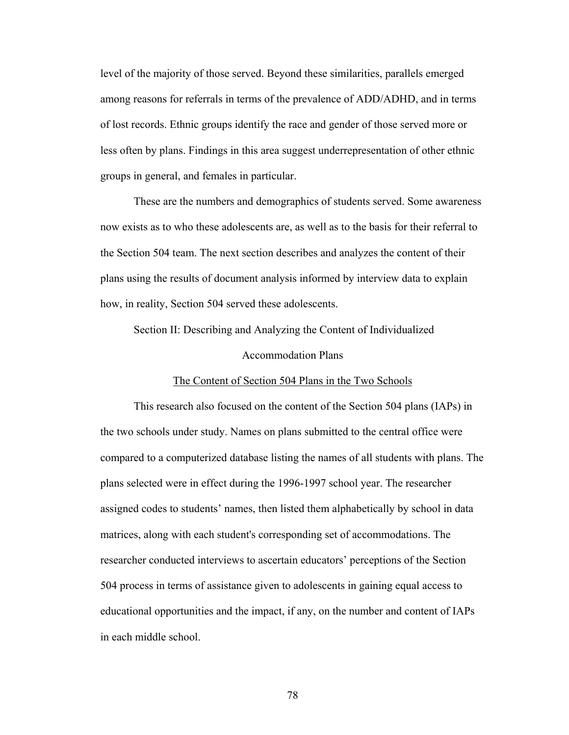level of the majority of those served. Beyond these similarities, parallels emerged among reasons for referrals in terms of the prevalence of ADD/ADHD, and in terms of lost records. Ethnic groups identify the race and gender of those served more or less often by plans. Findings in this area suggest underrepresentation of other ethnic groups in general, and females in particular.

 These are the numbers and demographics of students served. Some awareness now exists as to who these adolescents are, as well as to the basis for their referral to the Section 504 team. The next section describes and analyzes the content of their plans using the results of document analysis informed by interview data to explain how, in reality, Section 504 served these adolescents.

Section II: Describing and Analyzing the Content of Individualized

#### Accommodation Plans

#### The Content of Section 504 Plans in the Two Schools

This research also focused on the content of the Section 504 plans (IAPs) in the two schools under study. Names on plans submitted to the central office were compared to a computerized database listing the names of all students with plans. The plans selected were in effect during the 1996-1997 school year. The researcher assigned codes to students' names, then listed them alphabetically by school in data matrices, along with each student's corresponding set of accommodations. The researcher conducted interviews to ascertain educators' perceptions of the Section 504 process in terms of assistance given to adolescents in gaining equal access to educational opportunities and the impact, if any, on the number and content of IAPs in each middle school.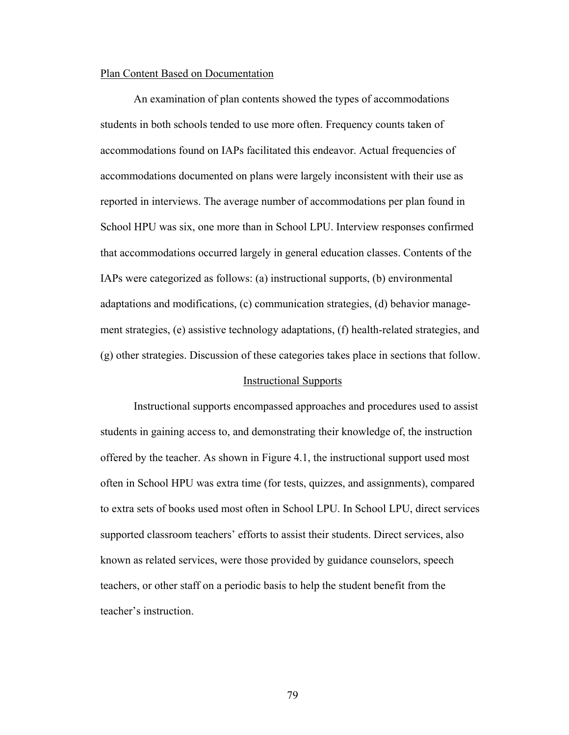# Plan Content Based on Documentation

 An examination of plan contents showed the types of accommodations students in both schools tended to use more often. Frequency counts taken of accommodations found on IAPs facilitated this endeavor. Actual frequencies of accommodations documented on plans were largely inconsistent with their use as reported in interviews. The average number of accommodations per plan found in School HPU was six, one more than in School LPU. Interview responses confirmed that accommodations occurred largely in general education classes. Contents of the IAPs were categorized as follows: (a) instructional supports, (b) environmental adaptations and modifications, (c) communication strategies, (d) behavior management strategies, (e) assistive technology adaptations, (f) health-related strategies, and (g) other strategies. Discussion of these categories takes place in sections that follow.

# Instructional Supports

 Instructional supports encompassed approaches and procedures used to assist students in gaining access to, and demonstrating their knowledge of, the instruction offered by the teacher. As shown in Figure 4.1, the instructional support used most often in School HPU was extra time (for tests, quizzes, and assignments), compared to extra sets of books used most often in School LPU. In School LPU, direct services supported classroom teachers' efforts to assist their students. Direct services, also known as related services, were those provided by guidance counselors, speech teachers, or other staff on a periodic basis to help the student benefit from the teacher's instruction.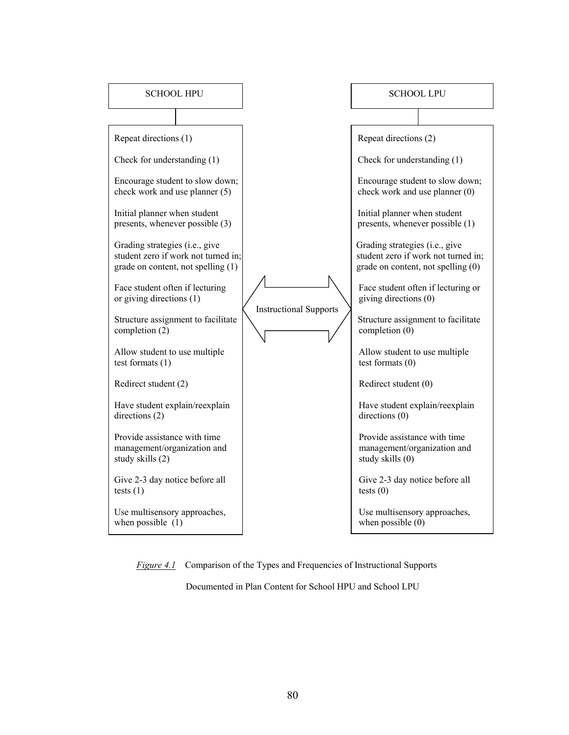| SCHOOL HPU                                                                                                  |                               | SCHOOL LPU                                                                      |                                     |
|-------------------------------------------------------------------------------------------------------------|-------------------------------|---------------------------------------------------------------------------------|-------------------------------------|
|                                                                                                             |                               |                                                                                 |                                     |
| Repeat directions (1)                                                                                       |                               | Repeat directions (2)                                                           |                                     |
| Check for understanding (1)                                                                                 |                               | Check for understanding (1)                                                     |                                     |
| Encourage student to slow down;<br>check work and use planner (5)                                           |                               | check work and use planner (0)                                                  | Encourage student to slow down;     |
| Initial planner when student<br>presents, whenever possible (3)                                             |                               | Initial planner when student<br>presents, whenever possible (1)                 |                                     |
| Grading strategies (i.e., give<br>student zero if work not turned in;<br>grade on content, not spelling (1) |                               | Grading strategies (i.e., give<br>grade on content, not spelling (0)            | student zero if work not turned in; |
| Face student often if lecturing<br>or giving directions (1)                                                 | <b>Instructional Supports</b> | giving directions (0)                                                           | Face student often if lecturing or  |
| Structure assignment to facilitate<br>completion $(2)$                                                      |                               | completion (0)                                                                  | Structure assignment to facilitate  |
| Allow student to use multiple<br>test formats $(1)$                                                         |                               | Allow student to use multiple<br>test formats $(0)$                             |                                     |
| Redirect student (2)                                                                                        |                               | Redirect student (0)                                                            |                                     |
| Have student explain/reexplain<br>directions (2)                                                            |                               | Have student explain/reexplain<br>directions $(0)$                              |                                     |
| Provide assistance with time<br>management/organization and<br>study skills (2)                             |                               | Provide assistance with time<br>management/organization and<br>study skills (0) |                                     |
| Give 2-3 day notice before all<br>tests $(1)$                                                               |                               | Give 2-3 day notice before all<br>tests $(0)$                                   |                                     |
| Use multisensory approaches,<br>when possible $(1)$                                                         |                               | Use multisensory approaches,<br>when possible $(0)$                             |                                     |

*Figure 4.1* Comparison of the Types and Frequencies of Instructional Supports

Documented in Plan Content for School HPU and School LPU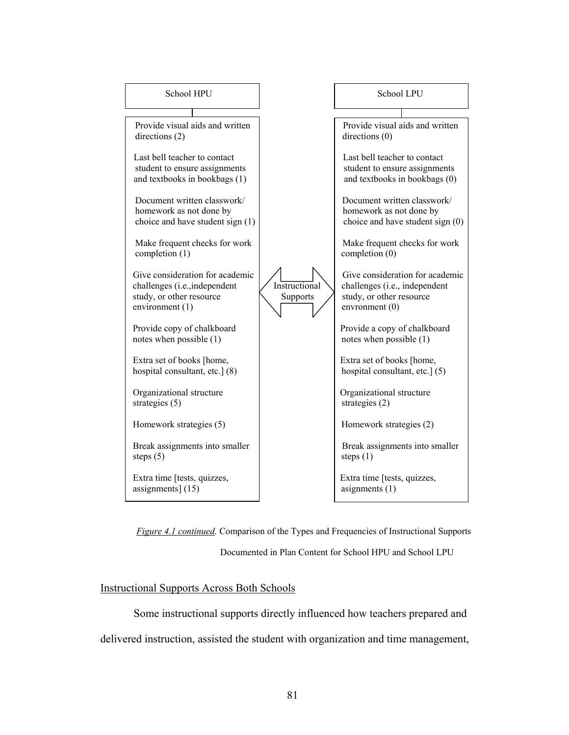

*Figure 4.1 continued.* Comparison of the Types and Frequencies of Instructional Supports

Documented in Plan Content for School HPU and School LPU

# Instructional Supports Across Both Schools

 Some instructional supports directly influenced how teachers prepared and delivered instruction, assisted the student with organization and time management,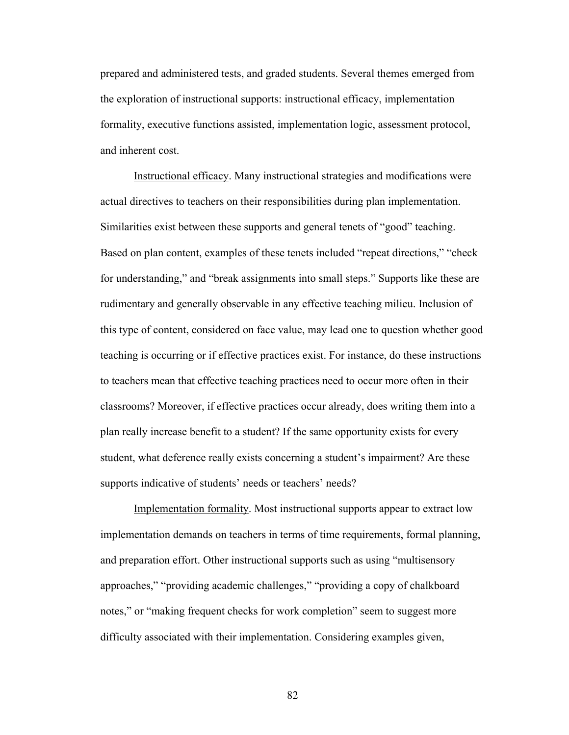prepared and administered tests, and graded students. Several themes emerged from the exploration of instructional supports: instructional efficacy, implementation formality, executive functions assisted, implementation logic, assessment protocol, and inherent cost.

 Instructional efficacy. Many instructional strategies and modifications were actual directives to teachers on their responsibilities during plan implementation. Similarities exist between these supports and general tenets of "good" teaching. Based on plan content, examples of these tenets included "repeat directions," "check for understanding," and "break assignments into small steps." Supports like these are rudimentary and generally observable in any effective teaching milieu. Inclusion of this type of content, considered on face value, may lead one to question whether good teaching is occurring or if effective practices exist. For instance, do these instructions to teachers mean that effective teaching practices need to occur more often in their classrooms? Moreover, if effective practices occur already, does writing them into a plan really increase benefit to a student? If the same opportunity exists for every student, what deference really exists concerning a student's impairment? Are these supports indicative of students' needs or teachers' needs?

 Implementation formality. Most instructional supports appear to extract low implementation demands on teachers in terms of time requirements, formal planning, and preparation effort. Other instructional supports such as using "multisensory approaches," "providing academic challenges," "providing a copy of chalkboard notes," or "making frequent checks for work completion" seem to suggest more difficulty associated with their implementation. Considering examples given,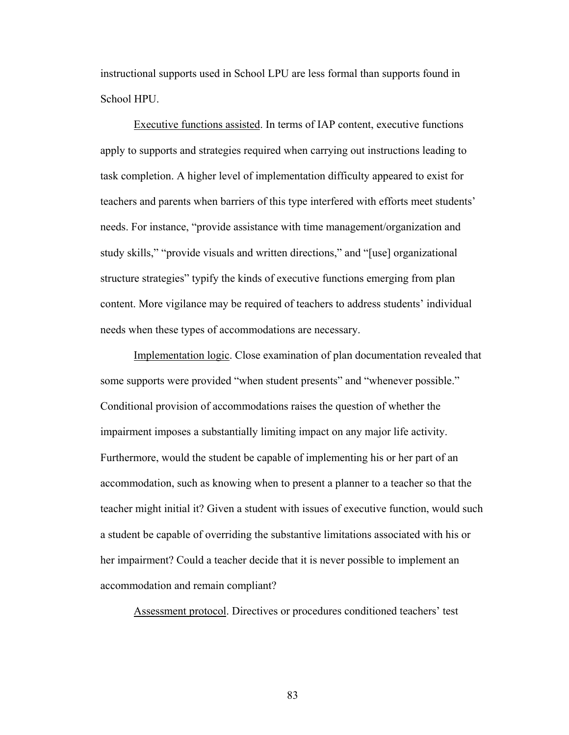instructional supports used in School LPU are less formal than supports found in School HPU.

 Executive functions assisted. In terms of IAP content, executive functions apply to supports and strategies required when carrying out instructions leading to task completion. A higher level of implementation difficulty appeared to exist for teachers and parents when barriers of this type interfered with efforts meet students' needs. For instance, "provide assistance with time management/organization and study skills," "provide visuals and written directions," and "[use] organizational structure strategies" typify the kinds of executive functions emerging from plan content. More vigilance may be required of teachers to address students' individual needs when these types of accommodations are necessary.

 Implementation logic. Close examination of plan documentation revealed that some supports were provided "when student presents" and "whenever possible." Conditional provision of accommodations raises the question of whether the impairment imposes a substantially limiting impact on any major life activity. Furthermore, would the student be capable of implementing his or her part of an accommodation, such as knowing when to present a planner to a teacher so that the teacher might initial it? Given a student with issues of executive function, would such a student be capable of overriding the substantive limitations associated with his or her impairment? Could a teacher decide that it is never possible to implement an accommodation and remain compliant?

Assessment protocol. Directives or procedures conditioned teachers' test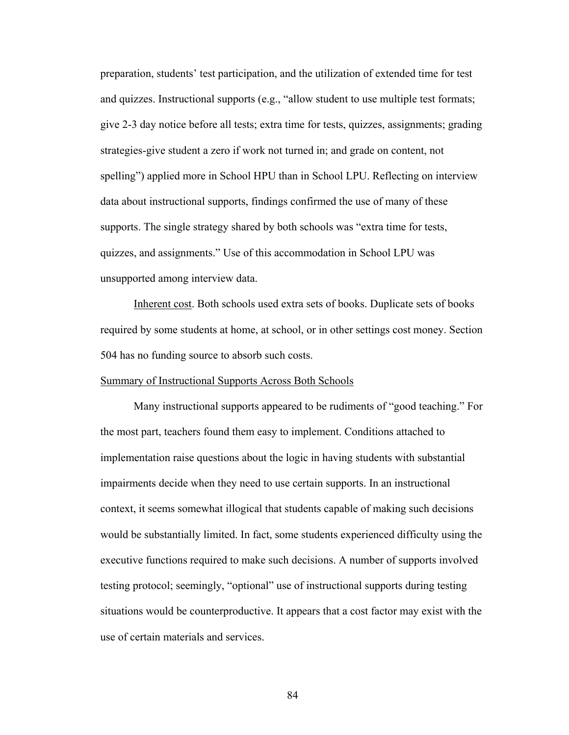preparation, students' test participation, and the utilization of extended time for test and quizzes. Instructional supports (e.g., "allow student to use multiple test formats; give 2-3 day notice before all tests; extra time for tests, quizzes, assignments; grading strategies-give student a zero if work not turned in; and grade on content, not spelling") applied more in School HPU than in School LPU. Reflecting on interview data about instructional supports, findings confirmed the use of many of these supports. The single strategy shared by both schools was "extra time for tests, quizzes, and assignments." Use of this accommodation in School LPU was unsupported among interview data.

 Inherent cost. Both schools used extra sets of books. Duplicate sets of books required by some students at home, at school, or in other settings cost money. Section 504 has no funding source to absorb such costs.

# Summary of Instructional Supports Across Both Schools

 Many instructional supports appeared to be rudiments of "good teaching." For the most part, teachers found them easy to implement. Conditions attached to implementation raise questions about the logic in having students with substantial impairments decide when they need to use certain supports. In an instructional context, it seems somewhat illogical that students capable of making such decisions would be substantially limited. In fact, some students experienced difficulty using the executive functions required to make such decisions. A number of supports involved testing protocol; seemingly, "optional" use of instructional supports during testing situations would be counterproductive. It appears that a cost factor may exist with the use of certain materials and services.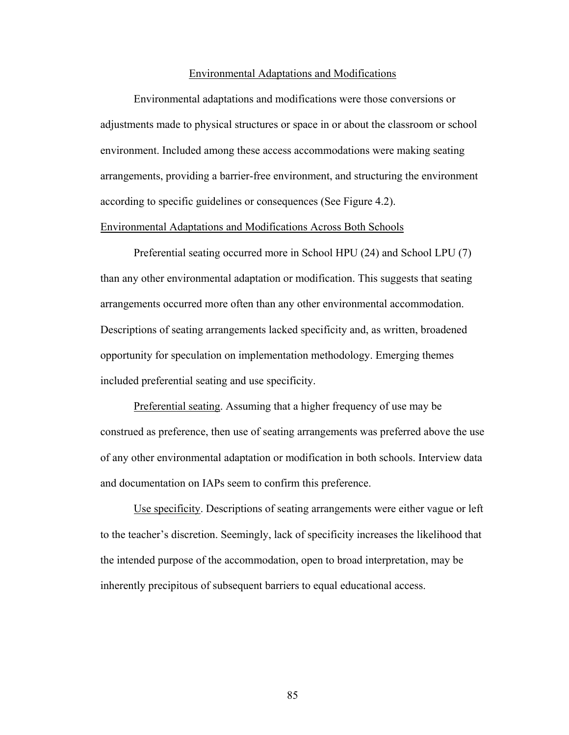#### Environmental Adaptations and Modifications

 Environmental adaptations and modifications were those conversions or adjustments made to physical structures or space in or about the classroom or school environment. Included among these access accommodations were making seating arrangements, providing a barrier-free environment, and structuring the environment according to specific guidelines or consequences (See Figure 4.2).

# Environmental Adaptations and Modifications Across Both Schools

Preferential seating occurred more in School HPU (24) and School LPU (7) than any other environmental adaptation or modification. This suggests that seating arrangements occurred more often than any other environmental accommodation. Descriptions of seating arrangements lacked specificity and, as written, broadened opportunity for speculation on implementation methodology. Emerging themes included preferential seating and use specificity.

Preferential seating. Assuming that a higher frequency of use may be construed as preference, then use of seating arrangements was preferred above the use of any other environmental adaptation or modification in both schools. Interview data and documentation on IAPs seem to confirm this preference.

Use specificity. Descriptions of seating arrangements were either vague or left to the teacher's discretion. Seemingly, lack of specificity increases the likelihood that the intended purpose of the accommodation, open to broad interpretation, may be inherently precipitous of subsequent barriers to equal educational access.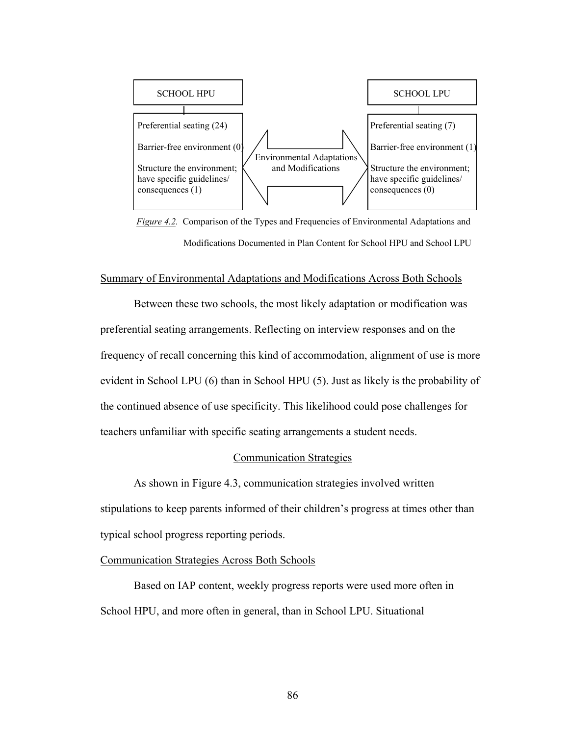

*Figure 4.2.* Comparison of the Types and Frequencies of Environmental Adaptations and Modifications Documented in Plan Content for School HPU and School LPU

#### Summary of Environmental Adaptations and Modifications Across Both Schools

Between these two schools, the most likely adaptation or modification was preferential seating arrangements. Reflecting on interview responses and on the frequency of recall concerning this kind of accommodation, alignment of use is more evident in School LPU (6) than in School HPU (5). Just as likely is the probability of the continued absence of use specificity. This likelihood could pose challenges for teachers unfamiliar with specific seating arrangements a student needs.

#### Communication Strategies

 As shown in Figure 4.3, communication strategies involved written stipulations to keep parents informed of their children's progress at times other than typical school progress reporting periods.

## Communication Strategies Across Both Schools

Based on IAP content, weekly progress reports were used more often in School HPU, and more often in general, than in School LPU. Situational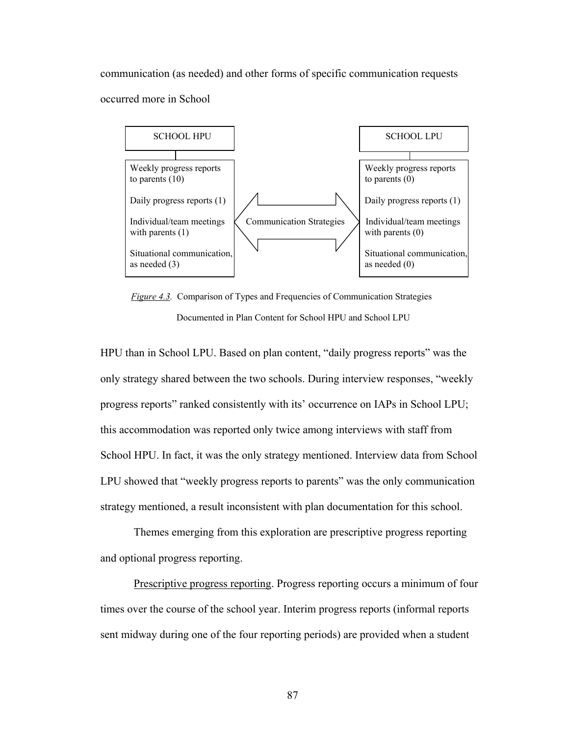communication (as needed) and other forms of specific communication requests occurred more in School



 *Figure 4.3.* Comparison of Types and Frequencies of Communication Strategies Documented in Plan Content for School HPU and School LPU

HPU than in School LPU. Based on plan content, "daily progress reports" was the only strategy shared between the two schools. During interview responses, "weekly progress reports" ranked consistently with its' occurrence on IAPs in School LPU; this accommodation was reported only twice among interviews with staff from School HPU. In fact, it was the only strategy mentioned. Interview data from School LPU showed that "weekly progress reports to parents" was the only communication strategy mentioned, a result inconsistent with plan documentation for this school.

 Themes emerging from this exploration are prescriptive progress reporting and optional progress reporting.

 Prescriptive progress reporting. Progress reporting occurs a minimum of four times over the course of the school year. Interim progress reports (informal reports sent midway during one of the four reporting periods) are provided when a student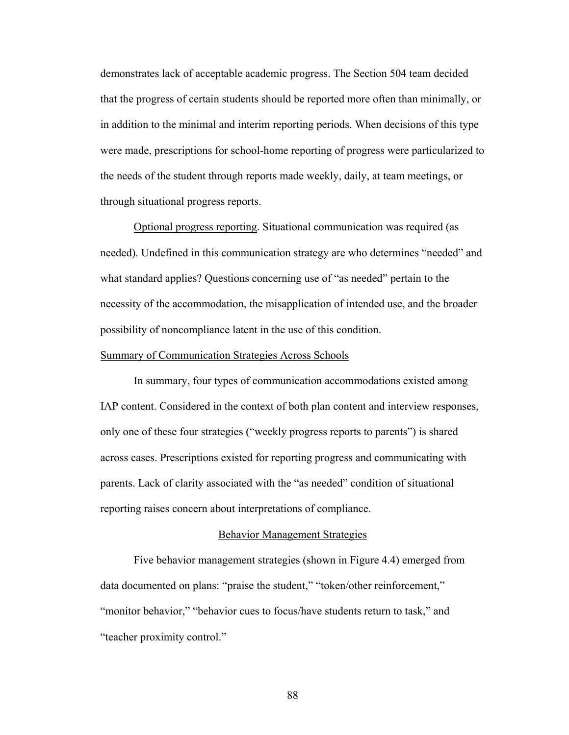demonstrates lack of acceptable academic progress. The Section 504 team decided that the progress of certain students should be reported more often than minimally, or in addition to the minimal and interim reporting periods. When decisions of this type were made, prescriptions for school-home reporting of progress were particularized to the needs of the student through reports made weekly, daily, at team meetings, or through situational progress reports.

Optional progress reporting. Situational communication was required (as needed). Undefined in this communication strategy are who determines "needed" and what standard applies? Questions concerning use of "as needed" pertain to the necessity of the accommodation, the misapplication of intended use, and the broader possibility of noncompliance latent in the use of this condition.

# Summary of Communication Strategies Across Schools

In summary, four types of communication accommodations existed among IAP content. Considered in the context of both plan content and interview responses, only one of these four strategies ("weekly progress reports to parents") is shared across cases. Prescriptions existed for reporting progress and communicating with parents. Lack of clarity associated with the "as needed" condition of situational reporting raises concern about interpretations of compliance.

#### Behavior Management Strategies

 Five behavior management strategies (shown in Figure 4.4) emerged from data documented on plans: "praise the student," "token/other reinforcement," "monitor behavior," "behavior cues to focus/have students return to task," and "teacher proximity control."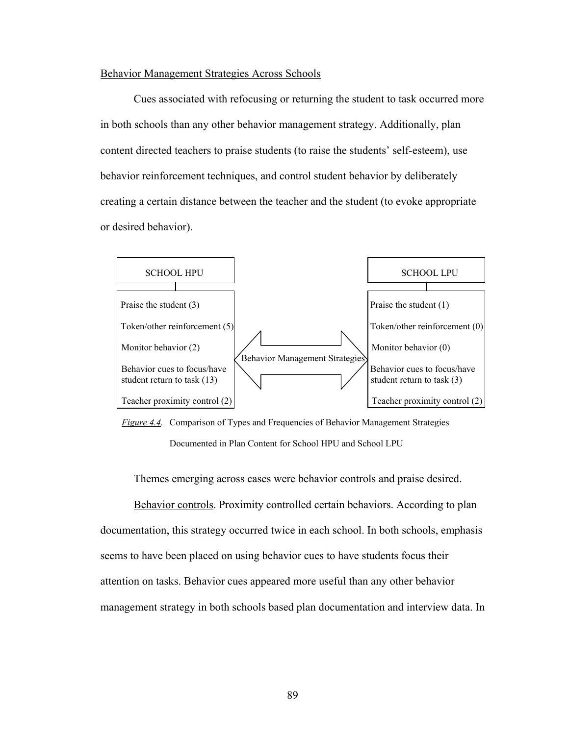# Behavior Management Strategies Across Schools

 Cues associated with refocusing or returning the student to task occurred more in both schools than any other behavior management strategy. Additionally, plan content directed teachers to praise students (to raise the students' self-esteem), use behavior reinforcement techniques, and control student behavior by deliberately creating a certain distance between the teacher and the student (to evoke appropriate or desired behavior).



 *Figure 4.4.* Comparison of Types and Frequencies of Behavior Management Strategies Documented in Plan Content for School HPU and School LPU

Themes emerging across cases were behavior controls and praise desired.

 Behavior controls. Proximity controlled certain behaviors. According to plan documentation, this strategy occurred twice in each school. In both schools, emphasis seems to have been placed on using behavior cues to have students focus their attention on tasks. Behavior cues appeared more useful than any other behavior management strategy in both schools based plan documentation and interview data. In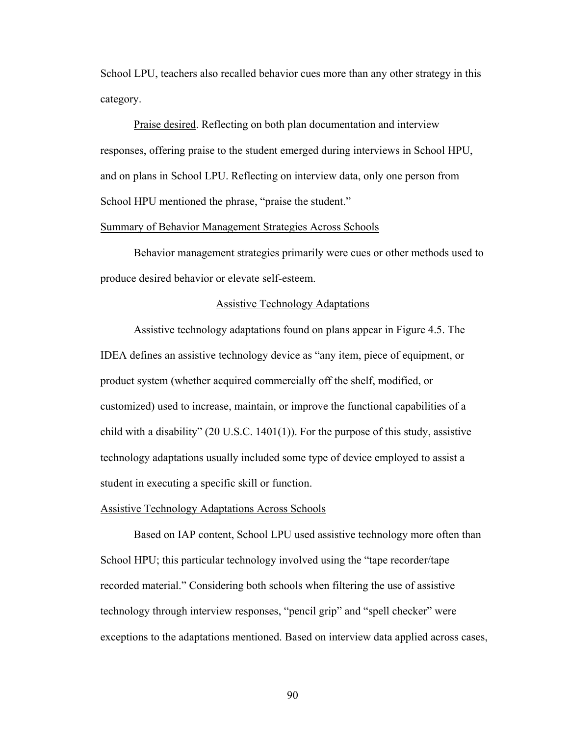School LPU, teachers also recalled behavior cues more than any other strategy in this category.

 Praise desired. Reflecting on both plan documentation and interview responses, offering praise to the student emerged during interviews in School HPU, and on plans in School LPU. Reflecting on interview data, only one person from School HPU mentioned the phrase, "praise the student."

## Summary of Behavior Management Strategies Across Schools

 Behavior management strategies primarily were cues or other methods used to produce desired behavior or elevate self-esteem.

# Assistive Technology Adaptations

 Assistive technology adaptations found on plans appear in Figure 4.5. The IDEA defines an assistive technology device as "any item, piece of equipment, or product system (whether acquired commercially off the shelf, modified, or customized) used to increase, maintain, or improve the functional capabilities of a child with a disability" (20 U.S.C. 1401(1)). For the purpose of this study, assistive technology adaptations usually included some type of device employed to assist a student in executing a specific skill or function.

#### Assistive Technology Adaptations Across Schools

 Based on IAP content, School LPU used assistive technology more often than School HPU; this particular technology involved using the "tape recorder/tape recorded material." Considering both schools when filtering the use of assistive technology through interview responses, "pencil grip" and "spell checker" were exceptions to the adaptations mentioned. Based on interview data applied across cases,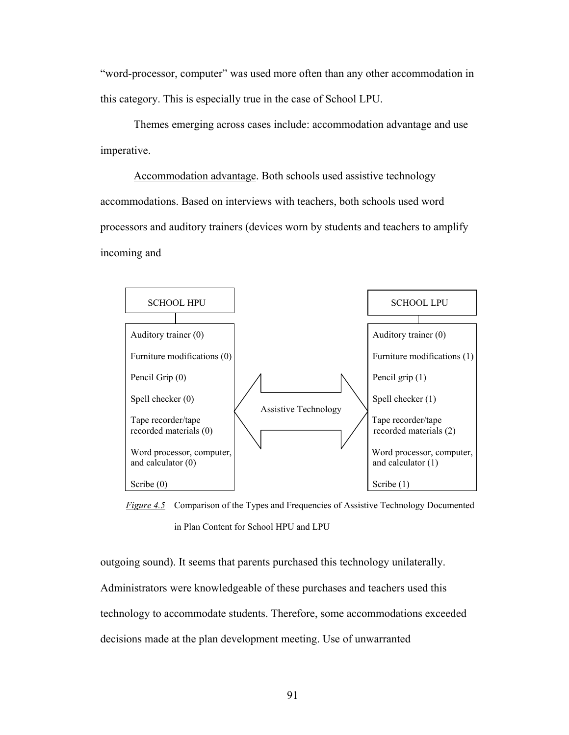"word-processor, computer" was used more often than any other accommodation in this category. This is especially true in the case of School LPU.

 Themes emerging across cases include: accommodation advantage and use imperative.

 Accommodation advantage. Both schools used assistive technology accommodations. Based on interviews with teachers, both schools used word processors and auditory trainers (devices worn by students and teachers to amplify incoming and



 *Figure 4.5* Comparison of the Types and Frequencies of Assistive Technology Documented in Plan Content for School HPU and LPU

outgoing sound). It seems that parents purchased this technology unilaterally. Administrators were knowledgeable of these purchases and teachers used this technology to accommodate students. Therefore, some accommodations exceeded decisions made at the plan development meeting. Use of unwarranted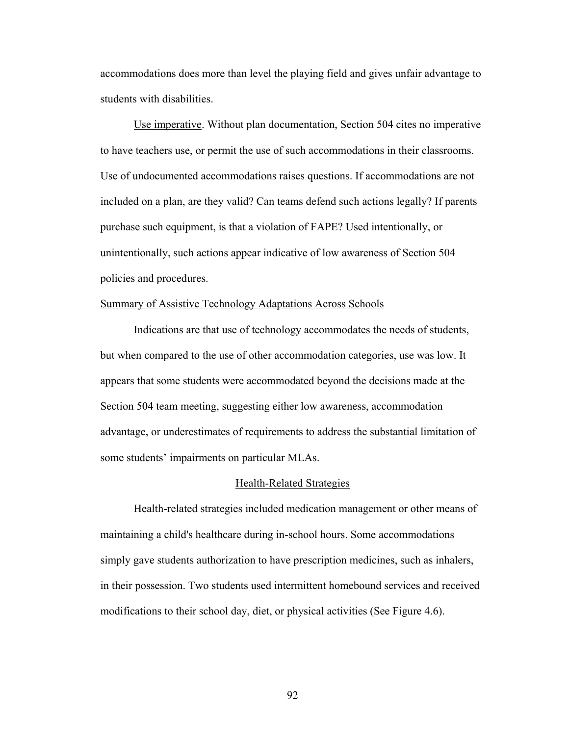accommodations does more than level the playing field and gives unfair advantage to students with disabilities.

 Use imperative. Without plan documentation, Section 504 cites no imperative to have teachers use, or permit the use of such accommodations in their classrooms. Use of undocumented accommodations raises questions. If accommodations are not included on a plan, are they valid? Can teams defend such actions legally? If parents purchase such equipment, is that a violation of FAPE? Used intentionally, or unintentionally, such actions appear indicative of low awareness of Section 504 policies and procedures.

# Summary of Assistive Technology Adaptations Across Schools

 Indications are that use of technology accommodates the needs of students, but when compared to the use of other accommodation categories, use was low. It appears that some students were accommodated beyond the decisions made at the Section 504 team meeting, suggesting either low awareness, accommodation advantage, or underestimates of requirements to address the substantial limitation of some students' impairments on particular MLAs.

#### Health-Related Strategies

 Health-related strategies included medication management or other means of maintaining a child's healthcare during in-school hours. Some accommodations simply gave students authorization to have prescription medicines, such as inhalers, in their possession. Two students used intermittent homebound services and received modifications to their school day, diet, or physical activities (See Figure 4.6).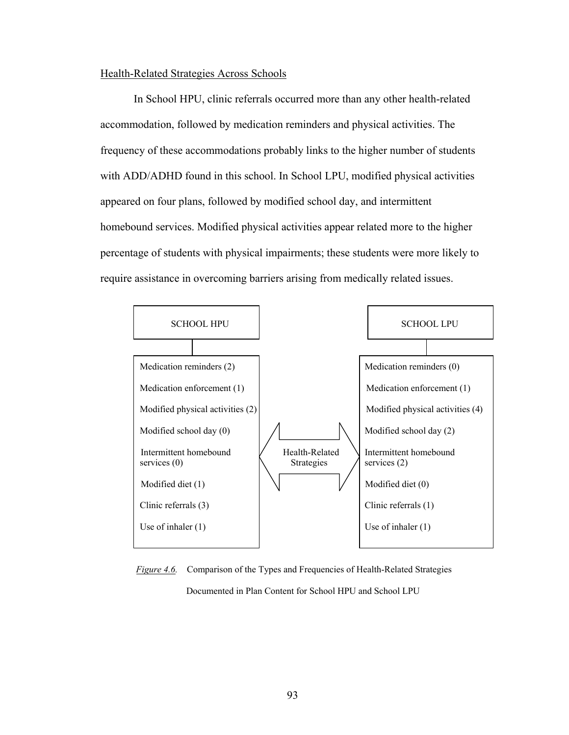# Health-Related Strategies Across Schools

 In School HPU, clinic referrals occurred more than any other health-related accommodation, followed by medication reminders and physical activities. The frequency of these accommodations probably links to the higher number of students with ADD/ADHD found in this school. In School LPU, modified physical activities appeared on four plans, followed by modified school day, and intermittent homebound services. Modified physical activities appear related more to the higher percentage of students with physical impairments; these students were more likely to require assistance in overcoming barriers arising from medically related issues.



 *Figure 4.6.* Comparison of the Types and Frequencies of Health-Related Strategies Documented in Plan Content for School HPU and School LPU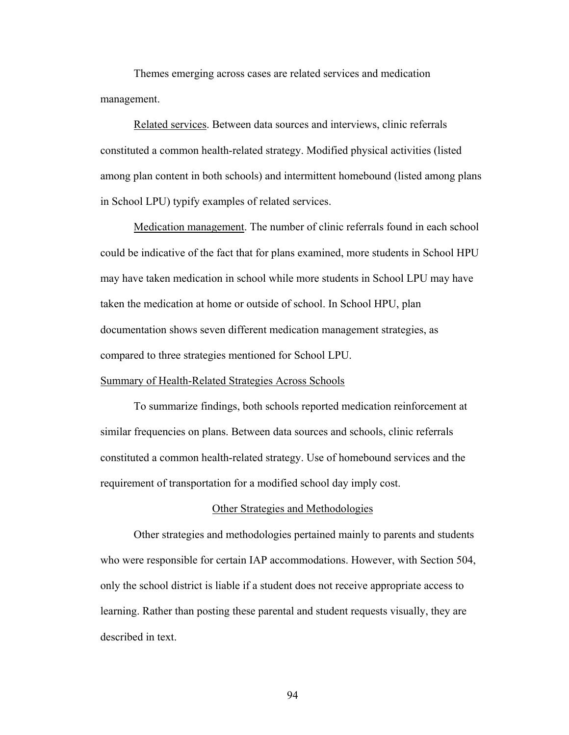Themes emerging across cases are related services and medication management.

 Related services. Between data sources and interviews, clinic referrals constituted a common health-related strategy. Modified physical activities (listed among plan content in both schools) and intermittent homebound (listed among plans in School LPU) typify examples of related services.

 Medication management. The number of clinic referrals found in each school could be indicative of the fact that for plans examined, more students in School HPU may have taken medication in school while more students in School LPU may have taken the medication at home or outside of school. In School HPU, plan documentation shows seven different medication management strategies, as compared to three strategies mentioned for School LPU.

# Summary of Health-Related Strategies Across Schools

 To summarize findings, both schools reported medication reinforcement at similar frequencies on plans. Between data sources and schools, clinic referrals constituted a common health-related strategy. Use of homebound services and the requirement of transportation for a modified school day imply cost.

#### Other Strategies and Methodologies

 Other strategies and methodologies pertained mainly to parents and students who were responsible for certain IAP accommodations. However, with Section 504, only the school district is liable if a student does not receive appropriate access to learning. Rather than posting these parental and student requests visually, they are described in text.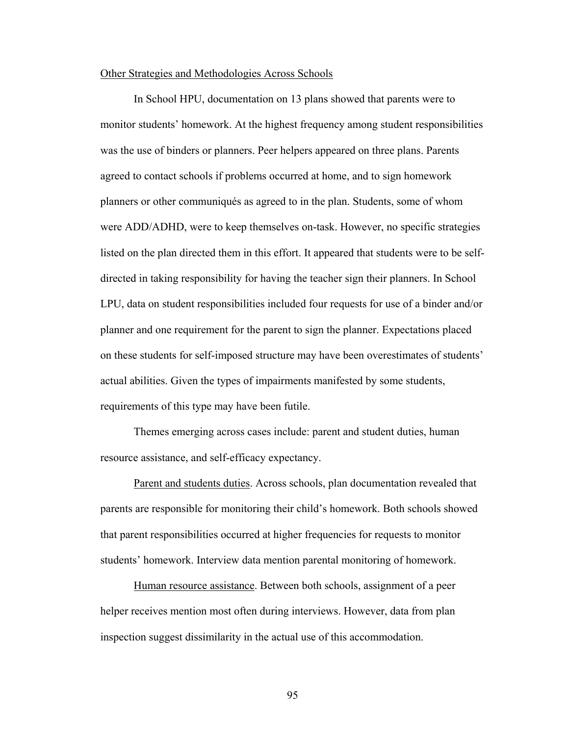#### Other Strategies and Methodologies Across Schools

 In School HPU, documentation on 13 plans showed that parents were to monitor students' homework. At the highest frequency among student responsibilities was the use of binders or planners. Peer helpers appeared on three plans. Parents agreed to contact schools if problems occurred at home, and to sign homework planners or other communiqués as agreed to in the plan. Students, some of whom were ADD/ADHD, were to keep themselves on-task. However, no specific strategies listed on the plan directed them in this effort. It appeared that students were to be selfdirected in taking responsibility for having the teacher sign their planners. In School LPU, data on student responsibilities included four requests for use of a binder and/or planner and one requirement for the parent to sign the planner. Expectations placed on these students for self-imposed structure may have been overestimates of students' actual abilities. Given the types of impairments manifested by some students, requirements of this type may have been futile.

 Themes emerging across cases include: parent and student duties, human resource assistance, and self-efficacy expectancy.

 Parent and students duties. Across schools, plan documentation revealed that parents are responsible for monitoring their child's homework. Both schools showed that parent responsibilities occurred at higher frequencies for requests to monitor students' homework. Interview data mention parental monitoring of homework.

Human resource assistance. Between both schools, assignment of a peer helper receives mention most often during interviews. However, data from plan inspection suggest dissimilarity in the actual use of this accommodation.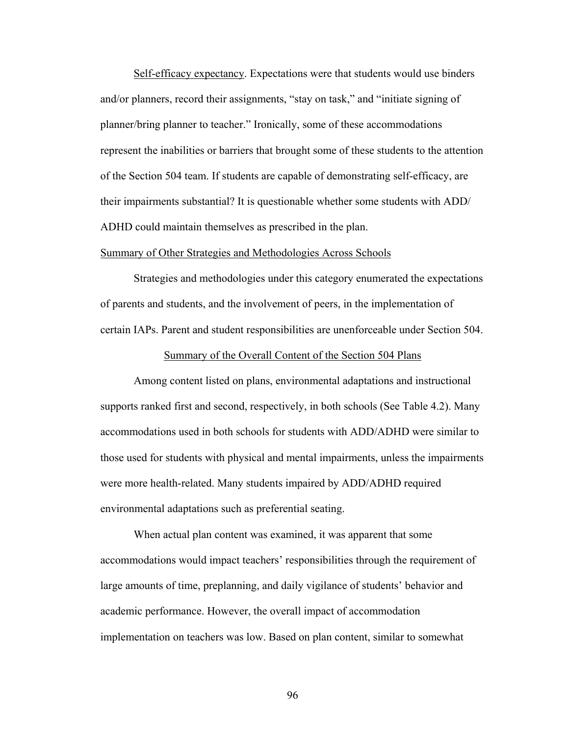Self-efficacy expectancy. Expectations were that students would use binders and/or planners, record their assignments, "stay on task," and "initiate signing of planner/bring planner to teacher." Ironically, some of these accommodations represent the inabilities or barriers that brought some of these students to the attention of the Section 504 team. If students are capable of demonstrating self-efficacy, are their impairments substantial? It is questionable whether some students with ADD/ ADHD could maintain themselves as prescribed in the plan.

#### Summary of Other Strategies and Methodologies Across Schools

 Strategies and methodologies under this category enumerated the expectations of parents and students, and the involvement of peers, in the implementation of certain IAPs. Parent and student responsibilities are unenforceable under Section 504.

#### Summary of the Overall Content of the Section 504 Plans

 Among content listed on plans, environmental adaptations and instructional supports ranked first and second, respectively, in both schools (See Table 4.2). Many accommodations used in both schools for students with ADD/ADHD were similar to those used for students with physical and mental impairments, unless the impairments were more health-related. Many students impaired by ADD/ADHD required environmental adaptations such as preferential seating.

 When actual plan content was examined, it was apparent that some accommodations would impact teachers' responsibilities through the requirement of large amounts of time, preplanning, and daily vigilance of students' behavior and academic performance. However, the overall impact of accommodation implementation on teachers was low. Based on plan content, similar to somewhat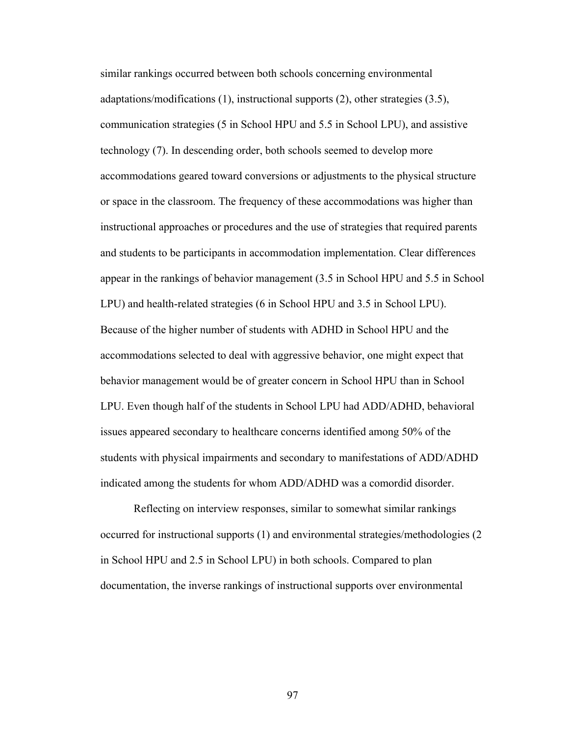similar rankings occurred between both schools concerning environmental adaptations/modifications (1), instructional supports (2), other strategies (3.5), communication strategies (5 in School HPU and 5.5 in School LPU), and assistive technology (7). In descending order, both schools seemed to develop more accommodations geared toward conversions or adjustments to the physical structure or space in the classroom. The frequency of these accommodations was higher than instructional approaches or procedures and the use of strategies that required parents and students to be participants in accommodation implementation. Clear differences appear in the rankings of behavior management (3.5 in School HPU and 5.5 in School LPU) and health-related strategies (6 in School HPU and 3.5 in School LPU). Because of the higher number of students with ADHD in School HPU and the accommodations selected to deal with aggressive behavior, one might expect that behavior management would be of greater concern in School HPU than in School LPU. Even though half of the students in School LPU had ADD/ADHD, behavioral issues appeared secondary to healthcare concerns identified among 50% of the students with physical impairments and secondary to manifestations of ADD/ADHD indicated among the students for whom ADD/ADHD was a comordid disorder.

 Reflecting on interview responses, similar to somewhat similar rankings occurred for instructional supports (1) and environmental strategies/methodologies (2 in School HPU and 2.5 in School LPU) in both schools. Compared to plan documentation, the inverse rankings of instructional supports over environmental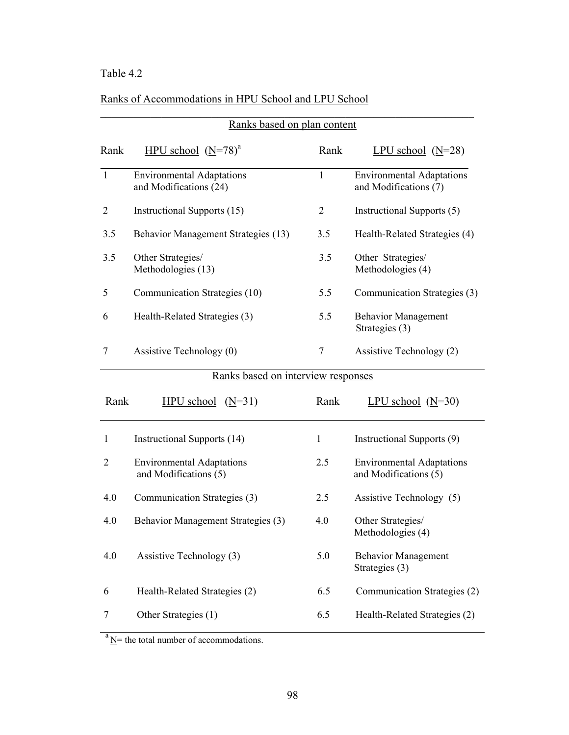# Table 4.2

# Ranks of Accommodations in HPU School and LPU School

|                | Ranks based on plan content                                |                |                                                           |
|----------------|------------------------------------------------------------|----------------|-----------------------------------------------------------|
| Rank           | HPU school $(N=78)^a$                                      | Rank           | LPU school $(N=28)$                                       |
| $\mathbf{1}$   | <b>Environmental Adaptations</b><br>and Modifications (24) | 1              | <b>Environmental Adaptations</b><br>and Modifications (7) |
| 2              | Instructional Supports (15)                                | $\overline{2}$ | Instructional Supports (5)                                |
| 3.5            | Behavior Management Strategies (13)                        | 3.5            | Health-Related Strategies (4)                             |
| 3.5            | Other Strategies/<br>Methodologies (13)                    | 3.5            | Other Strategies/<br>Methodologies (4)                    |
| 5              | Communication Strategies (10)                              | 5.5            | Communication Strategies (3)                              |
| 6              | Health-Related Strategies (3)                              | 5.5            | <b>Behavior Management</b><br>Strategies (3)              |
| 7              | Assistive Technology (0)                                   | 7              | Assistive Technology (2)                                  |
|                | Ranks based on interview responses                         |                |                                                           |
| Rank           | $HPU$ school $(N=31)$                                      | Rank           | LPU school $(N=30)$                                       |
| 1              | Instructional Supports (14)                                | $\mathbf{1}$   | Instructional Supports (9)                                |
|                |                                                            |                |                                                           |
| $\overline{2}$ | <b>Environmental Adaptations</b><br>and Modifications (5)  | 2.5            | <b>Environmental Adaptations</b><br>and Modifications (5) |
| 4.0            | Communication Strategies (3)                               | 2.5            | Assistive Technology (5)                                  |
| 4.0            | Behavior Management Strategies (3)                         | 4.0            | Other Strategies/<br>Methodologies (4)                    |
|                | Assistive Technology (3)                                   | 5.0            | <b>Behavior Management</b><br>Strategies (3)              |
| 4.0<br>6       | Health-Related Strategies (2)                              | 6.5            | Communication Strategies (2)                              |

 $a_{N=1}$  the total number of accommodations.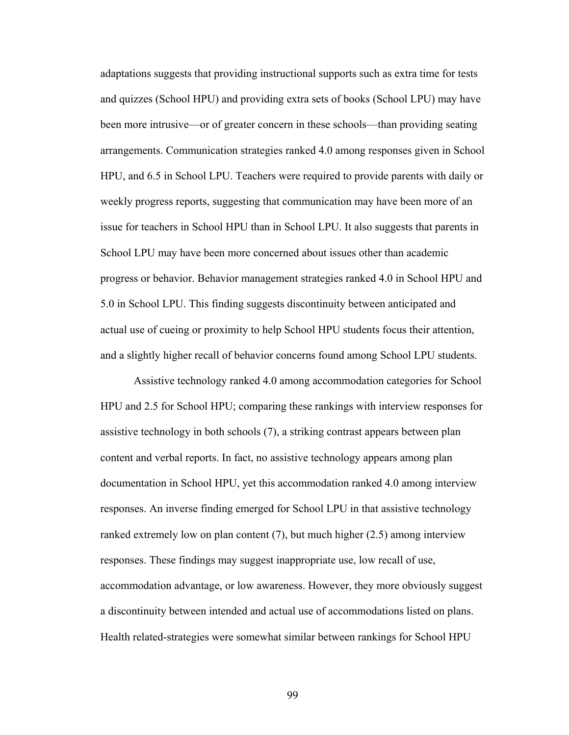adaptations suggests that providing instructional supports such as extra time for tests and quizzes (School HPU) and providing extra sets of books (School LPU) may have been more intrusive—or of greater concern in these schools—than providing seating arrangements. Communication strategies ranked 4.0 among responses given in School HPU, and 6.5 in School LPU. Teachers were required to provide parents with daily or weekly progress reports, suggesting that communication may have been more of an issue for teachers in School HPU than in School LPU. It also suggests that parents in School LPU may have been more concerned about issues other than academic progress or behavior. Behavior management strategies ranked 4.0 in School HPU and 5.0 in School LPU. This finding suggests discontinuity between anticipated and actual use of cueing or proximity to help School HPU students focus their attention, and a slightly higher recall of behavior concerns found among School LPU students.

 Assistive technology ranked 4.0 among accommodation categories for School HPU and 2.5 for School HPU; comparing these rankings with interview responses for assistive technology in both schools (7), a striking contrast appears between plan content and verbal reports. In fact, no assistive technology appears among plan documentation in School HPU, yet this accommodation ranked 4.0 among interview responses. An inverse finding emerged for School LPU in that assistive technology ranked extremely low on plan content (7), but much higher (2.5) among interview responses. These findings may suggest inappropriate use, low recall of use, accommodation advantage, or low awareness. However, they more obviously suggest a discontinuity between intended and actual use of accommodations listed on plans. Health related-strategies were somewhat similar between rankings for School HPU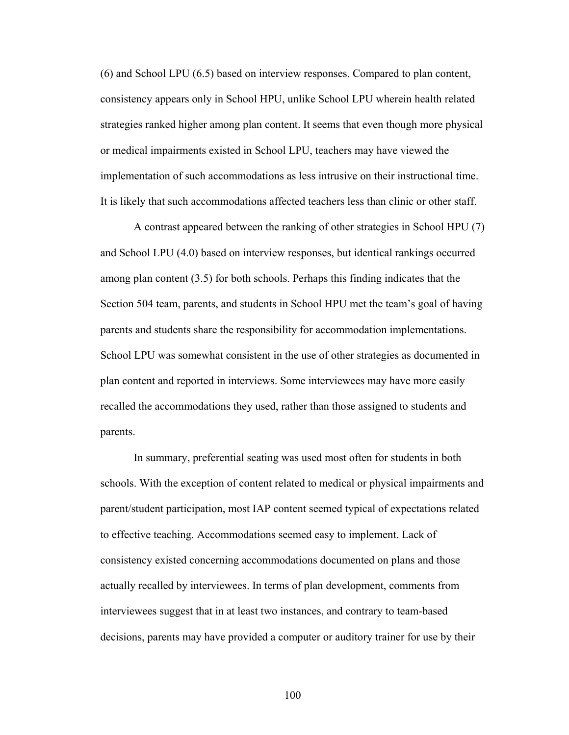(6) and School LPU (6.5) based on interview responses. Compared to plan content, consistency appears only in School HPU, unlike School LPU wherein health related strategies ranked higher among plan content. It seems that even though more physical or medical impairments existed in School LPU, teachers may have viewed the implementation of such accommodations as less intrusive on their instructional time. It is likely that such accommodations affected teachers less than clinic or other staff.

 A contrast appeared between the ranking of other strategies in School HPU (7) and School LPU (4.0) based on interview responses, but identical rankings occurred among plan content (3.5) for both schools. Perhaps this finding indicates that the Section 504 team, parents, and students in School HPU met the team's goal of having parents and students share the responsibility for accommodation implementations. School LPU was somewhat consistent in the use of other strategies as documented in plan content and reported in interviews. Some interviewees may have more easily recalled the accommodations they used, rather than those assigned to students and parents.

 In summary, preferential seating was used most often for students in both schools. With the exception of content related to medical or physical impairments and parent/student participation, most IAP content seemed typical of expectations related to effective teaching. Accommodations seemed easy to implement. Lack of consistency existed concerning accommodations documented on plans and those actually recalled by interviewees. In terms of plan development, comments from interviewees suggest that in at least two instances, and contrary to team-based decisions, parents may have provided a computer or auditory trainer for use by their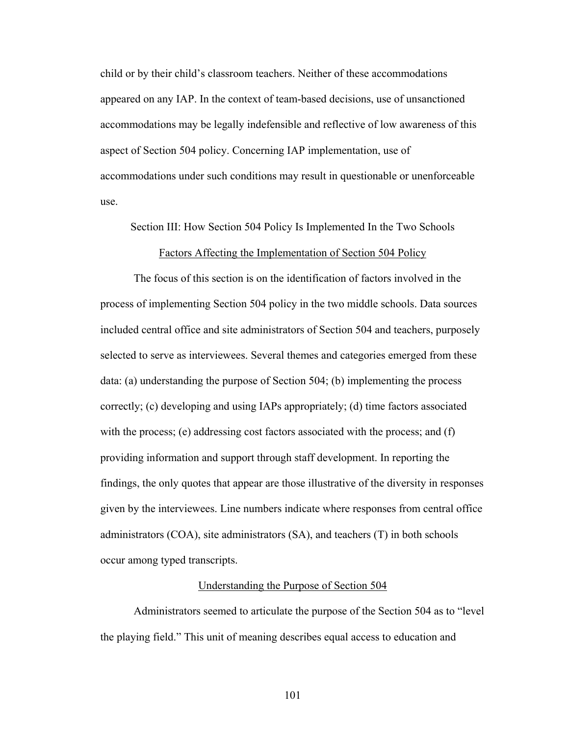child or by their child's classroom teachers. Neither of these accommodations appeared on any IAP. In the context of team-based decisions, use of unsanctioned accommodations may be legally indefensible and reflective of low awareness of this aspect of Section 504 policy. Concerning IAP implementation, use of accommodations under such conditions may result in questionable or unenforceable use.

Section III: How Section 504 Policy Is Implemented In the Two Schools

#### Factors Affecting the Implementation of Section 504 Policy

The focus of this section is on the identification of factors involved in the process of implementing Section 504 policy in the two middle schools. Data sources included central office and site administrators of Section 504 and teachers, purposely selected to serve as interviewees. Several themes and categories emerged from these data: (a) understanding the purpose of Section 504; (b) implementing the process correctly; (c) developing and using IAPs appropriately; (d) time factors associated with the process; (e) addressing cost factors associated with the process; and (f) providing information and support through staff development. In reporting the findings, the only quotes that appear are those illustrative of the diversity in responses given by the interviewees. Line numbers indicate where responses from central office administrators (COA), site administrators (SA), and teachers (T) in both schools occur among typed transcripts.

#### Understanding the Purpose of Section 504

 Administrators seemed to articulate the purpose of the Section 504 as to "level the playing field." This unit of meaning describes equal access to education and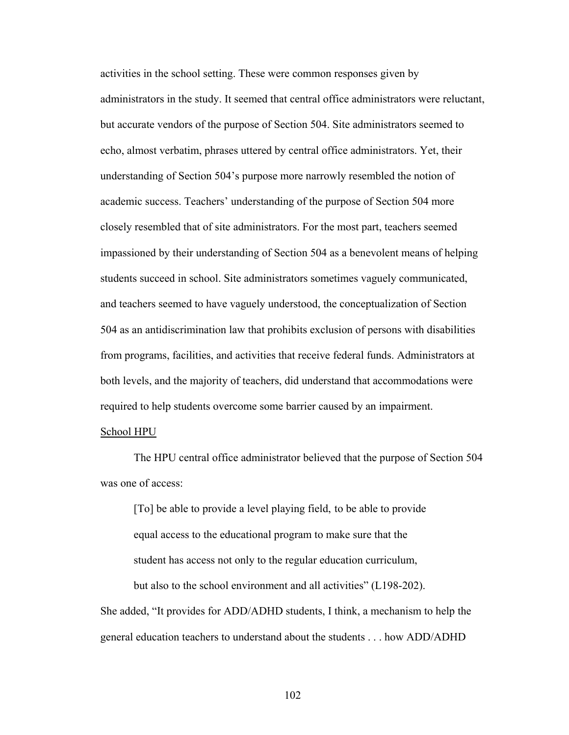activities in the school setting. These were common responses given by administrators in the study. It seemed that central office administrators were reluctant, but accurate vendors of the purpose of Section 504. Site administrators seemed to echo, almost verbatim, phrases uttered by central office administrators. Yet, their understanding of Section 504's purpose more narrowly resembled the notion of academic success. Teachers' understanding of the purpose of Section 504 more closely resembled that of site administrators. For the most part, teachers seemed impassioned by their understanding of Section 504 as a benevolent means of helping students succeed in school. Site administrators sometimes vaguely communicated, and teachers seemed to have vaguely understood, the conceptualization of Section 504 as an antidiscrimination law that prohibits exclusion of persons with disabilities from programs, facilities, and activities that receive federal funds. Administrators at both levels, and the majority of teachers, did understand that accommodations were required to help students overcome some barrier caused by an impairment.

### School HPU

 The HPU central office administrator believed that the purpose of Section 504 was one of access:

 [To] be able to provide a level playing field, to be able to provide equal access to the educational program to make sure that the student has access not only to the regular education curriculum, but also to the school environment and all activities" (L198-202).

She added, "It provides for ADD/ADHD students, I think, a mechanism to help the general education teachers to understand about the students . . . how ADD/ADHD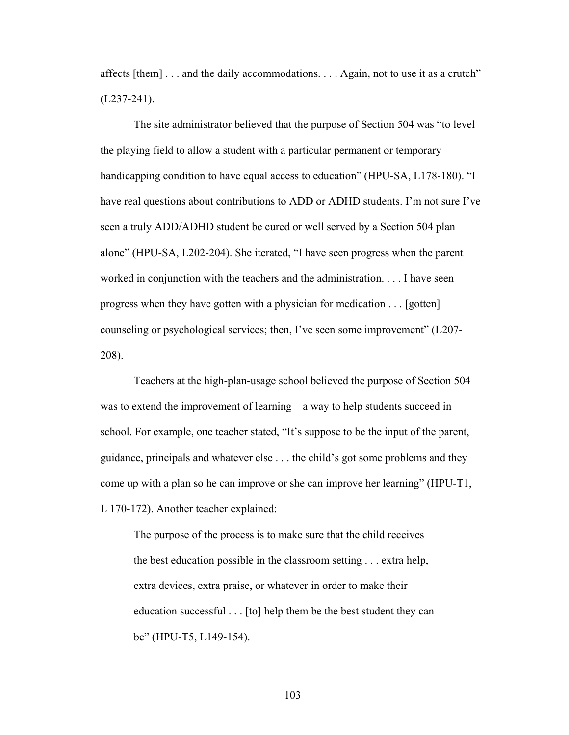affects [them] . . . and the daily accommodations. . . . Again, not to use it as a crutch"  $(L237-241)$ .

 The site administrator believed that the purpose of Section 504 was "to level the playing field to allow a student with a particular permanent or temporary handicapping condition to have equal access to education" (HPU-SA, L178-180). "I have real questions about contributions to ADD or ADHD students. I'm not sure I've seen a truly ADD/ADHD student be cured or well served by a Section 504 plan alone" (HPU-SA, L202-204). She iterated, "I have seen progress when the parent worked in conjunction with the teachers and the administration. . . . I have seen progress when they have gotten with a physician for medication . . . [gotten] counseling or psychological services; then, I've seen some improvement" (L207- 208).

 Teachers at the high-plan-usage school believed the purpose of Section 504 was to extend the improvement of learning—a way to help students succeed in school. For example, one teacher stated, "It's suppose to be the input of the parent, guidance, principals and whatever else . . . the child's got some problems and they come up with a plan so he can improve or she can improve her learning" (HPU-T1, L 170-172). Another teacher explained:

The purpose of the process is to make sure that the child receives the best education possible in the classroom setting . . . extra help, extra devices, extra praise, or whatever in order to make their education successful . . . [to] help them be the best student they can be" (HPU-T5, L149-154).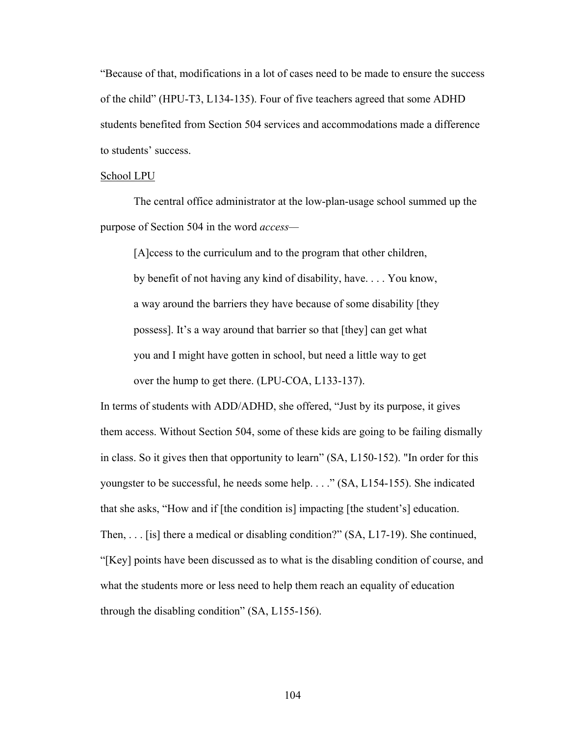"Because of that, modifications in a lot of cases need to be made to ensure the success of the child" (HPU-T3, L134-135). Four of five teachers agreed that some ADHD students benefited from Section 504 services and accommodations made a difference to students' success.

#### School LPU

 The central office administrator at the low-plan-usage school summed up the purpose of Section 504 in the word *access—* 

[A]ccess to the curriculum and to the program that other children, by benefit of not having any kind of disability, have. . . . You know, a way around the barriers they have because of some disability [they possess]. It's a way around that barrier so that [they] can get what you and I might have gotten in school, but need a little way to get over the hump to get there. (LPU-COA, L133-137).

In terms of students with ADD/ADHD, she offered, "Just by its purpose, it gives them access. Without Section 504, some of these kids are going to be failing dismally in class. So it gives then that opportunity to learn" (SA, L150-152). "In order for this youngster to be successful, he needs some help. . . ." (SA, L154-155). She indicated that she asks, "How and if [the condition is] impacting [the student's] education. Then, . . . [is] there a medical or disabling condition?" (SA, L17-19). She continued, "[Key] points have been discussed as to what is the disabling condition of course, and what the students more or less need to help them reach an equality of education through the disabling condition" (SA, L155-156).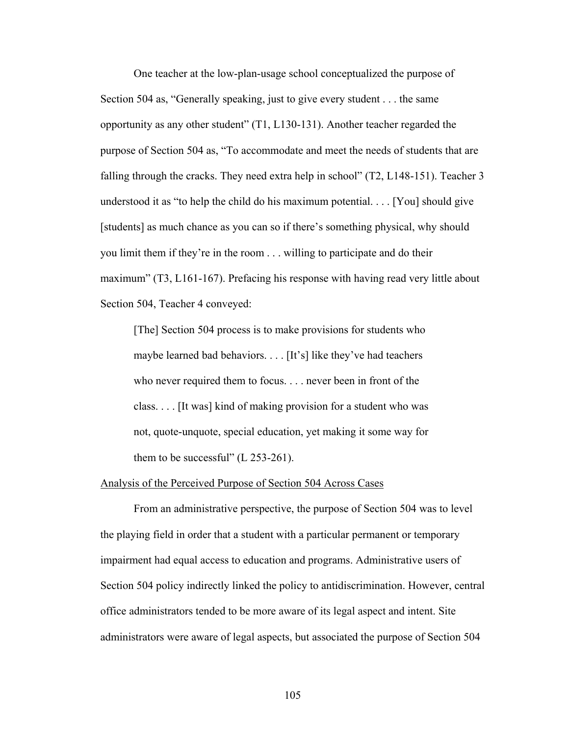One teacher at the low-plan-usage school conceptualized the purpose of Section 504 as, "Generally speaking, just to give every student . . . the same opportunity as any other student" (T1, L130-131). Another teacher regarded the purpose of Section 504 as, "To accommodate and meet the needs of students that are falling through the cracks. They need extra help in school" (T2, L148-151). Teacher 3 understood it as "to help the child do his maximum potential. . . . [You] should give [students] as much chance as you can so if there's something physical, why should you limit them if they're in the room . . . willing to participate and do their maximum" (T3, L161-167). Prefacing his response with having read very little about Section 504, Teacher 4 conveyed:

[The] Section 504 process is to make provisions for students who maybe learned bad behaviors. . . . [It's] like they've had teachers who never required them to focus. . . . never been in front of the class. . . . [It was] kind of making provision for a student who was not, quote-unquote, special education, yet making it some way for them to be successful"  $(L 253-261)$ .

#### Analysis of the Perceived Purpose of Section 504 Across Cases

 From an administrative perspective, the purpose of Section 504 was to level the playing field in order that a student with a particular permanent or temporary impairment had equal access to education and programs. Administrative users of Section 504 policy indirectly linked the policy to antidiscrimination. However, central office administrators tended to be more aware of its legal aspect and intent. Site administrators were aware of legal aspects, but associated the purpose of Section 504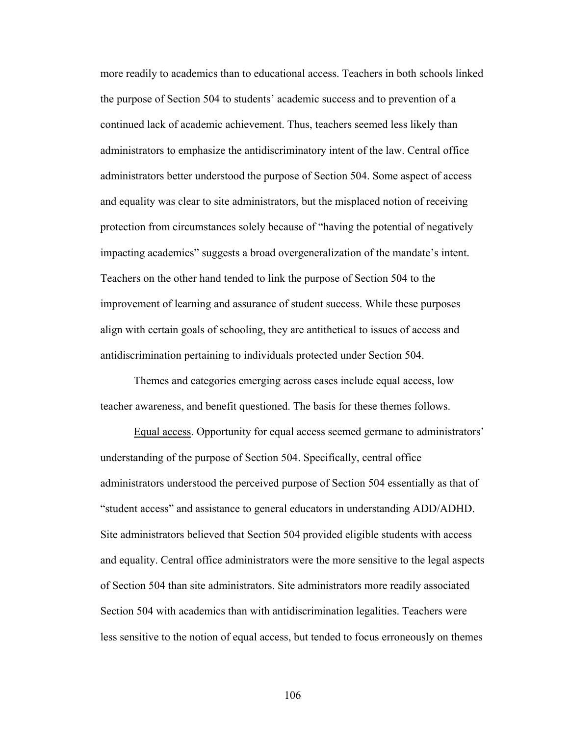more readily to academics than to educational access. Teachers in both schools linked the purpose of Section 504 to students' academic success and to prevention of a continued lack of academic achievement. Thus, teachers seemed less likely than administrators to emphasize the antidiscriminatory intent of the law. Central office administrators better understood the purpose of Section 504. Some aspect of access and equality was clear to site administrators, but the misplaced notion of receiving protection from circumstances solely because of "having the potential of negatively impacting academics" suggests a broad overgeneralization of the mandate's intent. Teachers on the other hand tended to link the purpose of Section 504 to the improvement of learning and assurance of student success. While these purposes align with certain goals of schooling, they are antithetical to issues of access and antidiscrimination pertaining to individuals protected under Section 504.

 Themes and categories emerging across cases include equal access, low teacher awareness, and benefit questioned. The basis for these themes follows.

 Equal access. Opportunity for equal access seemed germane to administrators' understanding of the purpose of Section 504. Specifically, central office administrators understood the perceived purpose of Section 504 essentially as that of "student access" and assistance to general educators in understanding ADD/ADHD. Site administrators believed that Section 504 provided eligible students with access and equality. Central office administrators were the more sensitive to the legal aspects of Section 504 than site administrators. Site administrators more readily associated Section 504 with academics than with antidiscrimination legalities. Teachers were less sensitive to the notion of equal access, but tended to focus erroneously on themes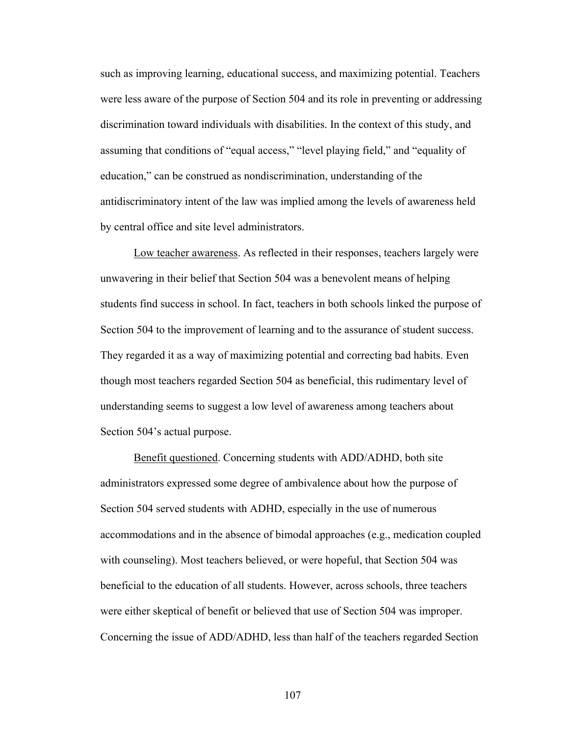such as improving learning, educational success, and maximizing potential. Teachers were less aware of the purpose of Section 504 and its role in preventing or addressing discrimination toward individuals with disabilities. In the context of this study, and assuming that conditions of "equal access," "level playing field," and "equality of education," can be construed as nondiscrimination, understanding of the antidiscriminatory intent of the law was implied among the levels of awareness held by central office and site level administrators.

 Low teacher awareness. As reflected in their responses, teachers largely were unwavering in their belief that Section 504 was a benevolent means of helping students find success in school. In fact, teachers in both schools linked the purpose of Section 504 to the improvement of learning and to the assurance of student success. They regarded it as a way of maximizing potential and correcting bad habits. Even though most teachers regarded Section 504 as beneficial, this rudimentary level of understanding seems to suggest a low level of awareness among teachers about Section 504's actual purpose.

 Benefit questioned. Concerning students with ADD/ADHD, both site administrators expressed some degree of ambivalence about how the purpose of Section 504 served students with ADHD, especially in the use of numerous accommodations and in the absence of bimodal approaches (e.g., medication coupled with counseling). Most teachers believed, or were hopeful, that Section 504 was beneficial to the education of all students. However, across schools, three teachers were either skeptical of benefit or believed that use of Section 504 was improper. Concerning the issue of ADD/ADHD, less than half of the teachers regarded Section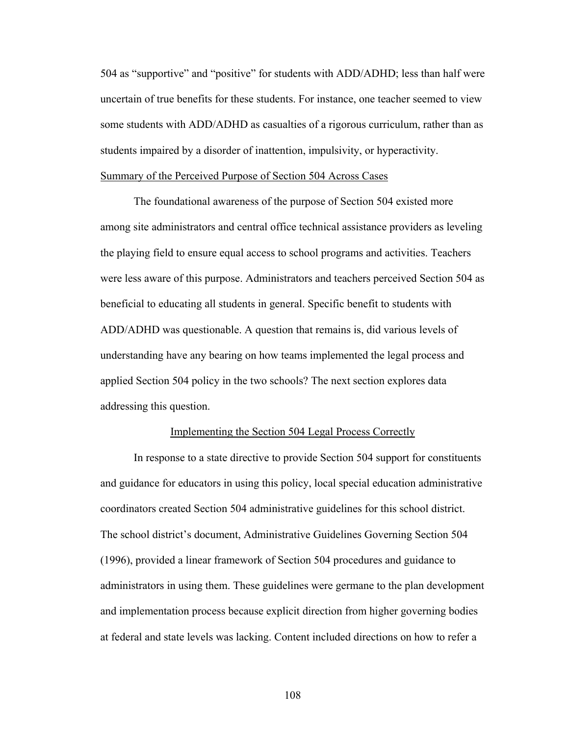504 as "supportive" and "positive" for students with ADD/ADHD; less than half were uncertain of true benefits for these students. For instance, one teacher seemed to view some students with ADD/ADHD as casualties of a rigorous curriculum, rather than as students impaired by a disorder of inattention, impulsivity, or hyperactivity. Summary of the Perceived Purpose of Section 504 Across Cases

 The foundational awareness of the purpose of Section 504 existed more among site administrators and central office technical assistance providers as leveling the playing field to ensure equal access to school programs and activities. Teachers were less aware of this purpose. Administrators and teachers perceived Section 504 as beneficial to educating all students in general. Specific benefit to students with ADD/ADHD was questionable. A question that remains is, did various levels of understanding have any bearing on how teams implemented the legal process and applied Section 504 policy in the two schools? The next section explores data addressing this question.

### Implementing the Section 504 Legal Process Correctly

 In response to a state directive to provide Section 504 support for constituents and guidance for educators in using this policy, local special education administrative coordinators created Section 504 administrative guidelines for this school district. The school district's document, Administrative Guidelines Governing Section 504 (1996), provided a linear framework of Section 504 procedures and guidance to administrators in using them. These guidelines were germane to the plan development and implementation process because explicit direction from higher governing bodies at federal and state levels was lacking. Content included directions on how to refer a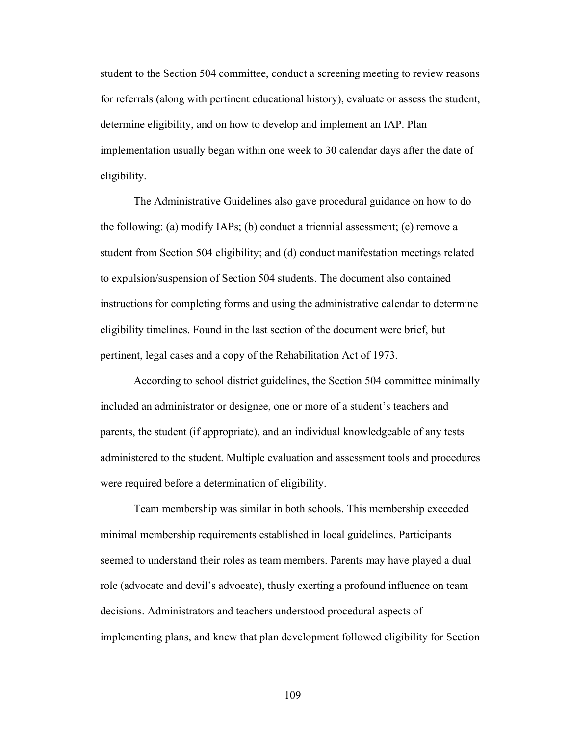student to the Section 504 committee, conduct a screening meeting to review reasons for referrals (along with pertinent educational history), evaluate or assess the student, determine eligibility, and on how to develop and implement an IAP. Plan implementation usually began within one week to 30 calendar days after the date of eligibility.

 The Administrative Guidelines also gave procedural guidance on how to do the following: (a) modify IAPs; (b) conduct a triennial assessment; (c) remove a student from Section 504 eligibility; and (d) conduct manifestation meetings related to expulsion/suspension of Section 504 students. The document also contained instructions for completing forms and using the administrative calendar to determine eligibility timelines. Found in the last section of the document were brief, but pertinent, legal cases and a copy of the Rehabilitation Act of 1973.

 According to school district guidelines, the Section 504 committee minimally included an administrator or designee, one or more of a student's teachers and parents, the student (if appropriate), and an individual knowledgeable of any tests administered to the student. Multiple evaluation and assessment tools and procedures were required before a determination of eligibility.

 Team membership was similar in both schools. This membership exceeded minimal membership requirements established in local guidelines. Participants seemed to understand their roles as team members. Parents may have played a dual role (advocate and devil's advocate), thusly exerting a profound influence on team decisions. Administrators and teachers understood procedural aspects of implementing plans, and knew that plan development followed eligibility for Section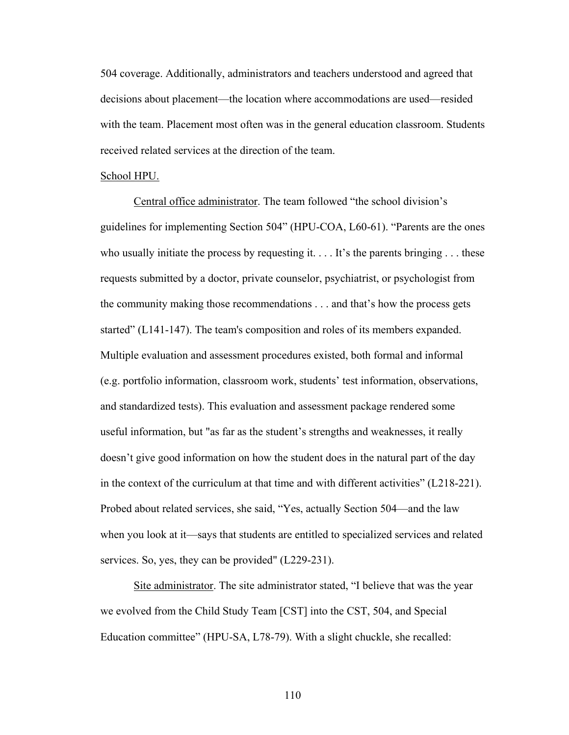504 coverage. Additionally, administrators and teachers understood and agreed that decisions about placement—the location where accommodations are used—resided with the team. Placement most often was in the general education classroom. Students received related services at the direction of the team.

### School HPU.

 Central office administrator. The team followed "the school division's guidelines for implementing Section 504" (HPU-COA, L60-61). "Parents are the ones who usually initiate the process by requesting it.  $\dots$  It's the parents bringing  $\dots$  these requests submitted by a doctor, private counselor, psychiatrist, or psychologist from the community making those recommendations . . . and that's how the process gets started" (L141-147). The team's composition and roles of its members expanded. Multiple evaluation and assessment procedures existed, both formal and informal (e.g. portfolio information, classroom work, students' test information, observations, and standardized tests). This evaluation and assessment package rendered some useful information, but "as far as the student's strengths and weaknesses, it really doesn't give good information on how the student does in the natural part of the day in the context of the curriculum at that time and with different activities" (L218-221). Probed about related services, she said, "Yes, actually Section 504—and the law when you look at it—says that students are entitled to specialized services and related services. So, yes, they can be provided" (L229-231).

 Site administrator. The site administrator stated, "I believe that was the year we evolved from the Child Study Team [CST] into the CST, 504, and Special Education committee" (HPU-SA, L78-79). With a slight chuckle, she recalled: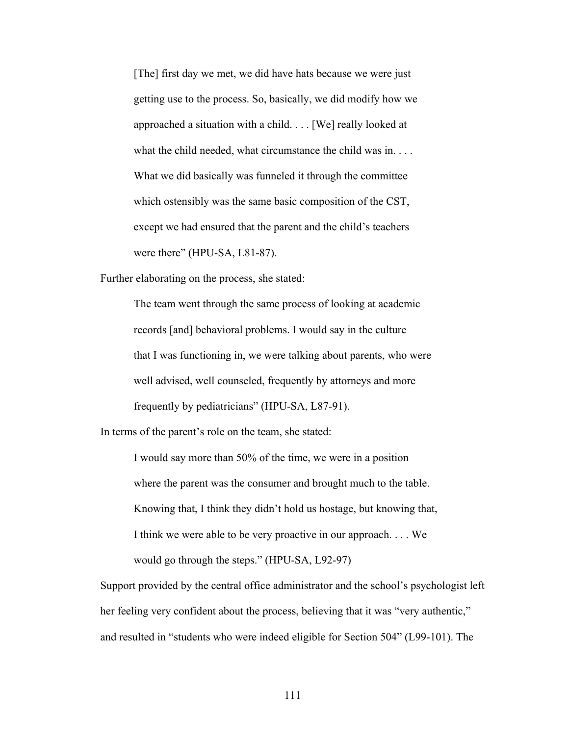[The] first day we met, we did have hats because we were just getting use to the process. So, basically, we did modify how we approached a situation with a child. . . . [We] really looked at what the child needed, what circumstance the child was in. . . . What we did basically was funneled it through the committee which ostensibly was the same basic composition of the CST, except we had ensured that the parent and the child's teachers were there" (HPU-SA, L81-87).

Further elaborating on the process, she stated:

 The team went through the same process of looking at academic records [and] behavioral problems. I would say in the culture that I was functioning in, we were talking about parents, who were well advised, well counseled, frequently by attorneys and more frequently by pediatricians" (HPU-SA, L87-91).

In terms of the parent's role on the team, she stated:

 I would say more than 50% of the time, we were in a position where the parent was the consumer and brought much to the table. Knowing that, I think they didn't hold us hostage, but knowing that, I think we were able to be very proactive in our approach. . . . We would go through the steps." (HPU-SA, L92-97)

Support provided by the central office administrator and the school's psychologist left her feeling very confident about the process, believing that it was "very authentic," and resulted in "students who were indeed eligible for Section 504" (L99-101). The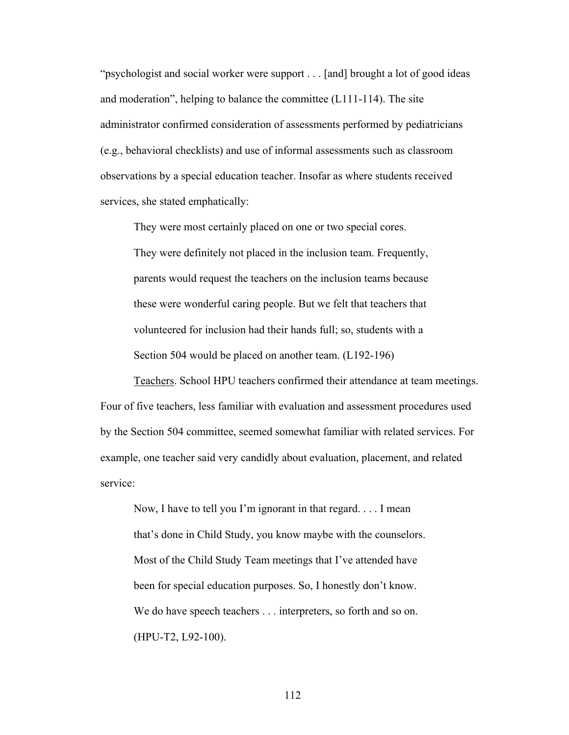"psychologist and social worker were support . . . [and] brought a lot of good ideas and moderation", helping to balance the committee (L111-114). The site administrator confirmed consideration of assessments performed by pediatricians (e.g., behavioral checklists) and use of informal assessments such as classroom observations by a special education teacher. Insofar as where students received services, she stated emphatically:

They were most certainly placed on one or two special cores.

They were definitely not placed in the inclusion team. Frequently, parents would request the teachers on the inclusion teams because these were wonderful caring people. But we felt that teachers that volunteered for inclusion had their hands full; so, students with a Section 504 would be placed on another team. (L192-196)

 Teachers. School HPU teachers confirmed their attendance at team meetings. Four of five teachers, less familiar with evaluation and assessment procedures used by the Section 504 committee, seemed somewhat familiar with related services. For example, one teacher said very candidly about evaluation, placement, and related service:

 Now, I have to tell you I'm ignorant in that regard. . . . I mean that's done in Child Study, you know maybe with the counselors. Most of the Child Study Team meetings that I've attended have been for special education purposes. So, I honestly don't know. We do have speech teachers . . . interpreters, so forth and so on. (HPU-T2, L92-100).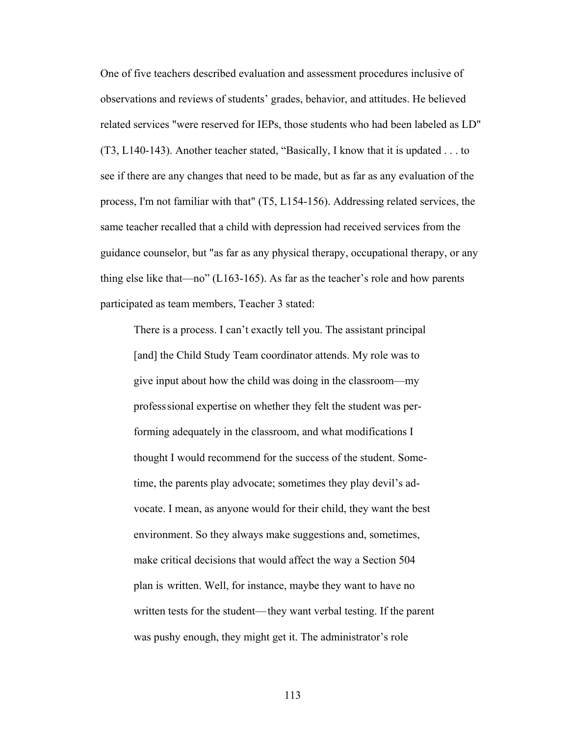One of five teachers described evaluation and assessment procedures inclusive of observations and reviews of students' grades, behavior, and attitudes. He believed related services "were reserved for IEPs, those students who had been labeled as LD" (T3, L140-143). Another teacher stated, "Basically, I know that it is updated . . . to see if there are any changes that need to be made, but as far as any evaluation of the process, I'm not familiar with that" (T5, L154-156). Addressing related services, the same teacher recalled that a child with depression had received services from the guidance counselor, but "as far as any physical therapy, occupational therapy, or any thing else like that—no" (L163-165). As far as the teacher's role and how parents participated as team members, Teacher 3 stated:

 There is a process. I can't exactly tell you. The assistant principal [and] the Child Study Team coordinator attends. My role was to give input about how the child was doing in the classroom—my profess sional expertise on whether they felt the student was per forming adequately in the classroom, and what modifications I thought I would recommend for the success of the student. Some time, the parents play advocate; sometimes they play devil's ad vocate. I mean, as anyone would for their child, they want the best environment. So they always make suggestions and, sometimes, make critical decisions that would affect the way a Section 504 plan is written. Well, for instance, maybe they want to have no written tests for the student— they want verbal testing. If the parent was pushy enough, they might get it. The administrator's role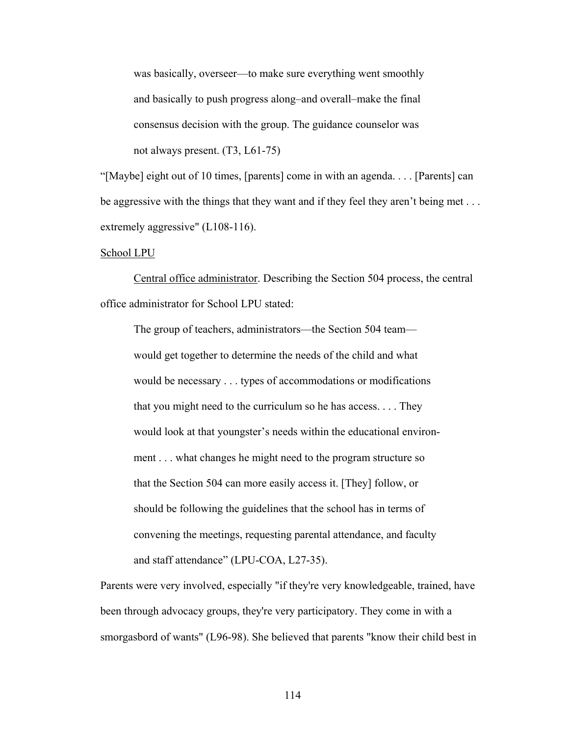was basically, overseer—to make sure everything went smoothly and basically to push progress along–and overall–make the final consensus decision with the group. The guidance counselor was not always present. (T3, L61-75)

"[Maybe] eight out of 10 times, [parents] come in with an agenda. . . . [Parents] can be aggressive with the things that they want and if they feel they aren't being met . . . extremely aggressive" (L108-116).

### School LPU

 Central office administrator. Describing the Section 504 process, the central office administrator for School LPU stated:

 The group of teachers, administrators—the Section 504 team would get together to determine the needs of the child and what would be necessary . . . types of accommodations or modifications that you might need to the curriculum so he has access. . . . They would look at that youngster's needs within the educational environ ment . . . what changes he might need to the program structure so that the Section 504 can more easily access it. [They] follow, or should be following the guidelines that the school has in terms of convening the meetings, requesting parental attendance, and faculty and staff attendance" (LPU-COA, L27-35).

Parents were very involved, especially "if they're very knowledgeable, trained, have been through advocacy groups, they're very participatory. They come in with a smorgasbord of wants" (L96-98). She believed that parents "know their child best in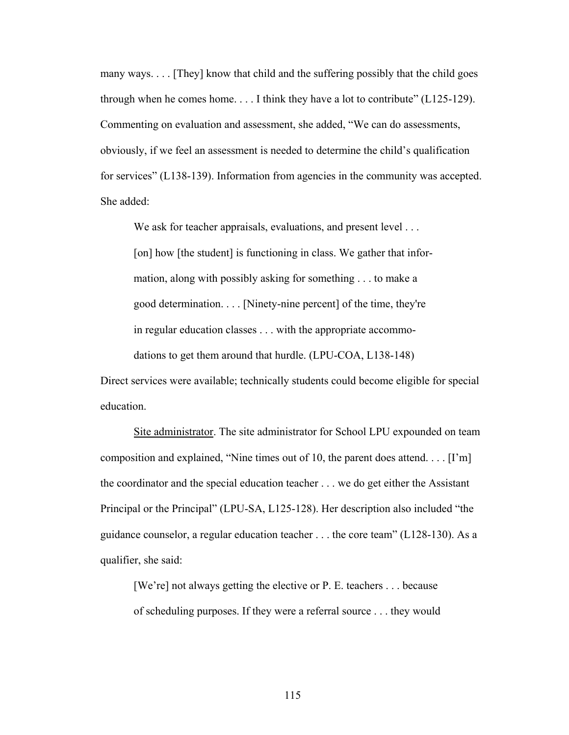many ways. . . . [They] know that child and the suffering possibly that the child goes through when he comes home. . . . I think they have a lot to contribute" (L125-129). Commenting on evaluation and assessment, she added, "We can do assessments, obviously, if we feel an assessment is needed to determine the child's qualification for services" (L138-139). Information from agencies in the community was accepted. She added:

We ask for teacher appraisals, evaluations, and present level ... [on] how [the student] is functioning in class. We gather that infor mation, along with possibly asking for something . . . to make a good determination. . . . [Ninety-nine percent] of the time, they're in regular education classes . . . with the appropriate accommo dations to get them around that hurdle. (LPU-COA, L138-148)

Direct services were available; technically students could become eligible for special education.

 Site administrator. The site administrator for School LPU expounded on team composition and explained, "Nine times out of 10, the parent does attend. . . . [I'm] the coordinator and the special education teacher . . . we do get either the Assistant Principal or the Principal" (LPU-SA, L125-128). Her description also included "the guidance counselor, a regular education teacher . . . the core team" (L128-130). As a qualifier, she said:

 [We're] not always getting the elective or P. E. teachers . . . because of scheduling purposes. If they were a referral source . . . they would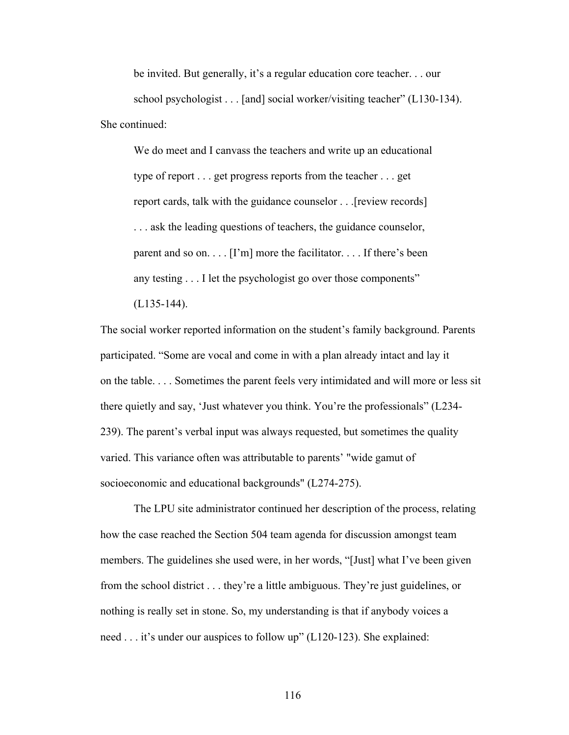be invited. But generally, it's a regular education core teacher. . . our school psychologist . . . [and] social worker/visiting teacher" (L130-134). She continued:

 We do meet and I canvass the teachers and write up an educational type of report . . . get progress reports from the teacher . . . get report cards, talk with the guidance counselor . . .[review records] . . . ask the leading questions of teachers, the guidance counselor, parent and so on.  $\ldots$  [I'm] more the facilitator.  $\ldots$  If there's been any testing . . . I let the psychologist go over those components"

(L135-144).

The social worker reported information on the student's family background. Parents participated. "Some are vocal and come in with a plan already intact and lay it on the table. . . . Sometimes the parent feels very intimidated and will more or less sit there quietly and say, 'Just whatever you think. You're the professionals" (L234- 239). The parent's verbal input was always requested, but sometimes the quality varied. This variance often was attributable to parents' "wide gamut of socioeconomic and educational backgrounds" (L274-275).

 The LPU site administrator continued her description of the process, relating how the case reached the Section 504 team agenda for discussion amongst team members. The guidelines she used were, in her words, "[Just] what I've been given from the school district . . . they're a little ambiguous. They're just guidelines, or nothing is really set in stone. So, my understanding is that if anybody voices a need . . . it's under our auspices to follow up" (L120-123). She explained: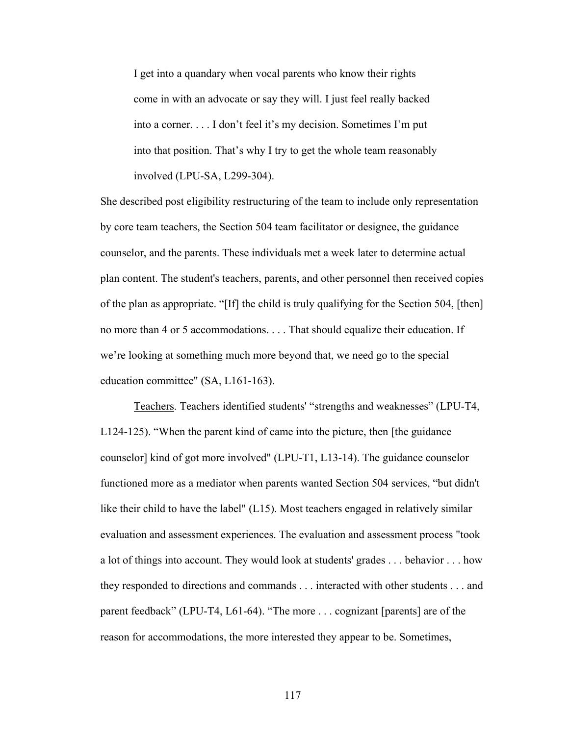I get into a quandary when vocal parents who know their rights come in with an advocate or say they will. I just feel really backed into a corner. . . . I don't feel it's my decision. Sometimes I'm put into that position. That's why I try to get the whole team reasonably involved (LPU-SA, L299-304).

She described post eligibility restructuring of the team to include only representation by core team teachers, the Section 504 team facilitator or designee, the guidance counselor, and the parents. These individuals met a week later to determine actual plan content. The student's teachers, parents, and other personnel then received copies of the plan as appropriate. "[If] the child is truly qualifying for the Section 504, [then] no more than 4 or 5 accommodations. . . . That should equalize their education. If we're looking at something much more beyond that, we need go to the special education committee" (SA, L161-163).

 Teachers. Teachers identified students' "strengths and weaknesses" (LPU-T4, L124-125). "When the parent kind of came into the picture, then [the guidance counselor] kind of got more involved" (LPU-T1, L13-14). The guidance counselor functioned more as a mediator when parents wanted Section 504 services, "but didn't like their child to have the label" (L15). Most teachers engaged in relatively similar evaluation and assessment experiences. The evaluation and assessment process "took a lot of things into account. They would look at students' grades . . . behavior . . . how they responded to directions and commands . . . interacted with other students . . . and parent feedback" (LPU-T4, L61-64). "The more . . . cognizant [parents] are of the reason for accommodations, the more interested they appear to be. Sometimes,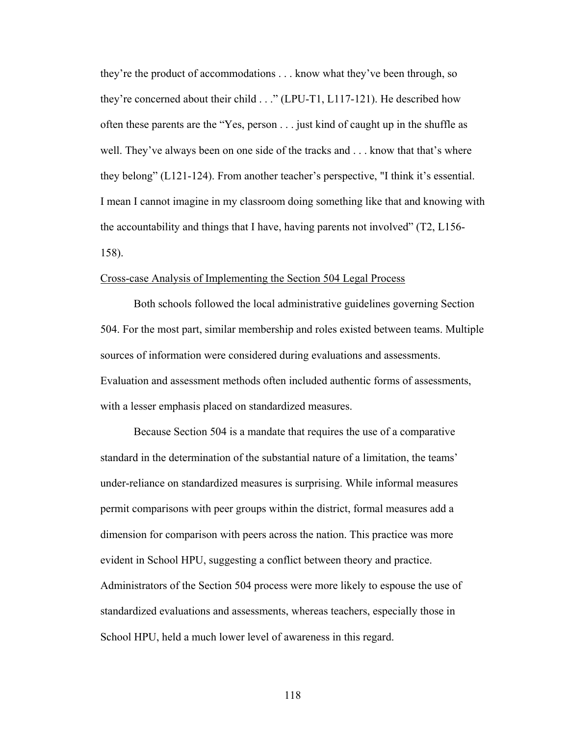they're the product of accommodations . . . know what they've been through, so they're concerned about their child . . ." (LPU-T1, L117-121). He described how often these parents are the "Yes, person . . . just kind of caught up in the shuffle as well. They've always been on one side of the tracks and . . . know that that's where they belong" (L121-124). From another teacher's perspective, "I think it's essential. I mean I cannot imagine in my classroom doing something like that and knowing with the accountability and things that I have, having parents not involved" (T2, L156- 158).

### Cross-case Analysis of Implementing the Section 504 Legal Process

 Both schools followed the local administrative guidelines governing Section 504. For the most part, similar membership and roles existed between teams. Multiple sources of information were considered during evaluations and assessments. Evaluation and assessment methods often included authentic forms of assessments, with a lesser emphasis placed on standardized measures.

 Because Section 504 is a mandate that requires the use of a comparative standard in the determination of the substantial nature of a limitation, the teams' under-reliance on standardized measures is surprising. While informal measures permit comparisons with peer groups within the district, formal measures add a dimension for comparison with peers across the nation. This practice was more evident in School HPU, suggesting a conflict between theory and practice. Administrators of the Section 504 process were more likely to espouse the use of standardized evaluations and assessments, whereas teachers, especially those in School HPU, held a much lower level of awareness in this regard.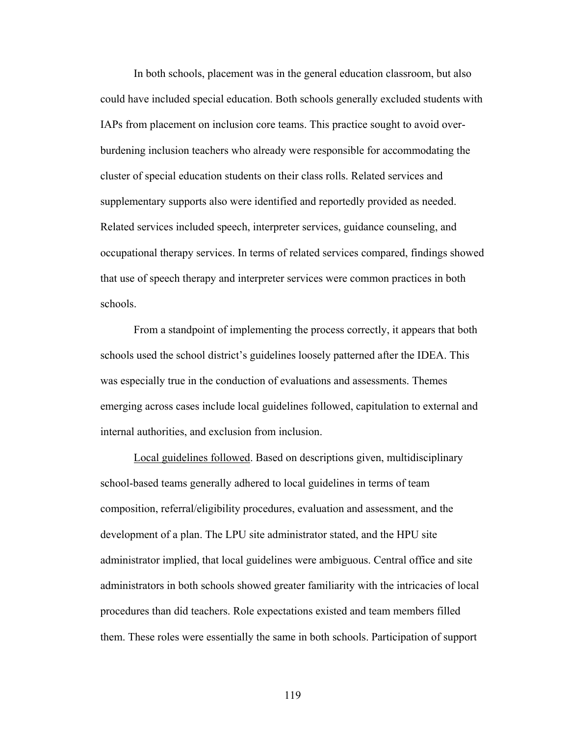In both schools, placement was in the general education classroom, but also could have included special education. Both schools generally excluded students with IAPs from placement on inclusion core teams. This practice sought to avoid overburdening inclusion teachers who already were responsible for accommodating the cluster of special education students on their class rolls. Related services and supplementary supports also were identified and reportedly provided as needed. Related services included speech, interpreter services, guidance counseling, and occupational therapy services. In terms of related services compared, findings showed that use of speech therapy and interpreter services were common practices in both schools.

 From a standpoint of implementing the process correctly, it appears that both schools used the school district's guidelines loosely patterned after the IDEA. This was especially true in the conduction of evaluations and assessments. Themes emerging across cases include local guidelines followed, capitulation to external and internal authorities, and exclusion from inclusion.

Local guidelines followed. Based on descriptions given, multidisciplinary school-based teams generally adhered to local guidelines in terms of team composition, referral/eligibility procedures, evaluation and assessment, and the development of a plan. The LPU site administrator stated, and the HPU site administrator implied, that local guidelines were ambiguous. Central office and site administrators in both schools showed greater familiarity with the intricacies of local procedures than did teachers. Role expectations existed and team members filled them. These roles were essentially the same in both schools. Participation of support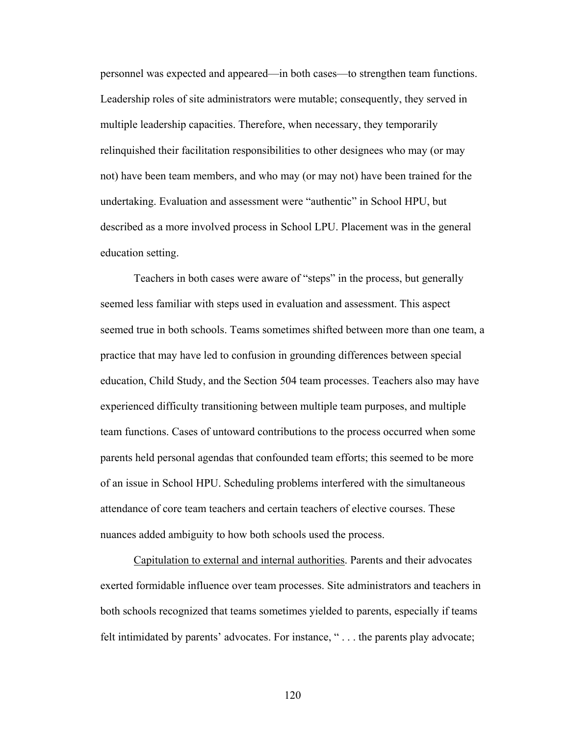personnel was expected and appeared—in both cases—to strengthen team functions. Leadership roles of site administrators were mutable; consequently, they served in multiple leadership capacities. Therefore, when necessary, they temporarily relinquished their facilitation responsibilities to other designees who may (or may not) have been team members, and who may (or may not) have been trained for the undertaking. Evaluation and assessment were "authentic" in School HPU, but described as a more involved process in School LPU. Placement was in the general education setting.

 Teachers in both cases were aware of "steps" in the process, but generally seemed less familiar with steps used in evaluation and assessment. This aspect seemed true in both schools. Teams sometimes shifted between more than one team, a practice that may have led to confusion in grounding differences between special education, Child Study, and the Section 504 team processes. Teachers also may have experienced difficulty transitioning between multiple team purposes, and multiple team functions. Cases of untoward contributions to the process occurred when some parents held personal agendas that confounded team efforts; this seemed to be more of an issue in School HPU. Scheduling problems interfered with the simultaneous attendance of core team teachers and certain teachers of elective courses. These nuances added ambiguity to how both schools used the process.

 Capitulation to external and internal authorities. Parents and their advocates exerted formidable influence over team processes. Site administrators and teachers in both schools recognized that teams sometimes yielded to parents, especially if teams felt intimidated by parents' advocates. For instance, "... the parents play advocate;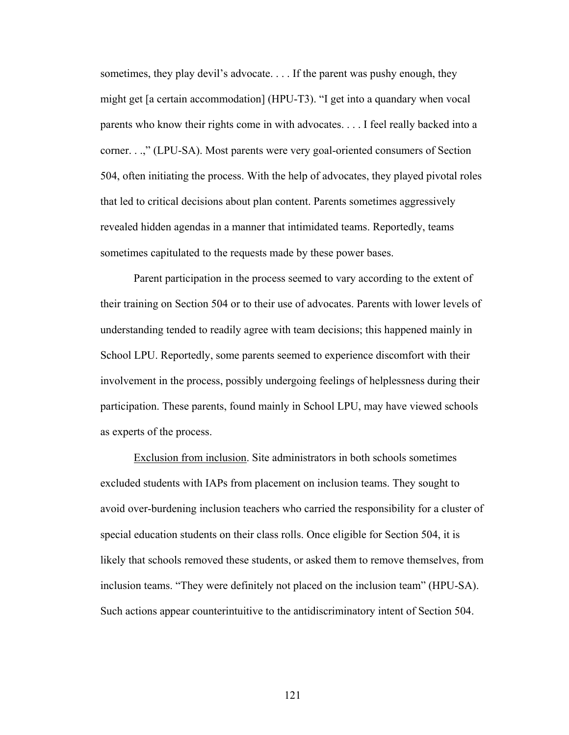sometimes, they play devil's advocate. . . . If the parent was pushy enough, they might get [a certain accommodation] (HPU-T3). "I get into a quandary when vocal parents who know their rights come in with advocates. . . . I feel really backed into a corner. . .," (LPU-SA). Most parents were very goal-oriented consumers of Section 504, often initiating the process. With the help of advocates, they played pivotal roles that led to critical decisions about plan content. Parents sometimes aggressively revealed hidden agendas in a manner that intimidated teams. Reportedly, teams sometimes capitulated to the requests made by these power bases.

 Parent participation in the process seemed to vary according to the extent of their training on Section 504 or to their use of advocates. Parents with lower levels of understanding tended to readily agree with team decisions; this happened mainly in School LPU. Reportedly, some parents seemed to experience discomfort with their involvement in the process, possibly undergoing feelings of helplessness during their participation. These parents, found mainly in School LPU, may have viewed schools as experts of the process.

 Exclusion from inclusion. Site administrators in both schools sometimes excluded students with IAPs from placement on inclusion teams. They sought to avoid over-burdening inclusion teachers who carried the responsibility for a cluster of special education students on their class rolls. Once eligible for Section 504, it is likely that schools removed these students, or asked them to remove themselves, from inclusion teams. "They were definitely not placed on the inclusion team" (HPU-SA). Such actions appear counterintuitive to the antidiscriminatory intent of Section 504.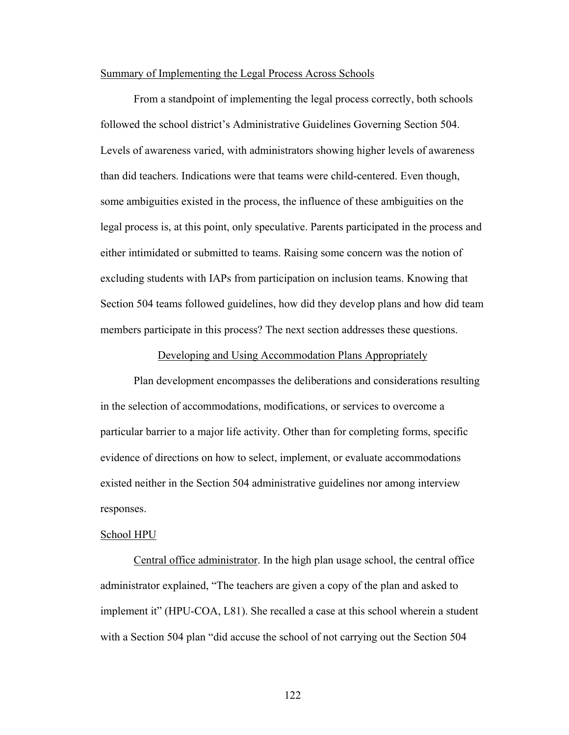## Summary of Implementing the Legal Process Across Schools

 From a standpoint of implementing the legal process correctly, both schools followed the school district's Administrative Guidelines Governing Section 504. Levels of awareness varied, with administrators showing higher levels of awareness than did teachers. Indications were that teams were child-centered. Even though, some ambiguities existed in the process, the influence of these ambiguities on the legal process is, at this point, only speculative. Parents participated in the process and either intimidated or submitted to teams. Raising some concern was the notion of excluding students with IAPs from participation on inclusion teams. Knowing that Section 504 teams followed guidelines, how did they develop plans and how did team members participate in this process? The next section addresses these questions.

## Developing and Using Accommodation Plans Appropriately

 Plan development encompasses the deliberations and considerations resulting in the selection of accommodations, modifications, or services to overcome a particular barrier to a major life activity. Other than for completing forms, specific evidence of directions on how to select, implement, or evaluate accommodations existed neither in the Section 504 administrative guidelines nor among interview responses.

#### School HPU

 Central office administrator. In the high plan usage school, the central office administrator explained, "The teachers are given a copy of the plan and asked to implement it" (HPU-COA, L81). She recalled a case at this school wherein a student with a Section 504 plan "did accuse the school of not carrying out the Section 504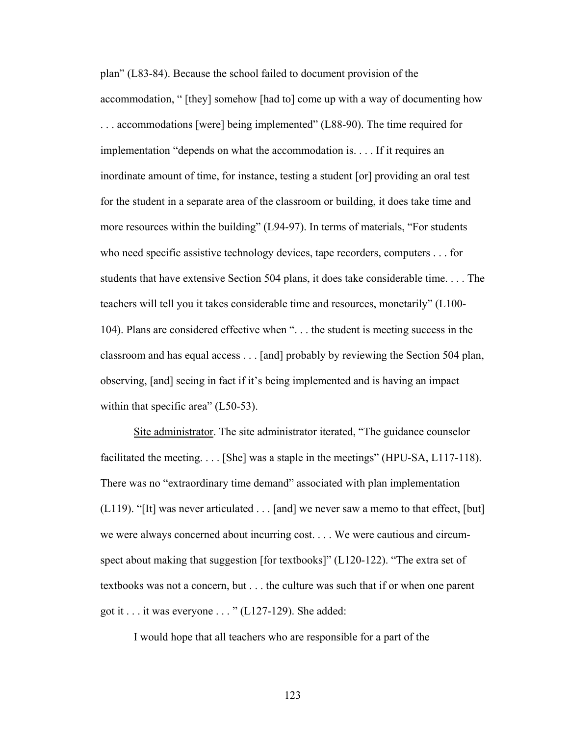plan" (L83-84). Because the school failed to document provision of the accommodation, " [they] somehow [had to] come up with a way of documenting how . . . accommodations [were] being implemented" (L88-90). The time required for implementation "depends on what the accommodation is. . . . If it requires an inordinate amount of time, for instance, testing a student [or] providing an oral test for the student in a separate area of the classroom or building, it does take time and more resources within the building" (L94-97). In terms of materials, "For students who need specific assistive technology devices, tape recorders, computers . . . for students that have extensive Section 504 plans, it does take considerable time. . . . The teachers will tell you it takes considerable time and resources, monetarily" (L100- 104). Plans are considered effective when ". . . the student is meeting success in the classroom and has equal access . . . [and] probably by reviewing the Section 504 plan, observing, [and] seeing in fact if it's being implemented and is having an impact within that specific area" (L50-53).

 Site administrator. The site administrator iterated, "The guidance counselor facilitated the meeting. . . . [She] was a staple in the meetings" (HPU-SA, L117-118). There was no "extraordinary time demand" associated with plan implementation (L119). "[It] was never articulated  $\dots$  [and] we never saw a memo to that effect, [but] we were always concerned about incurring cost. . . . We were cautious and circumspect about making that suggestion [for textbooks]" (L120-122). "The extra set of textbooks was not a concern, but . . . the culture was such that if or when one parent got it . . . it was everyone . . . " (L127-129). She added:

I would hope that all teachers who are responsible for a part of the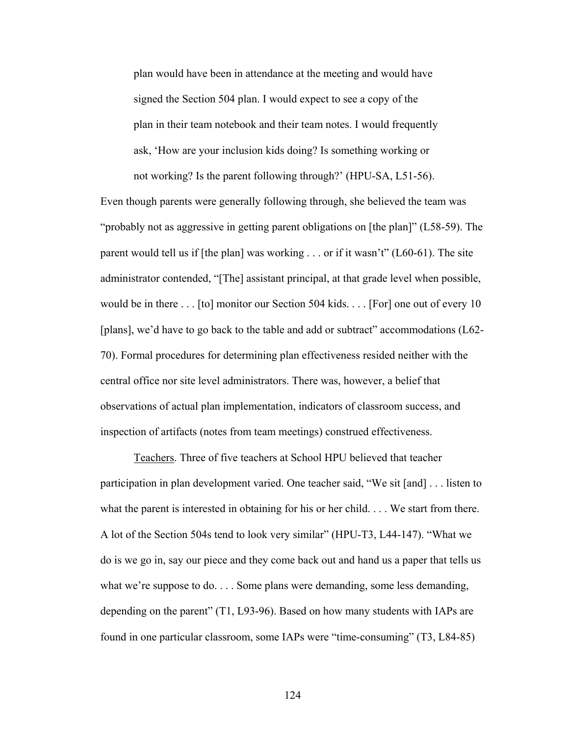plan would have been in attendance at the meeting and would have signed the Section 504 plan. I would expect to see a copy of the plan in their team notebook and their team notes. I would frequently ask, 'How are your inclusion kids doing? Is something working or not working? Is the parent following through?' (HPU-SA, L51-56).

Even though parents were generally following through, she believed the team was "probably not as aggressive in getting parent obligations on [the plan]" (L58-59). The parent would tell us if [the plan] was working . . . or if it wasn't" (L60-61). The site administrator contended, "[The] assistant principal, at that grade level when possible, would be in there . . . [to] monitor our Section 504 kids. . . . [For] one out of every 10 [plans], we'd have to go back to the table and add or subtract" accommodations (L62- 70). Formal procedures for determining plan effectiveness resided neither with the central office nor site level administrators. There was, however, a belief that observations of actual plan implementation, indicators of classroom success, and inspection of artifacts (notes from team meetings) construed effectiveness.

 Teachers. Three of five teachers at School HPU believed that teacher participation in plan development varied. One teacher said, "We sit [and] . . . listen to what the parent is interested in obtaining for his or her child. . . . We start from there. A lot of the Section 504s tend to look very similar" (HPU-T3, L44-147). "What we do is we go in, say our piece and they come back out and hand us a paper that tells us what we're suppose to do. . . . Some plans were demanding, some less demanding, depending on the parent" (T1, L93-96). Based on how many students with IAPs are found in one particular classroom, some IAPs were "time-consuming" (T3, L84-85)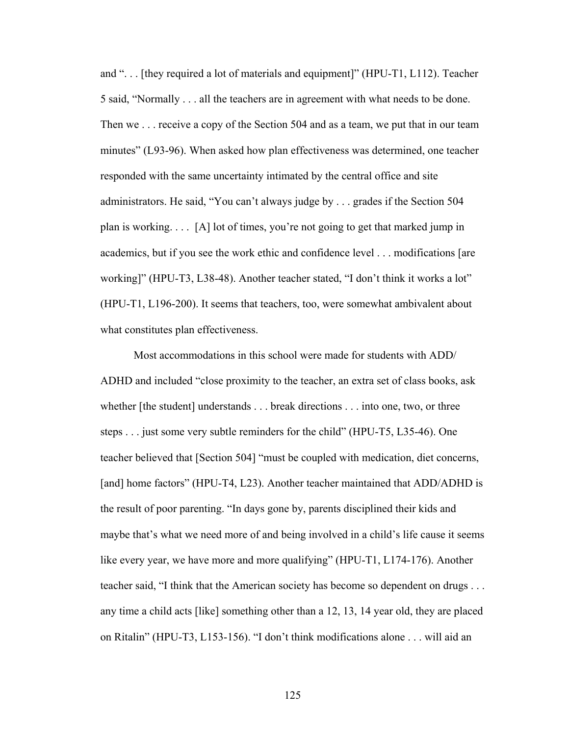and ". . . [they required a lot of materials and equipment]" (HPU-T1, L112). Teacher 5 said, "Normally . . . all the teachers are in agreement with what needs to be done. Then we . . . receive a copy of the Section 504 and as a team, we put that in our team minutes" (L93-96). When asked how plan effectiveness was determined, one teacher responded with the same uncertainty intimated by the central office and site administrators. He said, "You can't always judge by . . . grades if the Section 504 plan is working. . . . [A] lot of times, you're not going to get that marked jump in academics, but if you see the work ethic and confidence level . . . modifications [are working]" (HPU-T3, L38-48). Another teacher stated, "I don't think it works a lot" (HPU-T1, L196-200). It seems that teachers, too, were somewhat ambivalent about what constitutes plan effectiveness.

 Most accommodations in this school were made for students with ADD/ ADHD and included "close proximity to the teacher, an extra set of class books, ask whether [the student] understands . . . break directions . . . into one, two, or three steps . . . just some very subtle reminders for the child" (HPU-T5, L35-46). One teacher believed that [Section 504] "must be coupled with medication, diet concerns, [and] home factors" (HPU-T4, L23). Another teacher maintained that ADD/ADHD is the result of poor parenting. "In days gone by, parents disciplined their kids and maybe that's what we need more of and being involved in a child's life cause it seems like every year, we have more and more qualifying" (HPU-T1, L174-176). Another teacher said, "I think that the American society has become so dependent on drugs . . . any time a child acts [like] something other than a 12, 13, 14 year old, they are placed on Ritalin" (HPU-T3, L153-156). "I don't think modifications alone . . . will aid an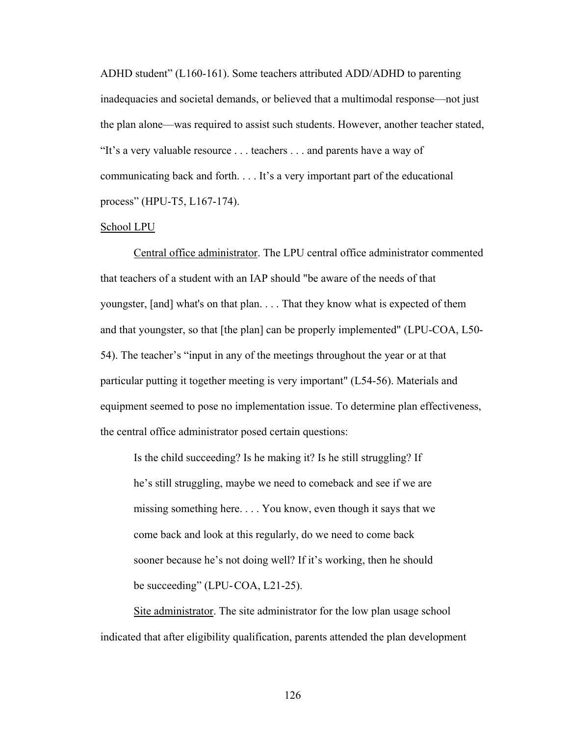ADHD student" (L160-161). Some teachers attributed ADD/ADHD to parenting inadequacies and societal demands, or believed that a multimodal response—not just the plan alone—was required to assist such students. However, another teacher stated, "It's a very valuable resource . . . teachers . . . and parents have a way of communicating back and forth. . . . It's a very important part of the educational process" (HPU-T5, L167-174).

### School LPU

 Central office administrator. The LPU central office administrator commented that teachers of a student with an IAP should "be aware of the needs of that youngster, [and] what's on that plan. . . . That they know what is expected of them and that youngster, so that [the plan] can be properly implemented" (LPU-COA, L50- 54). The teacher's "input in any of the meetings throughout the year or at that particular putting it together meeting is very important" (L54-56). Materials and equipment seemed to pose no implementation issue. To determine plan effectiveness, the central office administrator posed certain questions:

 Is the child succeeding? Is he making it? Is he still struggling? If he's still struggling, maybe we need to comeback and see if we are missing something here. . . . You know, even though it says that we come back and look at this regularly, do we need to come back sooner because he's not doing well? If it's working, then he should be succeeding" (LPU-COA, L21-25).

 Site administrator. The site administrator for the low plan usage school indicated that after eligibility qualification, parents attended the plan development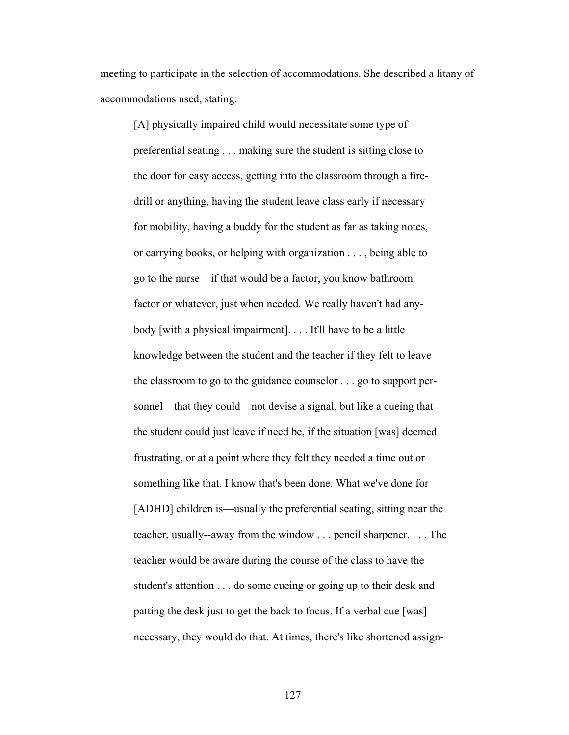meeting to participate in the selection of accommodations. She described a litany of accommodations used, stating:

[A] physically impaired child would necessitate some type of preferential seating . . . making sure the student is sitting close to the door for easy access, getting into the classroom through a fire drill or anything, having the student leave class early if necessary for mobility, having a buddy for the student as far as taking notes, or carrying books, or helping with organization . . . , being able to go to the nurse—if that would be a factor, you know bathroom factor or whatever, just when needed. We really haven't had any body [with a physical impairment]. . . . It'll have to be a little knowledge between the student and the teacher if they felt to leave the classroom to go to the guidance counselor . . . go to support per sonnel—that they could—not devise a signal, but like a cueing that the student could just leave if need be, if the situation [was] deemed frustrating, or at a point where they felt they needed a time out or something like that. I know that's been done. What we've done for [ADHD] children is—usually the preferential seating, sitting near the teacher, usually--away from the window . . . pencil sharpener. . . . The teacher would be aware during the course of the class to have the student's attention . . . do some cueing or going up to their desk and patting the desk just to get the back to focus. If a verbal cue [was] necessary, they would do that. At times, there's like shortened assign-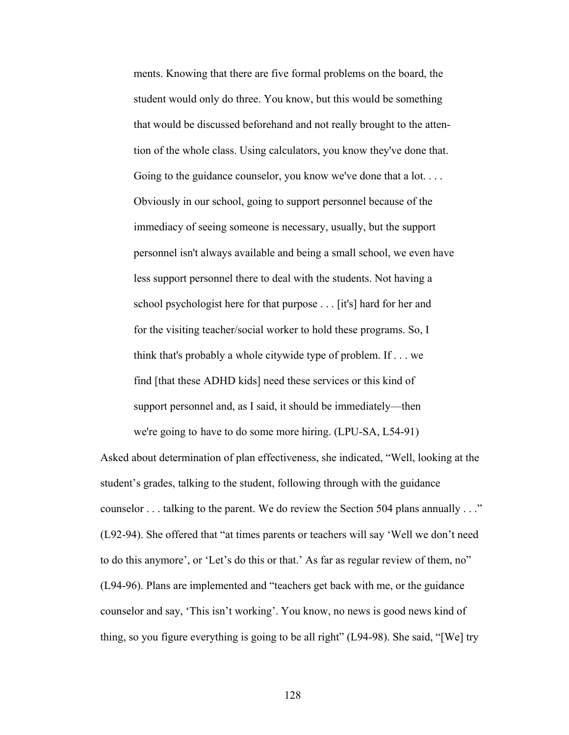ments. Knowing that there are five formal problems on the board, the student would only do three. You know, but this would be something that would be discussed beforehand and not really brought to the atten tion of the whole class. Using calculators, you know they've done that. Going to the guidance counselor, you know we've done that a lot... Obviously in our school, going to support personnel because of the immediacy of seeing someone is necessary, usually, but the support personnel isn't always available and being a small school, we even have less support personnel there to deal with the students. Not having a school psychologist here for that purpose . . . [it's] hard for her and for the visiting teacher/social worker to hold these programs. So, I think that's probably a whole citywide type of problem. If . . . we find [that these ADHD kids] need these services or this kind of support personnel and, as I said, it should be immediately—then we're going to have to do some more hiring. (LPU-SA, L54-91)

Asked about determination of plan effectiveness, she indicated, "Well, looking at the student's grades, talking to the student, following through with the guidance counselor . . . talking to the parent. We do review the Section 504 plans annually . . ." (L92-94). She offered that "at times parents or teachers will say 'Well we don't need to do this anymore', or 'Let's do this or that.' As far as regular review of them, no" (L94-96). Plans are implemented and "teachers get back with me, or the guidance counselor and say, 'This isn't working'. You know, no news is good news kind of thing, so you figure everything is going to be all right" (L94-98). She said, "[We] try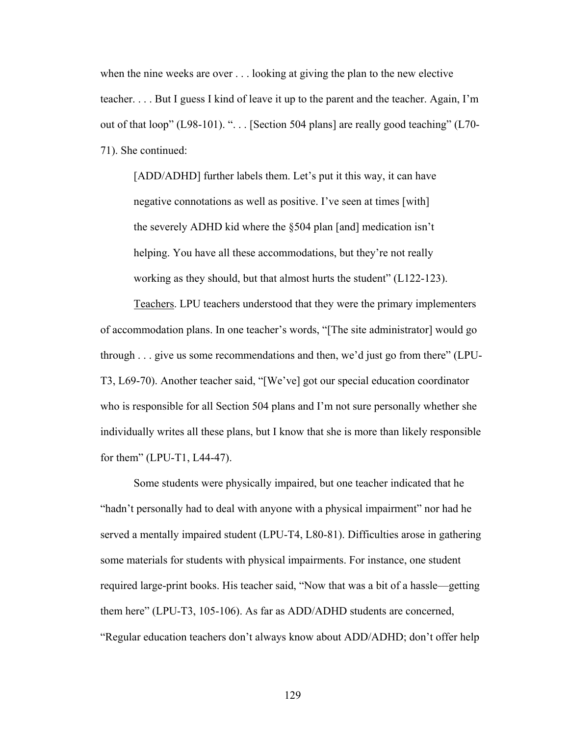when the nine weeks are over . . . looking at giving the plan to the new elective teacher. . . . But I guess I kind of leave it up to the parent and the teacher. Again, I'm out of that loop" (L98-101). "... [Section 504 plans] are really good teaching" (L70-71). She continued:

[ADD/ADHD] further labels them. Let's put it this way, it can have negative connotations as well as positive. I've seen at times [with] the severely ADHD kid where the §504 plan [and] medication isn't helping. You have all these accommodations, but they're not really working as they should, but that almost hurts the student" (L122-123).

 Teachers. LPU teachers understood that they were the primary implementers of accommodation plans. In one teacher's words, "[The site administrator] would go through . . . give us some recommendations and then, we'd just go from there" (LPU-T3, L69-70). Another teacher said, "[We've] got our special education coordinator who is responsible for all Section 504 plans and I'm not sure personally whether she individually writes all these plans, but I know that she is more than likely responsible for them" (LPU-T1, L44-47).

 Some students were physically impaired, but one teacher indicated that he "hadn't personally had to deal with anyone with a physical impairment" nor had he served a mentally impaired student (LPU-T4, L80-81). Difficulties arose in gathering some materials for students with physical impairments. For instance, one student required large-print books. His teacher said, "Now that was a bit of a hassle—getting them here" (LPU-T3, 105-106). As far as ADD/ADHD students are concerned, "Regular education teachers don't always know about ADD/ADHD; don't offer help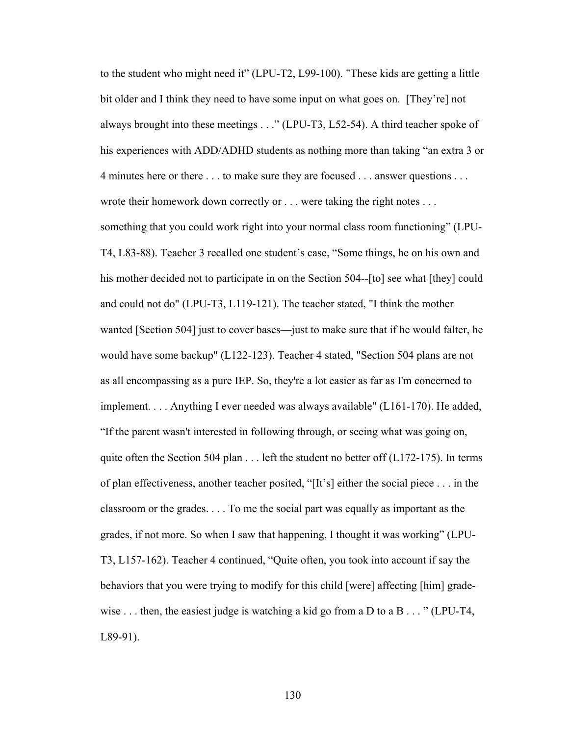to the student who might need it" (LPU-T2, L99-100). "These kids are getting a little bit older and I think they need to have some input on what goes on. [They're] not always brought into these meetings . . ." (LPU-T3, L52-54). A third teacher spoke of his experiences with ADD/ADHD students as nothing more than taking "an extra 3 or 4 minutes here or there . . . to make sure they are focused . . . answer questions . . . wrote their homework down correctly or . . . were taking the right notes . . . something that you could work right into your normal class room functioning" (LPU-T4, L83-88). Teacher 3 recalled one student's case, "Some things, he on his own and his mother decided not to participate in on the Section 504--[to] see what [they] could and could not do" (LPU-T3, L119-121). The teacher stated, "I think the mother wanted [Section 504] just to cover bases—just to make sure that if he would falter, he would have some backup" (L122-123). Teacher 4 stated, "Section 504 plans are not as all encompassing as a pure IEP. So, they're a lot easier as far as I'm concerned to implement. . . . Anything I ever needed was always available" (L161-170). He added, "If the parent wasn't interested in following through, or seeing what was going on, quite often the Section 504 plan . . . left the student no better off (L172-175). In terms of plan effectiveness, another teacher posited, "[It's] either the social piece . . . in the classroom or the grades. . . . To me the social part was equally as important as the grades, if not more. So when I saw that happening, I thought it was working" (LPU-T3, L157-162). Teacher 4 continued, "Quite often, you took into account if say the behaviors that you were trying to modify for this child [were] affecting [him] gradewise  $\dots$  then, the easiest judge is watching a kid go from a D to a B  $\dots$  " (LPU-T4, L89-91).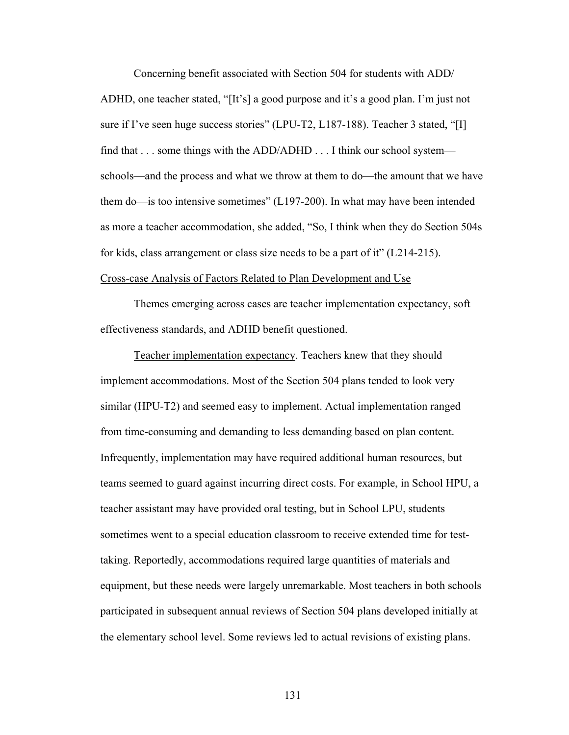Concerning benefit associated with Section 504 for students with ADD/ ADHD, one teacher stated, "[It's] a good purpose and it's a good plan. I'm just not sure if I've seen huge success stories" (LPU-T2, L187-188). Teacher 3 stated, "[I] find that . . . some things with the ADD/ADHD . . . I think our school system schools—and the process and what we throw at them to do—the amount that we have them do—is too intensive sometimes" (L197-200). In what may have been intended as more a teacher accommodation, she added, "So, I think when they do Section 504s for kids, class arrangement or class size needs to be a part of it" (L214-215).

# Cross-case Analysis of Factors Related to Plan Development and Use

 Themes emerging across cases are teacher implementation expectancy, soft effectiveness standards, and ADHD benefit questioned.

 Teacher implementation expectancy. Teachers knew that they should implement accommodations. Most of the Section 504 plans tended to look very similar (HPU-T2) and seemed easy to implement. Actual implementation ranged from time-consuming and demanding to less demanding based on plan content. Infrequently, implementation may have required additional human resources, but teams seemed to guard against incurring direct costs. For example, in School HPU, a teacher assistant may have provided oral testing, but in School LPU, students sometimes went to a special education classroom to receive extended time for testtaking. Reportedly, accommodations required large quantities of materials and equipment, but these needs were largely unremarkable. Most teachers in both schools participated in subsequent annual reviews of Section 504 plans developed initially at the elementary school level. Some reviews led to actual revisions of existing plans.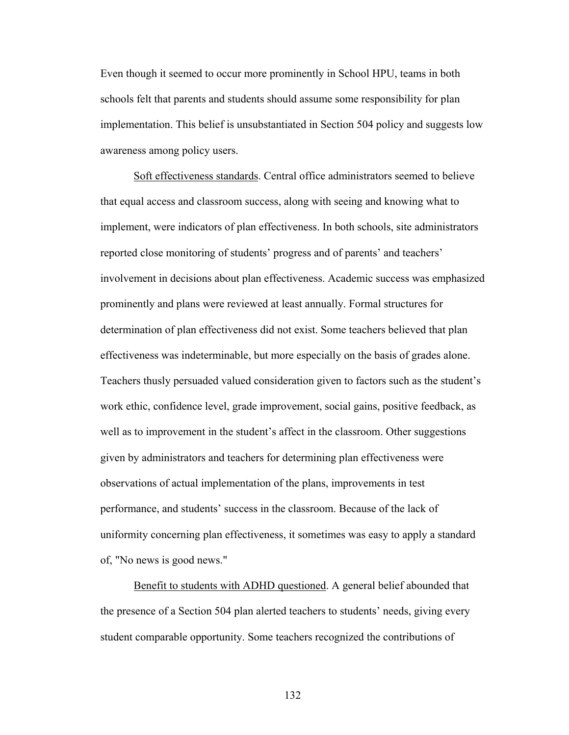Even though it seemed to occur more prominently in School HPU, teams in both schools felt that parents and students should assume some responsibility for plan implementation. This belief is unsubstantiated in Section 504 policy and suggests low awareness among policy users.

 Soft effectiveness standards. Central office administrators seemed to believe that equal access and classroom success, along with seeing and knowing what to implement, were indicators of plan effectiveness. In both schools, site administrators reported close monitoring of students' progress and of parents' and teachers' involvement in decisions about plan effectiveness. Academic success was emphasized prominently and plans were reviewed at least annually. Formal structures for determination of plan effectiveness did not exist. Some teachers believed that plan effectiveness was indeterminable, but more especially on the basis of grades alone. Teachers thusly persuaded valued consideration given to factors such as the student's work ethic, confidence level, grade improvement, social gains, positive feedback, as well as to improvement in the student's affect in the classroom. Other suggestions given by administrators and teachers for determining plan effectiveness were observations of actual implementation of the plans, improvements in test performance, and students' success in the classroom. Because of the lack of uniformity concerning plan effectiveness, it sometimes was easy to apply a standard of, "No news is good news."

 Benefit to students with ADHD questioned. A general belief abounded that the presence of a Section 504 plan alerted teachers to students' needs, giving every student comparable opportunity. Some teachers recognized the contributions of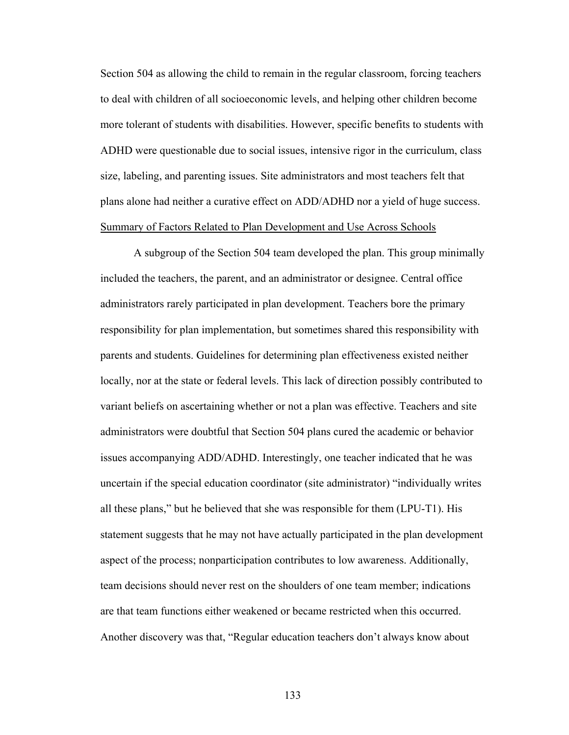Section 504 as allowing the child to remain in the regular classroom, forcing teachers to deal with children of all socioeconomic levels, and helping other children become more tolerant of students with disabilities. However, specific benefits to students with ADHD were questionable due to social issues, intensive rigor in the curriculum, class size, labeling, and parenting issues. Site administrators and most teachers felt that plans alone had neither a curative effect on ADD/ADHD nor a yield of huge success. Summary of Factors Related to Plan Development and Use Across Schools

 A subgroup of the Section 504 team developed the plan. This group minimally included the teachers, the parent, and an administrator or designee. Central office administrators rarely participated in plan development. Teachers bore the primary responsibility for plan implementation, but sometimes shared this responsibility with parents and students. Guidelines for determining plan effectiveness existed neither locally, nor at the state or federal levels. This lack of direction possibly contributed to variant beliefs on ascertaining whether or not a plan was effective. Teachers and site administrators were doubtful that Section 504 plans cured the academic or behavior issues accompanying ADD/ADHD. Interestingly, one teacher indicated that he was uncertain if the special education coordinator (site administrator) "individually writes all these plans," but he believed that she was responsible for them (LPU-T1). His statement suggests that he may not have actually participated in the plan development aspect of the process; nonparticipation contributes to low awareness. Additionally, team decisions should never rest on the shoulders of one team member; indications are that team functions either weakened or became restricted when this occurred. Another discovery was that, "Regular education teachers don't always know about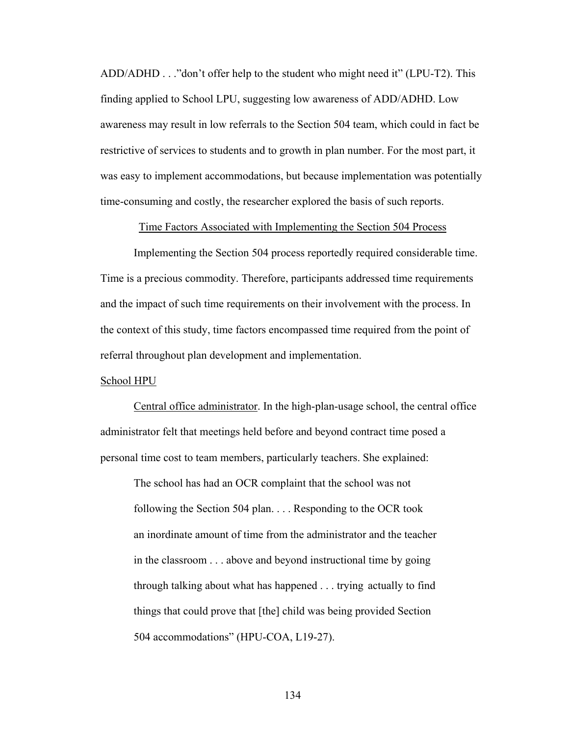ADD/ADHD . . ."don't offer help to the student who might need it" (LPU-T2). This finding applied to School LPU, suggesting low awareness of ADD/ADHD. Low awareness may result in low referrals to the Section 504 team, which could in fact be restrictive of services to students and to growth in plan number. For the most part, it was easy to implement accommodations, but because implementation was potentially time-consuming and costly, the researcher explored the basis of such reports.

Time Factors Associated with Implementing the Section 504 Process

 Implementing the Section 504 process reportedly required considerable time. Time is a precious commodity. Therefore, participants addressed time requirements and the impact of such time requirements on their involvement with the process. In the context of this study, time factors encompassed time required from the point of referral throughout plan development and implementation.

## School HPU

 Central office administrator. In the high-plan-usage school, the central office administrator felt that meetings held before and beyond contract time posed a personal time cost to team members, particularly teachers. She explained:

 The school has had an OCR complaint that the school was not following the Section 504 plan. . . . Responding to the OCR took an inordinate amount of time from the administrator and the teacher in the classroom . . . above and beyond instructional time by going through talking about what has happened . . . trying actually to find things that could prove that [the] child was being provided Section 504 accommodations" (HPU-COA, L19-27).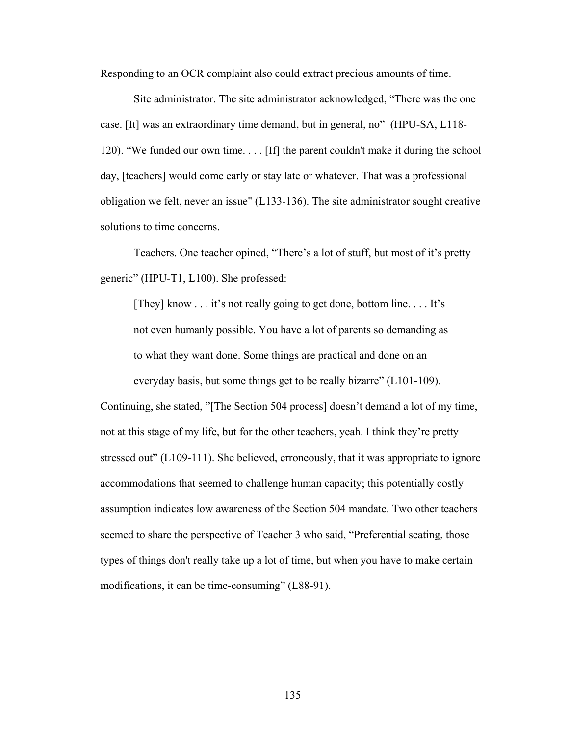Responding to an OCR complaint also could extract precious amounts of time.

 Site administrator. The site administrator acknowledged, "There was the one case. [It] was an extraordinary time demand, but in general, no" (HPU-SA, L118- 120). "We funded our own time. . . . [If] the parent couldn't make it during the school day, [teachers] would come early or stay late or whatever. That was a professional obligation we felt, never an issue" (L133-136). The site administrator sought creative solutions to time concerns.

 Teachers. One teacher opined, "There's a lot of stuff, but most of it's pretty generic" (HPU-T1, L100). She professed:

 [They] know . . . it's not really going to get done, bottom line. . . . It's not even humanly possible. You have a lot of parents so demanding as to what they want done. Some things are practical and done on an everyday basis, but some things get to be really bizarre" (L101-109).

Continuing, she stated, "[The Section 504 process] doesn't demand a lot of my time, not at this stage of my life, but for the other teachers, yeah. I think they're pretty stressed out" (L109-111). She believed, erroneously, that it was appropriate to ignore accommodations that seemed to challenge human capacity; this potentially costly assumption indicates low awareness of the Section 504 mandate. Two other teachers seemed to share the perspective of Teacher 3 who said, "Preferential seating, those types of things don't really take up a lot of time, but when you have to make certain modifications, it can be time-consuming" (L88-91).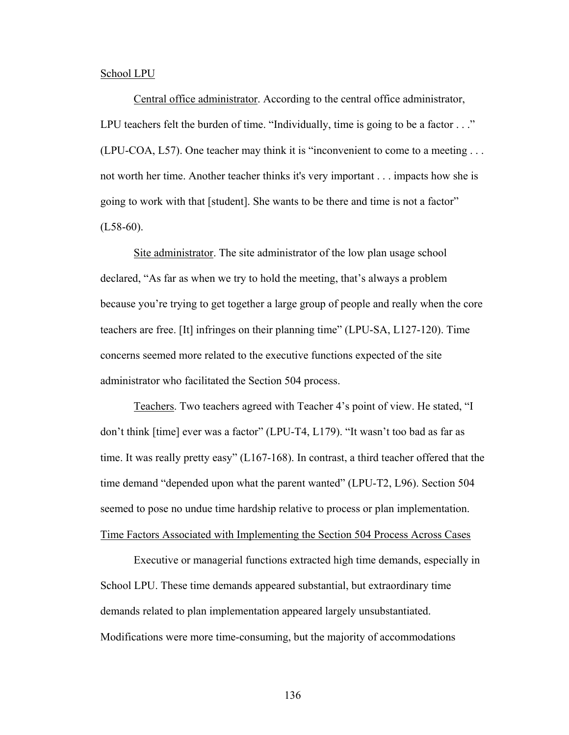### School LPU

Central office administrator. According to the central office administrator, LPU teachers felt the burden of time. "Individually, time is going to be a factor . . ." (LPU-COA, L57). One teacher may think it is "inconvenient to come to a meeting . . . not worth her time. Another teacher thinks it's very important . . . impacts how she is going to work with that [student]. She wants to be there and time is not a factor"  $(L58-60).$ 

Site administrator. The site administrator of the low plan usage school declared, "As far as when we try to hold the meeting, that's always a problem because you're trying to get together a large group of people and really when the core teachers are free. [It] infringes on their planning time" (LPU-SA, L127-120). Time concerns seemed more related to the executive functions expected of the site administrator who facilitated the Section 504 process.

Teachers. Two teachers agreed with Teacher 4's point of view. He stated, "I don't think [time] ever was a factor" (LPU-T4, L179). "It wasn't too bad as far as time. It was really pretty easy" (L167-168). In contrast, a third teacher offered that the time demand "depended upon what the parent wanted" (LPU-T2, L96). Section 504 seemed to pose no undue time hardship relative to process or plan implementation. Time Factors Associated with Implementing the Section 504 Process Across Cases

 Executive or managerial functions extracted high time demands, especially in School LPU. These time demands appeared substantial, but extraordinary time demands related to plan implementation appeared largely unsubstantiated. Modifications were more time-consuming, but the majority of accommodations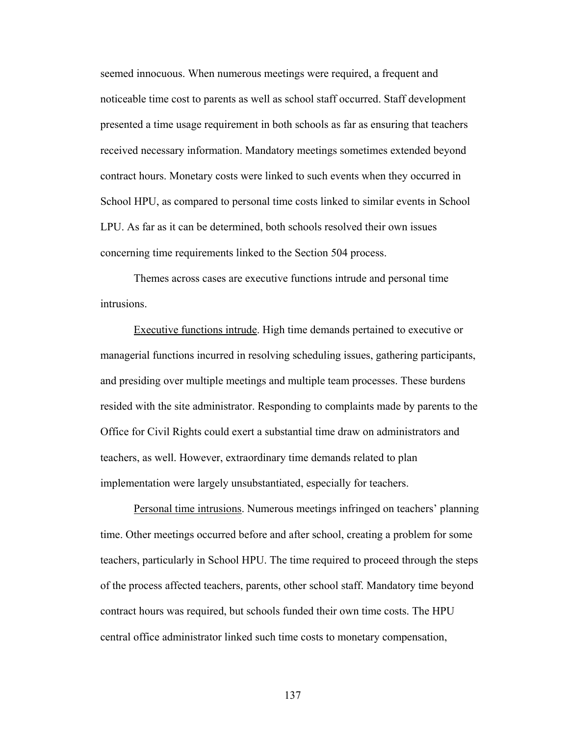seemed innocuous. When numerous meetings were required, a frequent and noticeable time cost to parents as well as school staff occurred. Staff development presented a time usage requirement in both schools as far as ensuring that teachers received necessary information. Mandatory meetings sometimes extended beyond contract hours. Monetary costs were linked to such events when they occurred in School HPU, as compared to personal time costs linked to similar events in School LPU. As far as it can be determined, both schools resolved their own issues concerning time requirements linked to the Section 504 process.

 Themes across cases are executive functions intrude and personal time intrusions.

 Executive functions intrude. High time demands pertained to executive or managerial functions incurred in resolving scheduling issues, gathering participants, and presiding over multiple meetings and multiple team processes. These burdens resided with the site administrator. Responding to complaints made by parents to the Office for Civil Rights could exert a substantial time draw on administrators and teachers, as well. However, extraordinary time demands related to plan implementation were largely unsubstantiated, especially for teachers.

 Personal time intrusions. Numerous meetings infringed on teachers' planning time. Other meetings occurred before and after school, creating a problem for some teachers, particularly in School HPU. The time required to proceed through the steps of the process affected teachers, parents, other school staff. Mandatory time beyond contract hours was required, but schools funded their own time costs. The HPU central office administrator linked such time costs to monetary compensation,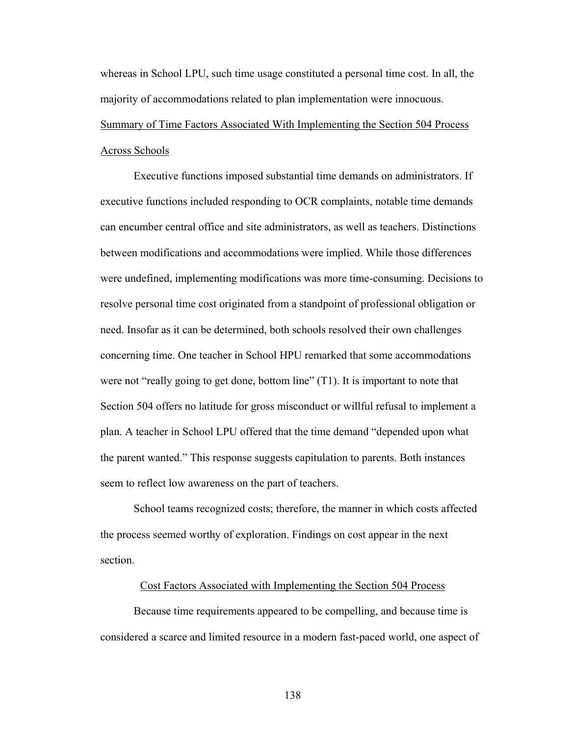whereas in School LPU, such time usage constituted a personal time cost. In all, the majority of accommodations related to plan implementation were innocuous. Summary of Time Factors Associated With Implementing the Section 504 Process

## Across Schools

 Executive functions imposed substantial time demands on administrators. If executive functions included responding to OCR complaints, notable time demands can encumber central office and site administrators, as well as teachers. Distinctions between modifications and accommodations were implied. While those differences were undefined, implementing modifications was more time-consuming. Decisions to resolve personal time cost originated from a standpoint of professional obligation or need. Insofar as it can be determined, both schools resolved their own challenges concerning time. One teacher in School HPU remarked that some accommodations were not "really going to get done, bottom line" (T1). It is important to note that Section 504 offers no latitude for gross misconduct or willful refusal to implement a plan. A teacher in School LPU offered that the time demand "depended upon what the parent wanted." This response suggests capitulation to parents. Both instances seem to reflect low awareness on the part of teachers.

 School teams recognized costs; therefore, the manner in which costs affected the process seemed worthy of exploration. Findings on cost appear in the next section.

## Cost Factors Associated with Implementing the Section 504 Process

 Because time requirements appeared to be compelling, and because time is considered a scarce and limited resource in a modern fast-paced world, one aspect of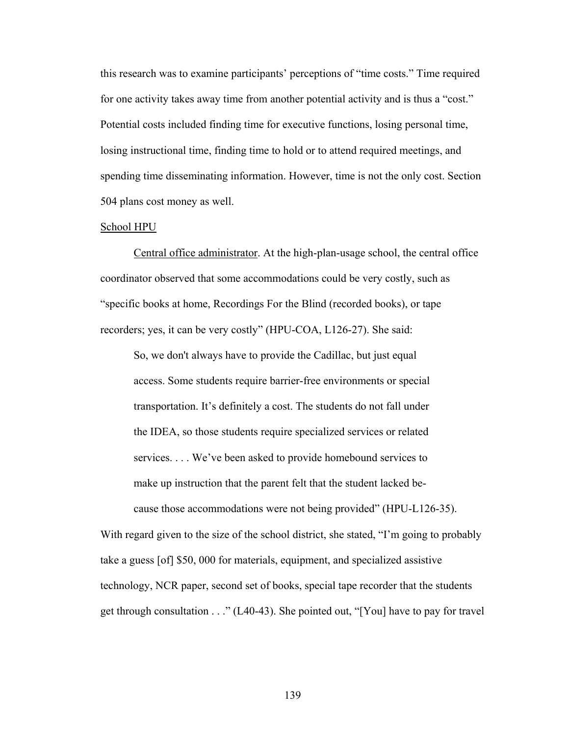this research was to examine participants' perceptions of "time costs." Time required for one activity takes away time from another potential activity and is thus a "cost." Potential costs included finding time for executive functions, losing personal time, losing instructional time, finding time to hold or to attend required meetings, and spending time disseminating information. However, time is not the only cost. Section 504 plans cost money as well.

#### School HPU

 Central office administrator. At the high-plan-usage school, the central office coordinator observed that some accommodations could be very costly, such as "specific books at home, Recordings For the Blind (recorded books), or tape recorders; yes, it can be very costly" (HPU-COA, L126-27). She said:

 So, we don't always have to provide the Cadillac, but just equal access. Some students require barrier-free environments or special transportation. It's definitely a cost. The students do not fall under the IDEA, so those students require specialized services or related services. . . . We've been asked to provide homebound services to make up instruction that the parent felt that the student lacked be cause those accommodations were not being provided" (HPU-L126-35).

With regard given to the size of the school district, she stated, "I'm going to probably take a guess [of] \$50, 000 for materials, equipment, and specialized assistive technology, NCR paper, second set of books, special tape recorder that the students get through consultation . . ." (L40-43). She pointed out, "[You] have to pay for travel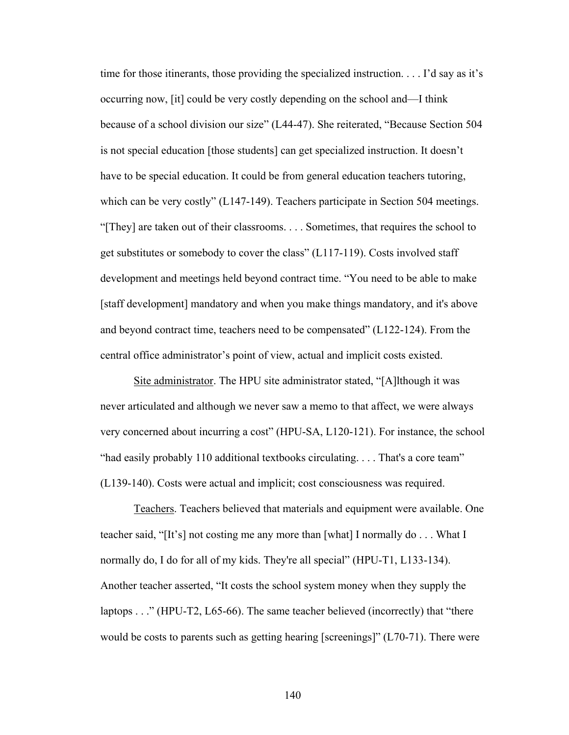time for those itinerants, those providing the specialized instruction. . . . I'd say as it's occurring now, [it] could be very costly depending on the school and—I think because of a school division our size" (L44-47). She reiterated, "Because Section 504 is not special education [those students] can get specialized instruction. It doesn't have to be special education. It could be from general education teachers tutoring, which can be very costly" (L147-149). Teachers participate in Section 504 meetings. "[They] are taken out of their classrooms. . . . Sometimes, that requires the school to get substitutes or somebody to cover the class" (L117-119). Costs involved staff development and meetings held beyond contract time. "You need to be able to make [staff development] mandatory and when you make things mandatory, and it's above and beyond contract time, teachers need to be compensated" (L122-124). From the central office administrator's point of view, actual and implicit costs existed.

 Site administrator. The HPU site administrator stated, "[A]lthough it was never articulated and although we never saw a memo to that affect, we were always very concerned about incurring a cost" (HPU-SA, L120-121). For instance, the school "had easily probably 110 additional textbooks circulating. . . . That's a core team" (L139-140). Costs were actual and implicit; cost consciousness was required.

 Teachers. Teachers believed that materials and equipment were available. One teacher said, "[It's] not costing me any more than [what] I normally do . . . What I normally do, I do for all of my kids. They're all special" (HPU-T1, L133-134). Another teacher asserted, "It costs the school system money when they supply the laptops . . ." (HPU-T2, L65-66). The same teacher believed (incorrectly) that "there would be costs to parents such as getting hearing [screenings]" (L70-71). There were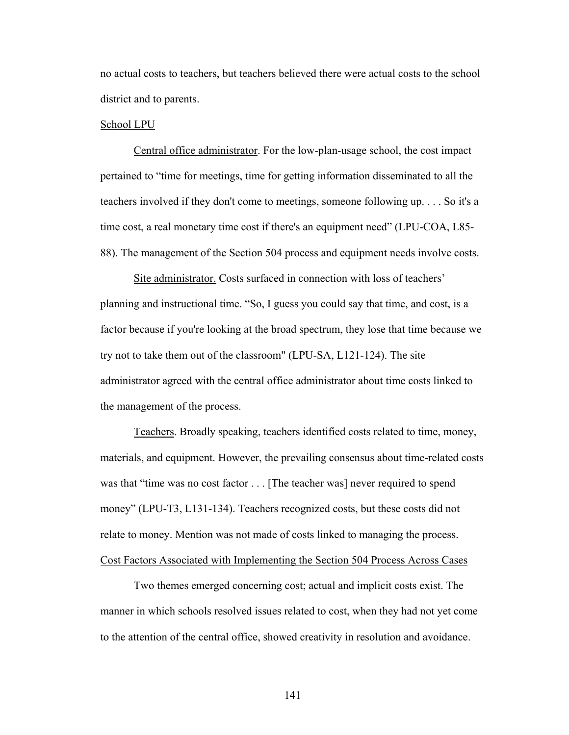no actual costs to teachers, but teachers believed there were actual costs to the school district and to parents.

#### School LPU

Central office administrator. For the low-plan-usage school, the cost impact pertained to "time for meetings, time for getting information disseminated to all the teachers involved if they don't come to meetings, someone following up. . . . So it's a time cost, a real monetary time cost if there's an equipment need" (LPU-COA, L85- 88). The management of the Section 504 process and equipment needs involve costs.

Site administrator. Costs surfaced in connection with loss of teachers' planning and instructional time. "So, I guess you could say that time, and cost, is a factor because if you're looking at the broad spectrum, they lose that time because we try not to take them out of the classroom" (LPU-SA, L121-124). The site administrator agreed with the central office administrator about time costs linked to the management of the process.

 Teachers. Broadly speaking, teachers identified costs related to time, money, materials, and equipment. However, the prevailing consensus about time-related costs was that "time was no cost factor . . . [The teacher was] never required to spend money" (LPU-T3, L131-134). Teachers recognized costs, but these costs did not relate to money. Mention was not made of costs linked to managing the process. Cost Factors Associated with Implementing the Section 504 Process Across Cases

 Two themes emerged concerning cost; actual and implicit costs exist. The manner in which schools resolved issues related to cost, when they had not yet come to the attention of the central office, showed creativity in resolution and avoidance.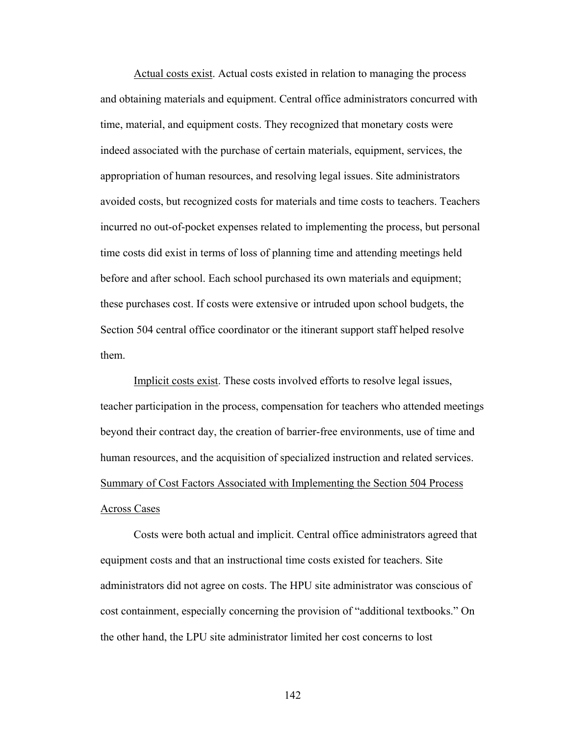Actual costs exist. Actual costs existed in relation to managing the process and obtaining materials and equipment. Central office administrators concurred with time, material, and equipment costs. They recognized that monetary costs were indeed associated with the purchase of certain materials, equipment, services, the appropriation of human resources, and resolving legal issues. Site administrators avoided costs, but recognized costs for materials and time costs to teachers. Teachers incurred no out-of-pocket expenses related to implementing the process, but personal time costs did exist in terms of loss of planning time and attending meetings held before and after school. Each school purchased its own materials and equipment; these purchases cost. If costs were extensive or intruded upon school budgets, the Section 504 central office coordinator or the itinerant support staff helped resolve them.

Implicit costs exist. These costs involved efforts to resolve legal issues, teacher participation in the process, compensation for teachers who attended meetings beyond their contract day, the creation of barrier-free environments, use of time and human resources, and the acquisition of specialized instruction and related services. Summary of Cost Factors Associated with Implementing the Section 504 Process Across Cases

Costs were both actual and implicit. Central office administrators agreed that equipment costs and that an instructional time costs existed for teachers. Site administrators did not agree on costs. The HPU site administrator was conscious of cost containment, especially concerning the provision of "additional textbooks." On the other hand, the LPU site administrator limited her cost concerns to lost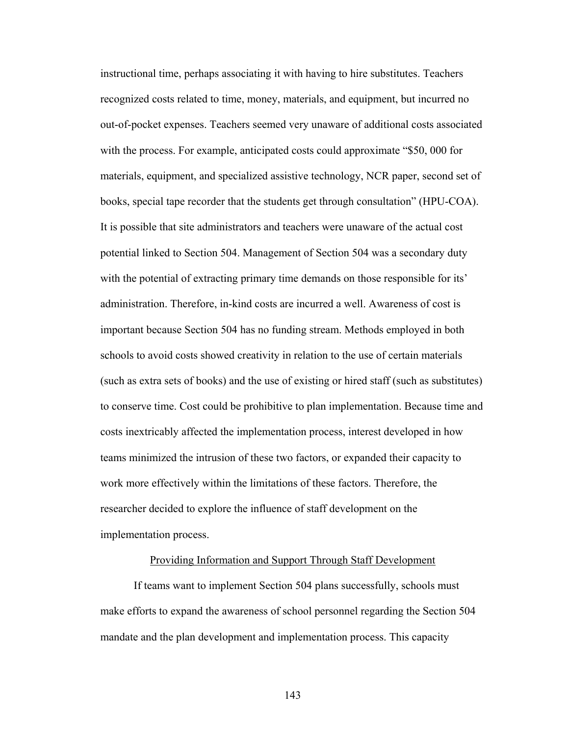instructional time, perhaps associating it with having to hire substitutes. Teachers recognized costs related to time, money, materials, and equipment, but incurred no out-of-pocket expenses. Teachers seemed very unaware of additional costs associated with the process. For example, anticipated costs could approximate "\$50,000 for materials, equipment, and specialized assistive technology, NCR paper, second set of books, special tape recorder that the students get through consultation" (HPU-COA). It is possible that site administrators and teachers were unaware of the actual cost potential linked to Section 504. Management of Section 504 was a secondary duty with the potential of extracting primary time demands on those responsible for its' administration. Therefore, in-kind costs are incurred a well. Awareness of cost is important because Section 504 has no funding stream. Methods employed in both schools to avoid costs showed creativity in relation to the use of certain materials (such as extra sets of books) and the use of existing or hired staff (such as substitutes) to conserve time. Cost could be prohibitive to plan implementation. Because time and costs inextricably affected the implementation process, interest developed in how teams minimized the intrusion of these two factors, or expanded their capacity to work more effectively within the limitations of these factors. Therefore, the researcher decided to explore the influence of staff development on the implementation process.

# Providing Information and Support Through Staff Development

 If teams want to implement Section 504 plans successfully, schools must make efforts to expand the awareness of school personnel regarding the Section 504 mandate and the plan development and implementation process. This capacity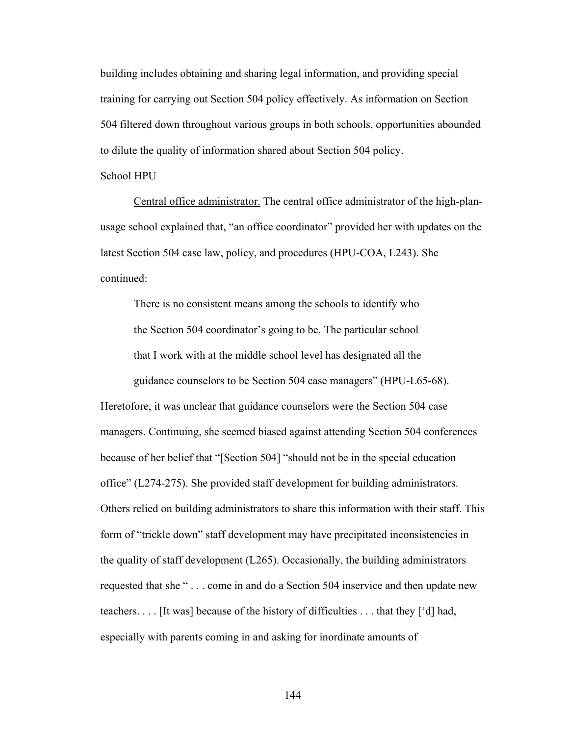building includes obtaining and sharing legal information, and providing special training for carrying out Section 504 policy effectively. As information on Section 504 filtered down throughout various groups in both schools, opportunities abounded to dilute the quality of information shared about Section 504 policy.

## School HPU

 Central office administrator. The central office administrator of the high-planusage school explained that, "an office coordinator" provided her with updates on the latest Section 504 case law, policy, and procedures (HPU-COA, L243). She continued:

 There is no consistent means among the schools to identify who the Section 504 coordinator's going to be. The particular school that I work with at the middle school level has designated all the guidance counselors to be Section 504 case managers" (HPU-L65-68).

Heretofore, it was unclear that guidance counselors were the Section 504 case managers. Continuing, she seemed biased against attending Section 504 conferences because of her belief that "[Section 504] "should not be in the special education office" (L274-275). She provided staff development for building administrators. Others relied on building administrators to share this information with their staff. This form of "trickle down" staff development may have precipitated inconsistencies in the quality of staff development (L265). Occasionally, the building administrators requested that she " . . . come in and do a Section 504 inservice and then update new teachers. . . . [It was] because of the history of difficulties . . . that they ['d] had, especially with parents coming in and asking for inordinate amounts of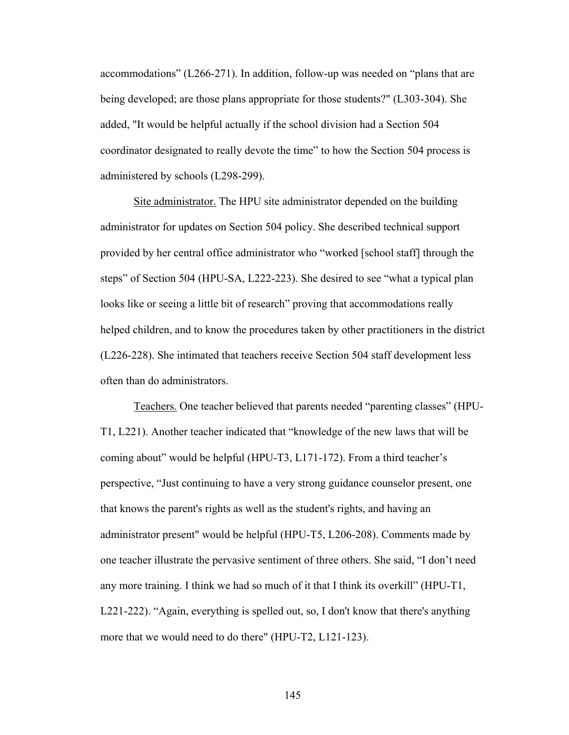accommodations" (L266-271). In addition, follow-up was needed on "plans that are being developed; are those plans appropriate for those students?" (L303-304). She added, "It would be helpful actually if the school division had a Section 504 coordinator designated to really devote the time" to how the Section 504 process is administered by schools (L298-299).

Site administrator. The HPU site administrator depended on the building administrator for updates on Section 504 policy. She described technical support provided by her central office administrator who "worked [school staff] through the steps" of Section 504 (HPU-SA, L222-223). She desired to see "what a typical plan looks like or seeing a little bit of research" proving that accommodations really helped children, and to know the procedures taken by other practitioners in the district (L226-228). She intimated that teachers receive Section 504 staff development less often than do administrators.

 Teachers. One teacher believed that parents needed "parenting classes" (HPU-T1, L221). Another teacher indicated that "knowledge of the new laws that will be coming about" would be helpful (HPU-T3, L171-172). From a third teacher's perspective, "Just continuing to have a very strong guidance counselor present, one that knows the parent's rights as well as the student's rights, and having an administrator present" would be helpful (HPU-T5, L206-208). Comments made by one teacher illustrate the pervasive sentiment of three others. She said, "I don't need any more training. I think we had so much of it that I think its overkill" (HPU-T1, L221-222). "Again, everything is spelled out, so, I don't know that there's anything more that we would need to do there" (HPU-T2, L121-123).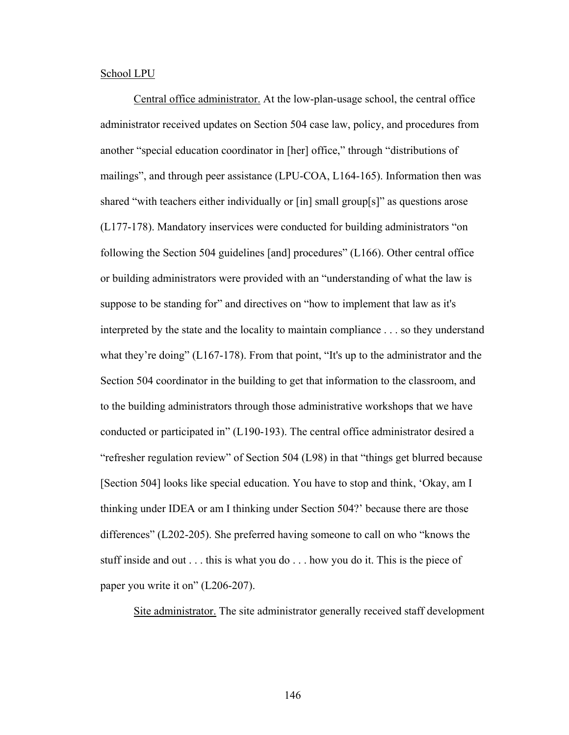#### School LPU

 Central office administrator. At the low-plan-usage school, the central office administrator received updates on Section 504 case law, policy, and procedures from another "special education coordinator in [her] office," through "distributions of mailings", and through peer assistance (LPU-COA, L164-165). Information then was shared "with teachers either individually or [in] small group[s]" as questions arose (L177-178). Mandatory inservices were conducted for building administrators "on following the Section 504 guidelines [and] procedures" (L166). Other central office or building administrators were provided with an "understanding of what the law is suppose to be standing for" and directives on "how to implement that law as it's interpreted by the state and the locality to maintain compliance . . . so they understand what they're doing"  $(L167-178)$ . From that point, "It's up to the administrator and the Section 504 coordinator in the building to get that information to the classroom, and to the building administrators through those administrative workshops that we have conducted or participated in" (L190-193). The central office administrator desired a "refresher regulation review" of Section 504 (L98) in that "things get blurred because [Section 504] looks like special education. You have to stop and think, 'Okay, am I thinking under IDEA or am I thinking under Section 504?' because there are those differences" (L202-205). She preferred having someone to call on who "knows the stuff inside and out . . . this is what you do . . . how you do it. This is the piece of paper you write it on" (L206-207).

Site administrator. The site administrator generally received staff development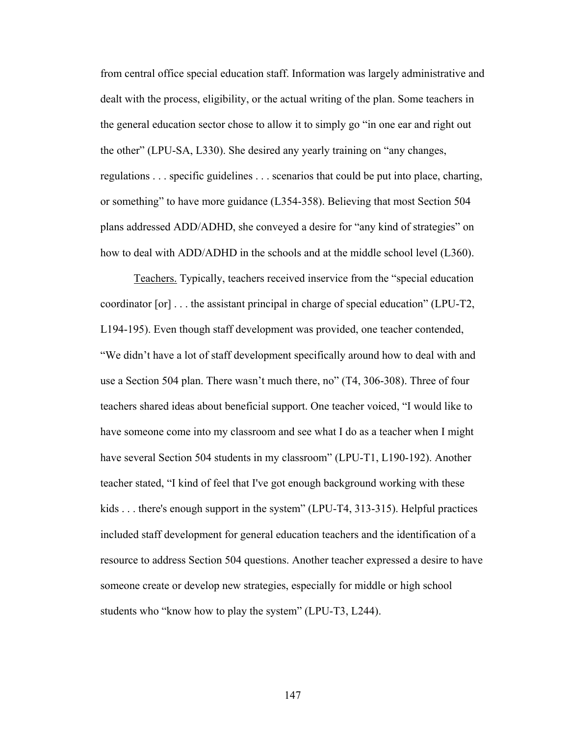from central office special education staff. Information was largely administrative and dealt with the process, eligibility, or the actual writing of the plan. Some teachers in the general education sector chose to allow it to simply go "in one ear and right out the other" (LPU-SA, L330). She desired any yearly training on "any changes, regulations . . . specific guidelines . . . scenarios that could be put into place, charting, or something" to have more guidance (L354-358). Believing that most Section 504 plans addressed ADD/ADHD, she conveyed a desire for "any kind of strategies" on how to deal with ADD/ADHD in the schools and at the middle school level (L360).

Teachers. Typically, teachers received inservice from the "special education coordinator [or] . . . the assistant principal in charge of special education" (LPU-T2, L194-195). Even though staff development was provided, one teacher contended, "We didn't have a lot of staff development specifically around how to deal with and use a Section 504 plan. There wasn't much there, no" (T4, 306-308). Three of four teachers shared ideas about beneficial support. One teacher voiced, "I would like to have someone come into my classroom and see what I do as a teacher when I might have several Section 504 students in my classroom" (LPU-T1, L190-192). Another teacher stated, "I kind of feel that I've got enough background working with these kids . . . there's enough support in the system" (LPU-T4, 313-315). Helpful practices included staff development for general education teachers and the identification of a resource to address Section 504 questions. Another teacher expressed a desire to have someone create or develop new strategies, especially for middle or high school students who "know how to play the system" (LPU-T3, L244).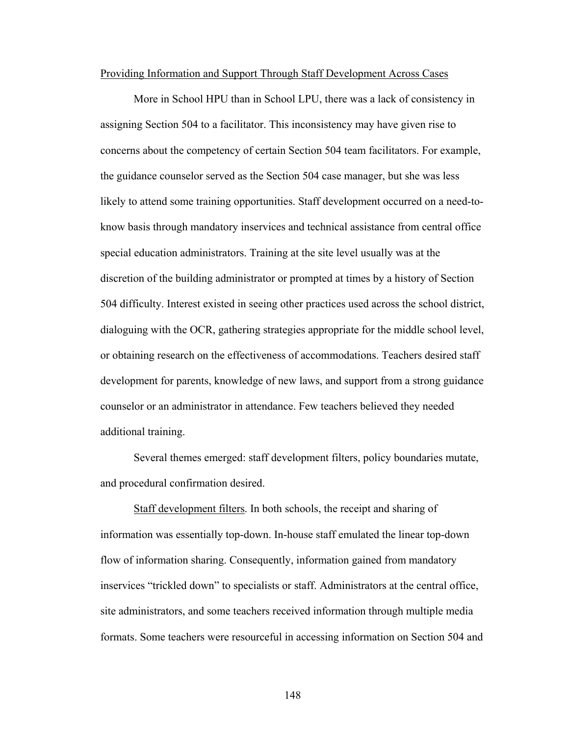#### Providing Information and Support Through Staff Development Across Cases

 More in School HPU than in School LPU, there was a lack of consistency in assigning Section 504 to a facilitator. This inconsistency may have given rise to concerns about the competency of certain Section 504 team facilitators. For example, the guidance counselor served as the Section 504 case manager, but she was less likely to attend some training opportunities. Staff development occurred on a need-toknow basis through mandatory inservices and technical assistance from central office special education administrators. Training at the site level usually was at the discretion of the building administrator or prompted at times by a history of Section 504 difficulty. Interest existed in seeing other practices used across the school district, dialoguing with the OCR, gathering strategies appropriate for the middle school level, or obtaining research on the effectiveness of accommodations. Teachers desired staff development for parents, knowledge of new laws, and support from a strong guidance counselor or an administrator in attendance. Few teachers believed they needed additional training.

 Several themes emerged: staff development filters, policy boundaries mutate, and procedural confirmation desired.

 Staff development filters. In both schools, the receipt and sharing of information was essentially top-down. In-house staff emulated the linear top-down flow of information sharing. Consequently, information gained from mandatory inservices "trickled down" to specialists or staff. Administrators at the central office, site administrators, and some teachers received information through multiple media formats. Some teachers were resourceful in accessing information on Section 504 and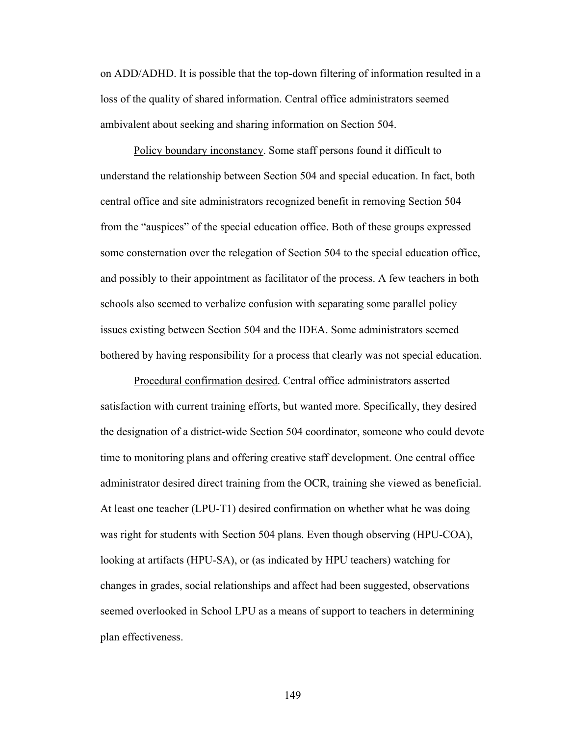on ADD/ADHD. It is possible that the top-down filtering of information resulted in a loss of the quality of shared information. Central office administrators seemed ambivalent about seeking and sharing information on Section 504.

 Policy boundary inconstancy. Some staff persons found it difficult to understand the relationship between Section 504 and special education. In fact, both central office and site administrators recognized benefit in removing Section 504 from the "auspices" of the special education office. Both of these groups expressed some consternation over the relegation of Section 504 to the special education office, and possibly to their appointment as facilitator of the process. A few teachers in both schools also seemed to verbalize confusion with separating some parallel policy issues existing between Section 504 and the IDEA. Some administrators seemed bothered by having responsibility for a process that clearly was not special education.

 Procedural confirmation desired. Central office administrators asserted satisfaction with current training efforts, but wanted more. Specifically, they desired the designation of a district-wide Section 504 coordinator, someone who could devote time to monitoring plans and offering creative staff development. One central office administrator desired direct training from the OCR, training she viewed as beneficial. At least one teacher (LPU-T1) desired confirmation on whether what he was doing was right for students with Section 504 plans. Even though observing (HPU-COA), looking at artifacts (HPU-SA), or (as indicated by HPU teachers) watching for changes in grades, social relationships and affect had been suggested, observations seemed overlooked in School LPU as a means of support to teachers in determining plan effectiveness.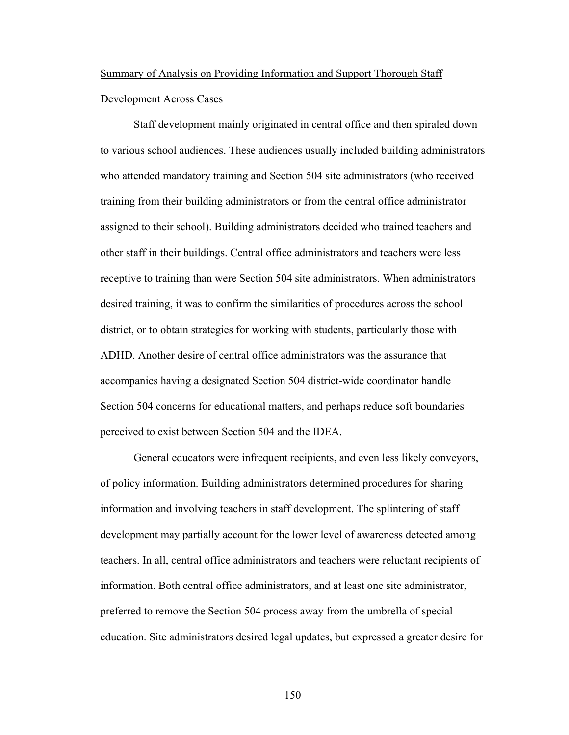# Summary of Analysis on Providing Information and Support Thorough Staff Development Across Cases

 Staff development mainly originated in central office and then spiraled down to various school audiences. These audiences usually included building administrators who attended mandatory training and Section 504 site administrators (who received training from their building administrators or from the central office administrator assigned to their school). Building administrators decided who trained teachers and other staff in their buildings. Central office administrators and teachers were less receptive to training than were Section 504 site administrators. When administrators desired training, it was to confirm the similarities of procedures across the school district, or to obtain strategies for working with students, particularly those with ADHD. Another desire of central office administrators was the assurance that accompanies having a designated Section 504 district-wide coordinator handle Section 504 concerns for educational matters, and perhaps reduce soft boundaries perceived to exist between Section 504 and the IDEA.

General educators were infrequent recipients, and even less likely conveyors, of policy information. Building administrators determined procedures for sharing information and involving teachers in staff development. The splintering of staff development may partially account for the lower level of awareness detected among teachers. In all, central office administrators and teachers were reluctant recipients of information. Both central office administrators, and at least one site administrator, preferred to remove the Section 504 process away from the umbrella of special education. Site administrators desired legal updates, but expressed a greater desire for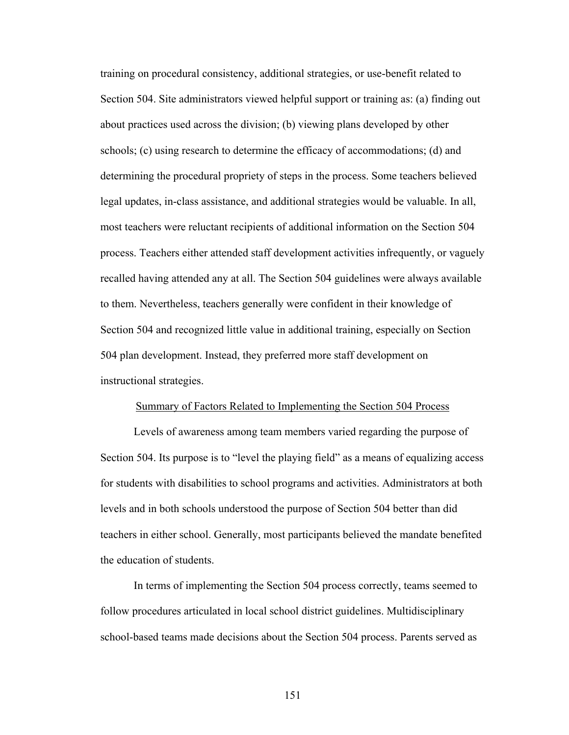training on procedural consistency, additional strategies, or use-benefit related to Section 504. Site administrators viewed helpful support or training as: (a) finding out about practices used across the division; (b) viewing plans developed by other schools; (c) using research to determine the efficacy of accommodations; (d) and determining the procedural propriety of steps in the process. Some teachers believed legal updates, in-class assistance, and additional strategies would be valuable. In all, most teachers were reluctant recipients of additional information on the Section 504 process. Teachers either attended staff development activities infrequently, or vaguely recalled having attended any at all. The Section 504 guidelines were always available to them. Nevertheless, teachers generally were confident in their knowledge of Section 504 and recognized little value in additional training, especially on Section 504 plan development. Instead, they preferred more staff development on instructional strategies.

#### Summary of Factors Related to Implementing the Section 504 Process

 Levels of awareness among team members varied regarding the purpose of Section 504. Its purpose is to "level the playing field" as a means of equalizing access for students with disabilities to school programs and activities. Administrators at both levels and in both schools understood the purpose of Section 504 better than did teachers in either school. Generally, most participants believed the mandate benefited the education of students.

 In terms of implementing the Section 504 process correctly, teams seemed to follow procedures articulated in local school district guidelines. Multidisciplinary school-based teams made decisions about the Section 504 process. Parents served as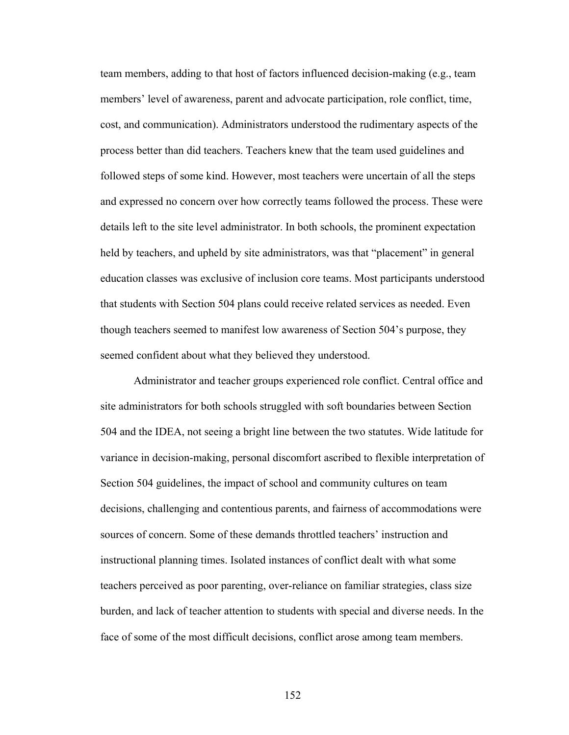team members, adding to that host of factors influenced decision-making (e.g., team members' level of awareness, parent and advocate participation, role conflict, time, cost, and communication). Administrators understood the rudimentary aspects of the process better than did teachers. Teachers knew that the team used guidelines and followed steps of some kind. However, most teachers were uncertain of all the steps and expressed no concern over how correctly teams followed the process. These were details left to the site level administrator. In both schools, the prominent expectation held by teachers, and upheld by site administrators, was that "placement" in general education classes was exclusive of inclusion core teams. Most participants understood that students with Section 504 plans could receive related services as needed. Even though teachers seemed to manifest low awareness of Section 504's purpose, they seemed confident about what they believed they understood.

Administrator and teacher groups experienced role conflict. Central office and site administrators for both schools struggled with soft boundaries between Section 504 and the IDEA, not seeing a bright line between the two statutes. Wide latitude for variance in decision-making, personal discomfort ascribed to flexible interpretation of Section 504 guidelines, the impact of school and community cultures on team decisions, challenging and contentious parents, and fairness of accommodations were sources of concern. Some of these demands throttled teachers' instruction and instructional planning times. Isolated instances of conflict dealt with what some teachers perceived as poor parenting, over-reliance on familiar strategies, class size burden, and lack of teacher attention to students with special and diverse needs. In the face of some of the most difficult decisions, conflict arose among team members.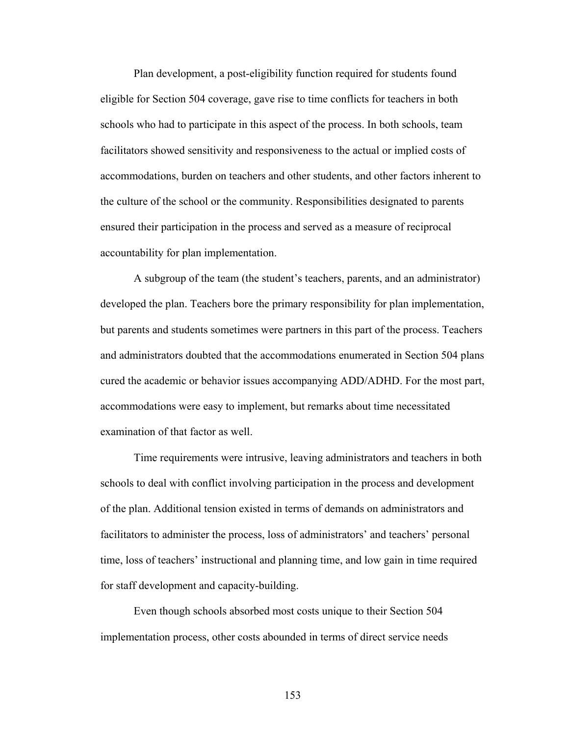Plan development, a post-eligibility function required for students found eligible for Section 504 coverage, gave rise to time conflicts for teachers in both schools who had to participate in this aspect of the process. In both schools, team facilitators showed sensitivity and responsiveness to the actual or implied costs of accommodations, burden on teachers and other students, and other factors inherent to the culture of the school or the community. Responsibilities designated to parents ensured their participation in the process and served as a measure of reciprocal accountability for plan implementation.

 A subgroup of the team (the student's teachers, parents, and an administrator) developed the plan. Teachers bore the primary responsibility for plan implementation, but parents and students sometimes were partners in this part of the process. Teachers and administrators doubted that the accommodations enumerated in Section 504 plans cured the academic or behavior issues accompanying ADD/ADHD. For the most part, accommodations were easy to implement, but remarks about time necessitated examination of that factor as well.

 Time requirements were intrusive, leaving administrators and teachers in both schools to deal with conflict involving participation in the process and development of the plan. Additional tension existed in terms of demands on administrators and facilitators to administer the process, loss of administrators' and teachers' personal time, loss of teachers' instructional and planning time, and low gain in time required for staff development and capacity-building.

 Even though schools absorbed most costs unique to their Section 504 implementation process, other costs abounded in terms of direct service needs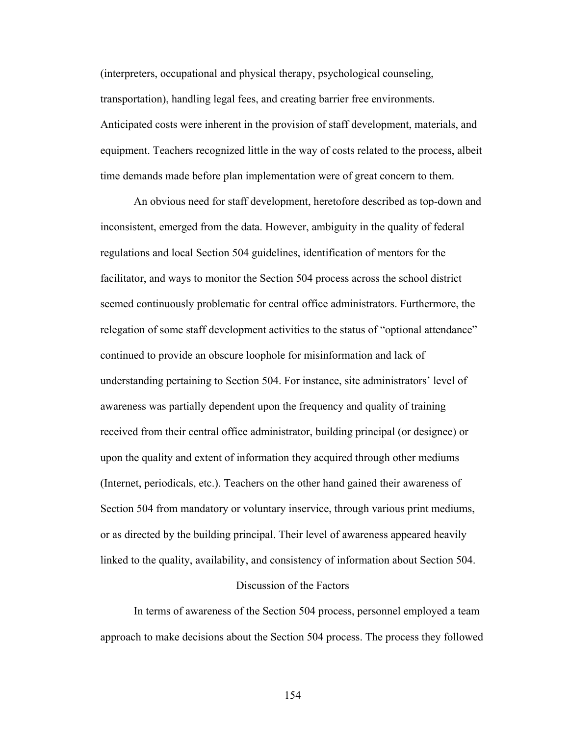(interpreters, occupational and physical therapy, psychological counseling, transportation), handling legal fees, and creating barrier free environments. Anticipated costs were inherent in the provision of staff development, materials, and equipment. Teachers recognized little in the way of costs related to the process, albeit time demands made before plan implementation were of great concern to them.

 An obvious need for staff development, heretofore described as top-down and inconsistent, emerged from the data. However, ambiguity in the quality of federal regulations and local Section 504 guidelines, identification of mentors for the facilitator, and ways to monitor the Section 504 process across the school district seemed continuously problematic for central office administrators. Furthermore, the relegation of some staff development activities to the status of "optional attendance" continued to provide an obscure loophole for misinformation and lack of understanding pertaining to Section 504. For instance, site administrators' level of awareness was partially dependent upon the frequency and quality of training received from their central office administrator, building principal (or designee) or upon the quality and extent of information they acquired through other mediums (Internet, periodicals, etc.). Teachers on the other hand gained their awareness of Section 504 from mandatory or voluntary inservice, through various print mediums, or as directed by the building principal. Their level of awareness appeared heavily linked to the quality, availability, and consistency of information about Section 504.

## Discussion of the Factors

 In terms of awareness of the Section 504 process, personnel employed a team approach to make decisions about the Section 504 process. The process they followed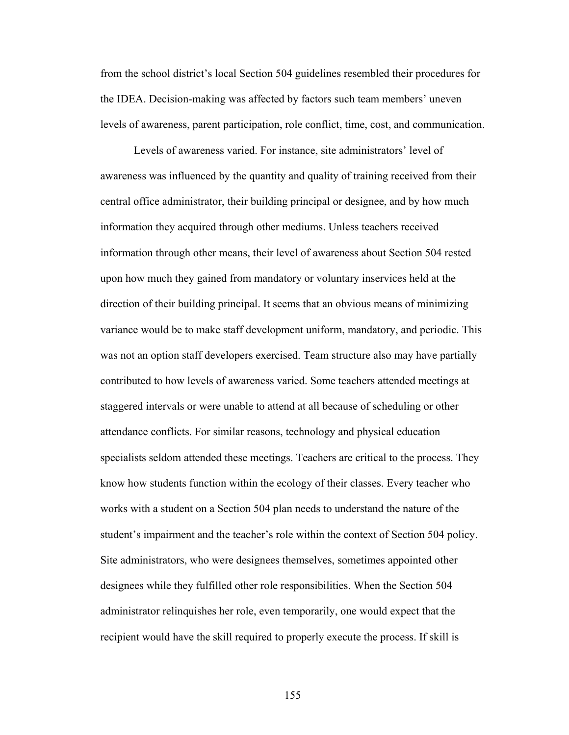from the school district's local Section 504 guidelines resembled their procedures for the IDEA. Decision-making was affected by factors such team members' uneven levels of awareness, parent participation, role conflict, time, cost, and communication.

Levels of awareness varied. For instance, site administrators' level of awareness was influenced by the quantity and quality of training received from their central office administrator, their building principal or designee, and by how much information they acquired through other mediums. Unless teachers received information through other means, their level of awareness about Section 504 rested upon how much they gained from mandatory or voluntary inservices held at the direction of their building principal. It seems that an obvious means of minimizing variance would be to make staff development uniform, mandatory, and periodic. This was not an option staff developers exercised. Team structure also may have partially contributed to how levels of awareness varied. Some teachers attended meetings at staggered intervals or were unable to attend at all because of scheduling or other attendance conflicts. For similar reasons, technology and physical education specialists seldom attended these meetings. Teachers are critical to the process. They know how students function within the ecology of their classes. Every teacher who works with a student on a Section 504 plan needs to understand the nature of the student's impairment and the teacher's role within the context of Section 504 policy. Site administrators, who were designees themselves, sometimes appointed other designees while they fulfilled other role responsibilities. When the Section 504 administrator relinquishes her role, even temporarily, one would expect that the recipient would have the skill required to properly execute the process. If skill is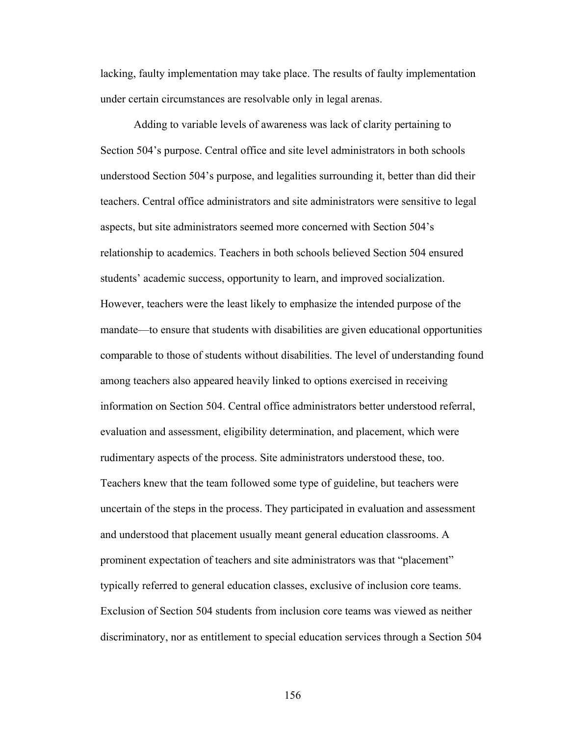lacking, faulty implementation may take place. The results of faulty implementation under certain circumstances are resolvable only in legal arenas.

 Adding to variable levels of awareness was lack of clarity pertaining to Section 504's purpose. Central office and site level administrators in both schools understood Section 504's purpose, and legalities surrounding it, better than did their teachers. Central office administrators and site administrators were sensitive to legal aspects, but site administrators seemed more concerned with Section 504's relationship to academics. Teachers in both schools believed Section 504 ensured students' academic success, opportunity to learn, and improved socialization. However, teachers were the least likely to emphasize the intended purpose of the mandate—to ensure that students with disabilities are given educational opportunities comparable to those of students without disabilities. The level of understanding found among teachers also appeared heavily linked to options exercised in receiving information on Section 504. Central office administrators better understood referral, evaluation and assessment, eligibility determination, and placement, which were rudimentary aspects of the process. Site administrators understood these, too. Teachers knew that the team followed some type of guideline, but teachers were uncertain of the steps in the process. They participated in evaluation and assessment and understood that placement usually meant general education classrooms. A prominent expectation of teachers and site administrators was that "placement" typically referred to general education classes, exclusive of inclusion core teams. Exclusion of Section 504 students from inclusion core teams was viewed as neither discriminatory, nor as entitlement to special education services through a Section 504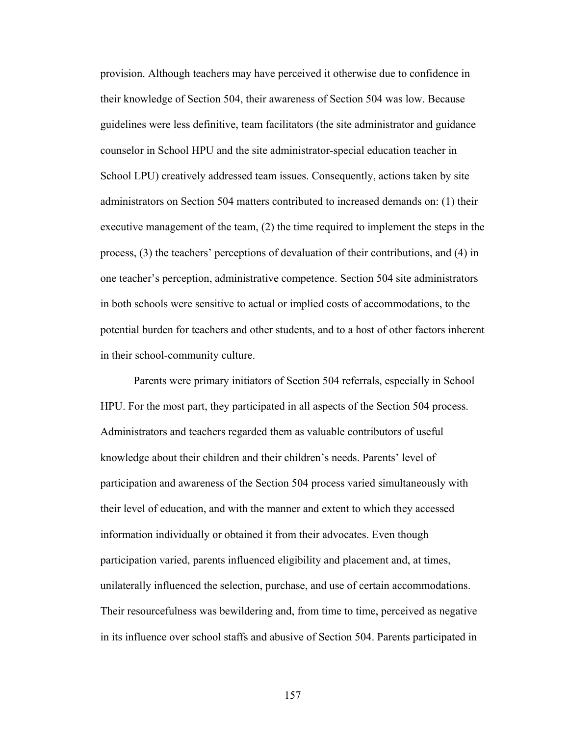provision. Although teachers may have perceived it otherwise due to confidence in their knowledge of Section 504, their awareness of Section 504 was low. Because guidelines were less definitive, team facilitators (the site administrator and guidance counselor in School HPU and the site administrator-special education teacher in School LPU) creatively addressed team issues. Consequently, actions taken by site administrators on Section 504 matters contributed to increased demands on: (1) their executive management of the team, (2) the time required to implement the steps in the process, (3) the teachers' perceptions of devaluation of their contributions, and (4) in one teacher's perception, administrative competence. Section 504 site administrators in both schools were sensitive to actual or implied costs of accommodations, to the potential burden for teachers and other students, and to a host of other factors inherent in their school-community culture.

 Parents were primary initiators of Section 504 referrals, especially in School HPU. For the most part, they participated in all aspects of the Section 504 process. Administrators and teachers regarded them as valuable contributors of useful knowledge about their children and their children's needs. Parents' level of participation and awareness of the Section 504 process varied simultaneously with their level of education, and with the manner and extent to which they accessed information individually or obtained it from their advocates. Even though participation varied, parents influenced eligibility and placement and, at times, unilaterally influenced the selection, purchase, and use of certain accommodations. Their resourcefulness was bewildering and, from time to time, perceived as negative in its influence over school staffs and abusive of Section 504. Parents participated in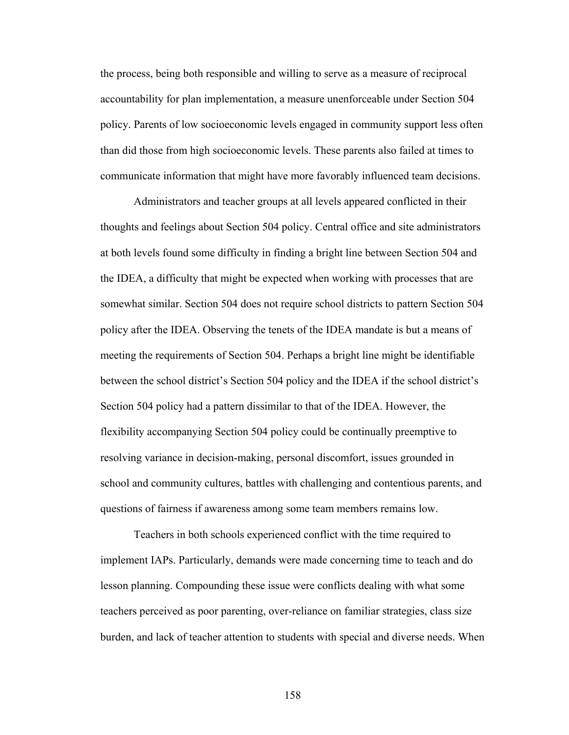the process, being both responsible and willing to serve as a measure of reciprocal accountability for plan implementation, a measure unenforceable under Section 504 policy. Parents of low socioeconomic levels engaged in community support less often than did those from high socioeconomic levels. These parents also failed at times to communicate information that might have more favorably influenced team decisions.

 Administrators and teacher groups at all levels appeared conflicted in their thoughts and feelings about Section 504 policy. Central office and site administrators at both levels found some difficulty in finding a bright line between Section 504 and the IDEA, a difficulty that might be expected when working with processes that are somewhat similar. Section 504 does not require school districts to pattern Section 504 policy after the IDEA. Observing the tenets of the IDEA mandate is but a means of meeting the requirements of Section 504. Perhaps a bright line might be identifiable between the school district's Section 504 policy and the IDEA if the school district's Section 504 policy had a pattern dissimilar to that of the IDEA. However, the flexibility accompanying Section 504 policy could be continually preemptive to resolving variance in decision-making, personal discomfort, issues grounded in school and community cultures, battles with challenging and contentious parents, and questions of fairness if awareness among some team members remains low.

 Teachers in both schools experienced conflict with the time required to implement IAPs. Particularly, demands were made concerning time to teach and do lesson planning. Compounding these issue were conflicts dealing with what some teachers perceived as poor parenting, over-reliance on familiar strategies, class size burden, and lack of teacher attention to students with special and diverse needs. When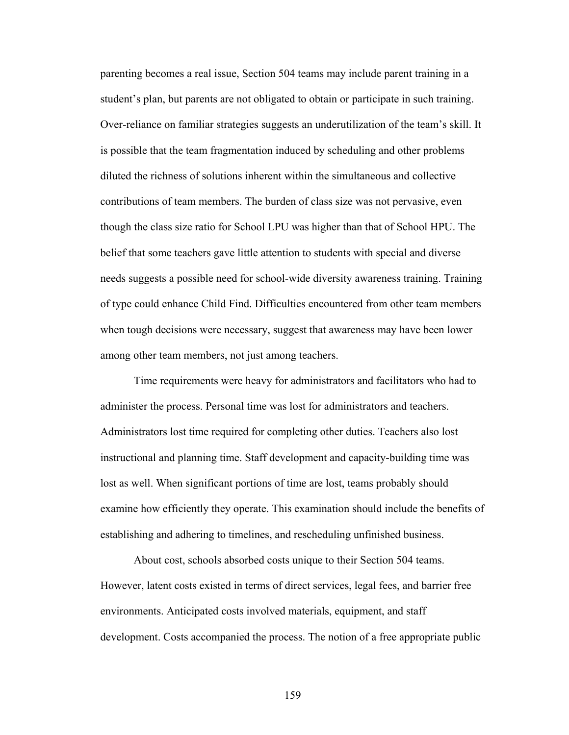parenting becomes a real issue, Section 504 teams may include parent training in a student's plan, but parents are not obligated to obtain or participate in such training. Over-reliance on familiar strategies suggests an underutilization of the team's skill. It is possible that the team fragmentation induced by scheduling and other problems diluted the richness of solutions inherent within the simultaneous and collective contributions of team members. The burden of class size was not pervasive, even though the class size ratio for School LPU was higher than that of School HPU. The belief that some teachers gave little attention to students with special and diverse needs suggests a possible need for school-wide diversity awareness training. Training of type could enhance Child Find. Difficulties encountered from other team members when tough decisions were necessary, suggest that awareness may have been lower among other team members, not just among teachers.

 Time requirements were heavy for administrators and facilitators who had to administer the process. Personal time was lost for administrators and teachers. Administrators lost time required for completing other duties. Teachers also lost instructional and planning time. Staff development and capacity-building time was lost as well. When significant portions of time are lost, teams probably should examine how efficiently they operate. This examination should include the benefits of establishing and adhering to timelines, and rescheduling unfinished business.

 About cost, schools absorbed costs unique to their Section 504 teams. However, latent costs existed in terms of direct services, legal fees, and barrier free environments. Anticipated costs involved materials, equipment, and staff development. Costs accompanied the process. The notion of a free appropriate public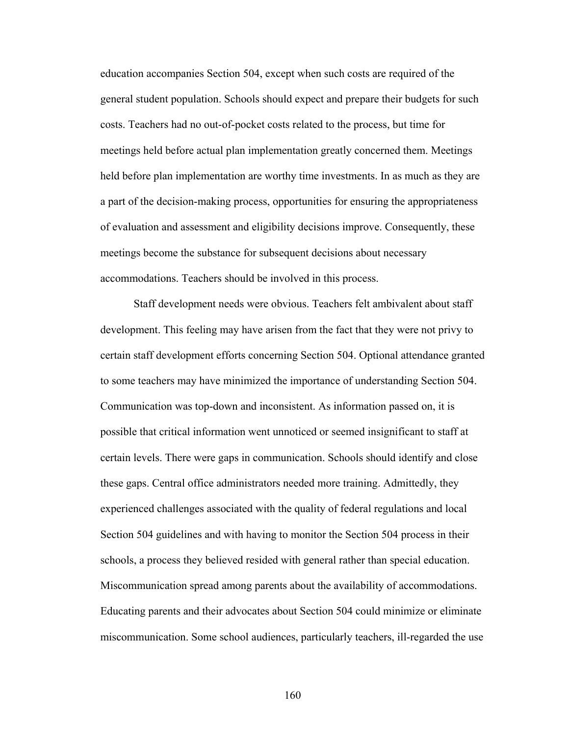education accompanies Section 504, except when such costs are required of the general student population. Schools should expect and prepare their budgets for such costs. Teachers had no out-of-pocket costs related to the process, but time for meetings held before actual plan implementation greatly concerned them. Meetings held before plan implementation are worthy time investments. In as much as they are a part of the decision-making process, opportunities for ensuring the appropriateness of evaluation and assessment and eligibility decisions improve. Consequently, these meetings become the substance for subsequent decisions about necessary accommodations. Teachers should be involved in this process.

Staff development needs were obvious. Teachers felt ambivalent about staff development. This feeling may have arisen from the fact that they were not privy to certain staff development efforts concerning Section 504. Optional attendance granted to some teachers may have minimized the importance of understanding Section 504. Communication was top-down and inconsistent. As information passed on, it is possible that critical information went unnoticed or seemed insignificant to staff at certain levels. There were gaps in communication. Schools should identify and close these gaps. Central office administrators needed more training. Admittedly, they experienced challenges associated with the quality of federal regulations and local Section 504 guidelines and with having to monitor the Section 504 process in their schools, a process they believed resided with general rather than special education. Miscommunication spread among parents about the availability of accommodations. Educating parents and their advocates about Section 504 could minimize or eliminate miscommunication. Some school audiences, particularly teachers, ill-regarded the use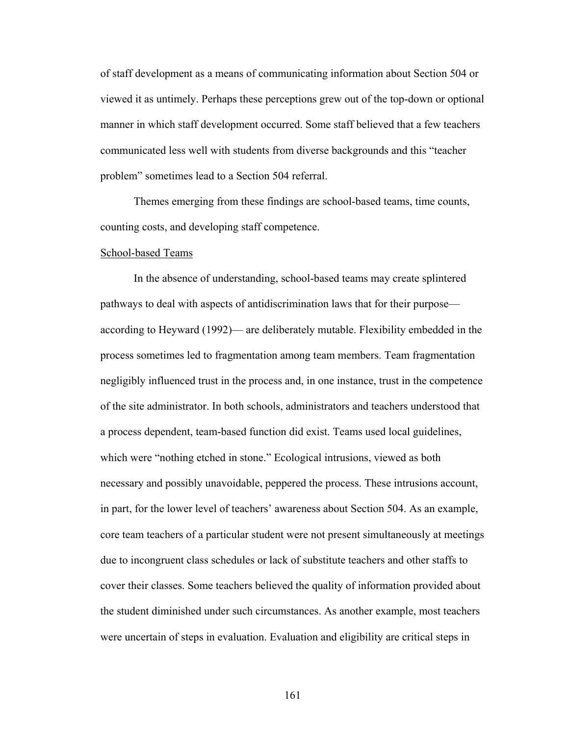of staff development as a means of communicating information about Section 504 or viewed it as untimely. Perhaps these perceptions grew out of the top-down or optional manner in which staff development occurred. Some staff believed that a few teachers communicated less well with students from diverse backgrounds and this "teacher problem" sometimes lead to a Section 504 referral.

 Themes emerging from these findings are school-based teams, time counts, counting costs, and developing staff competence.

#### School-based Teams

 In the absence of understanding, school-based teams may create splintered pathways to deal with aspects of antidiscrimination laws that for their purpose according to Heyward (1992)— are deliberately mutable. Flexibility embedded in the process sometimes led to fragmentation among team members. Team fragmentation negligibly influenced trust in the process and, in one instance, trust in the competence of the site administrator. In both schools, administrators and teachers understood that a process dependent, team-based function did exist. Teams used local guidelines, which were "nothing etched in stone." Ecological intrusions, viewed as both necessary and possibly unavoidable, peppered the process. These intrusions account, in part, for the lower level of teachers' awareness about Section 504. As an example, core team teachers of a particular student were not present simultaneously at meetings due to incongruent class schedules or lack of substitute teachers and other staffs to cover their classes. Some teachers believed the quality of information provided about the student diminished under such circumstances. As another example, most teachers were uncertain of steps in evaluation. Evaluation and eligibility are critical steps in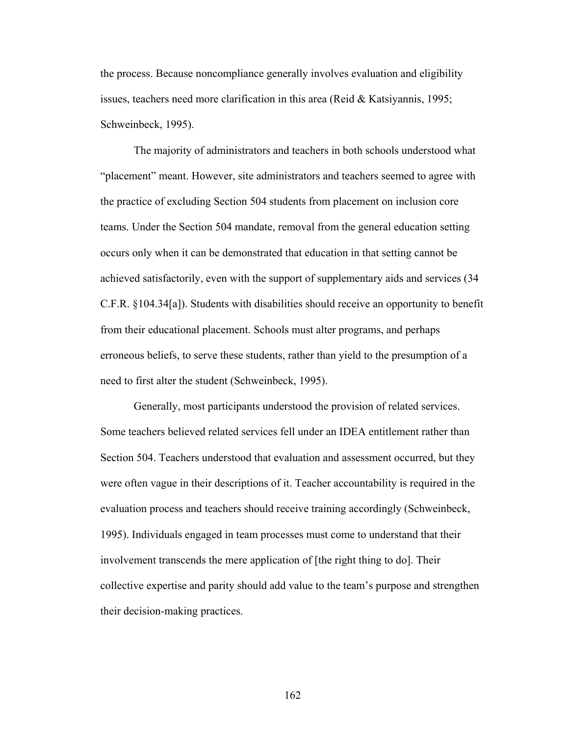the process. Because noncompliance generally involves evaluation and eligibility issues, teachers need more clarification in this area (Reid  $& K$ atsiyannis, 1995; Schweinbeck, 1995).

 The majority of administrators and teachers in both schools understood what "placement" meant. However, site administrators and teachers seemed to agree with the practice of excluding Section 504 students from placement on inclusion core teams. Under the Section 504 mandate, removal from the general education setting occurs only when it can be demonstrated that education in that setting cannot be achieved satisfactorily, even with the support of supplementary aids and services (34 C.F.R. §104.34[a]). Students with disabilities should receive an opportunity to benefit from their educational placement. Schools must alter programs, and perhaps erroneous beliefs, to serve these students, rather than yield to the presumption of a need to first alter the student (Schweinbeck, 1995).

 Generally, most participants understood the provision of related services. Some teachers believed related services fell under an IDEA entitlement rather than Section 504. Teachers understood that evaluation and assessment occurred, but they were often vague in their descriptions of it. Teacher accountability is required in the evaluation process and teachers should receive training accordingly (Schweinbeck, 1995). Individuals engaged in team processes must come to understand that their involvement transcends the mere application of [the right thing to do]. Their collective expertise and parity should add value to the team's purpose and strengthen their decision-making practices.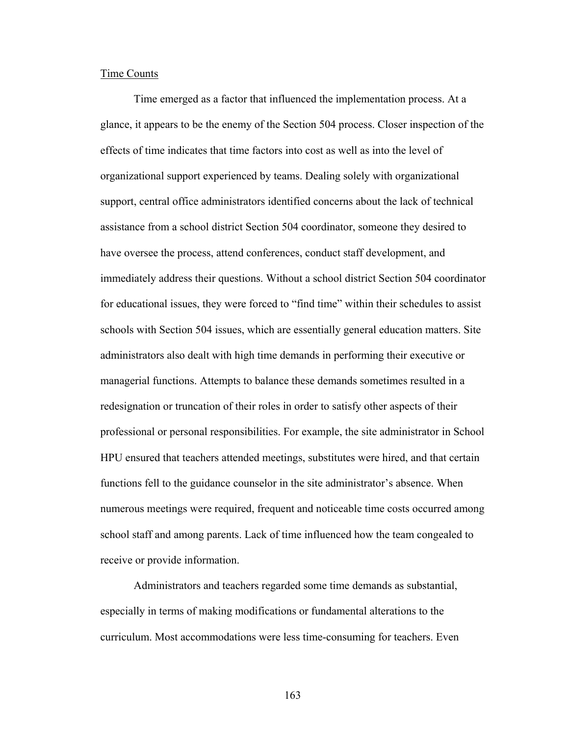# Time Counts

 Time emerged as a factor that influenced the implementation process. At a glance, it appears to be the enemy of the Section 504 process. Closer inspection of the effects of time indicates that time factors into cost as well as into the level of organizational support experienced by teams. Dealing solely with organizational support, central office administrators identified concerns about the lack of technical assistance from a school district Section 504 coordinator, someone they desired to have oversee the process, attend conferences, conduct staff development, and immediately address their questions. Without a school district Section 504 coordinator for educational issues, they were forced to "find time" within their schedules to assist schools with Section 504 issues, which are essentially general education matters. Site administrators also dealt with high time demands in performing their executive or managerial functions. Attempts to balance these demands sometimes resulted in a redesignation or truncation of their roles in order to satisfy other aspects of their professional or personal responsibilities. For example, the site administrator in School HPU ensured that teachers attended meetings, substitutes were hired, and that certain functions fell to the guidance counselor in the site administrator's absence. When numerous meetings were required, frequent and noticeable time costs occurred among school staff and among parents. Lack of time influenced how the team congealed to receive or provide information.

 Administrators and teachers regarded some time demands as substantial, especially in terms of making modifications or fundamental alterations to the curriculum. Most accommodations were less time-consuming for teachers. Even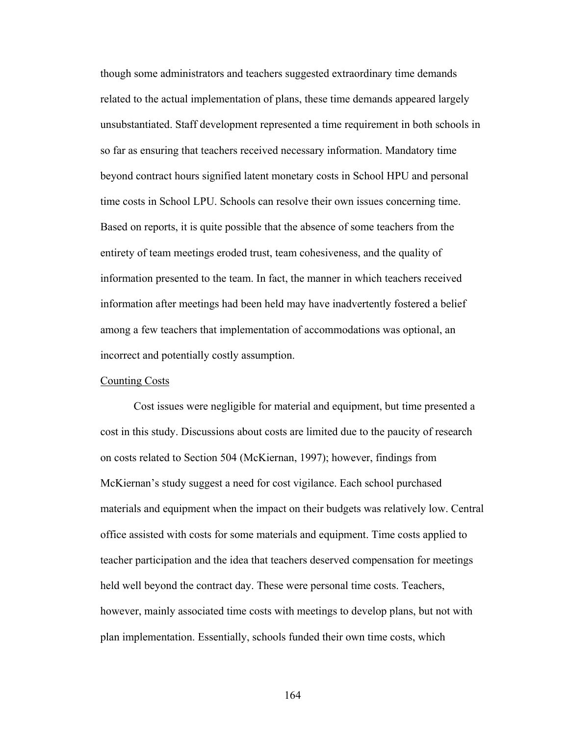though some administrators and teachers suggested extraordinary time demands related to the actual implementation of plans, these time demands appeared largely unsubstantiated. Staff development represented a time requirement in both schools in so far as ensuring that teachers received necessary information. Mandatory time beyond contract hours signified latent monetary costs in School HPU and personal time costs in School LPU. Schools can resolve their own issues concerning time. Based on reports, it is quite possible that the absence of some teachers from the entirety of team meetings eroded trust, team cohesiveness, and the quality of information presented to the team. In fact, the manner in which teachers received information after meetings had been held may have inadvertently fostered a belief among a few teachers that implementation of accommodations was optional, an incorrect and potentially costly assumption.

## Counting Costs

 Cost issues were negligible for material and equipment, but time presented a cost in this study. Discussions about costs are limited due to the paucity of research on costs related to Section 504 (McKiernan, 1997); however, findings from McKiernan's study suggest a need for cost vigilance. Each school purchased materials and equipment when the impact on their budgets was relatively low. Central office assisted with costs for some materials and equipment. Time costs applied to teacher participation and the idea that teachers deserved compensation for meetings held well beyond the contract day. These were personal time costs. Teachers, however, mainly associated time costs with meetings to develop plans, but not with plan implementation. Essentially, schools funded their own time costs, which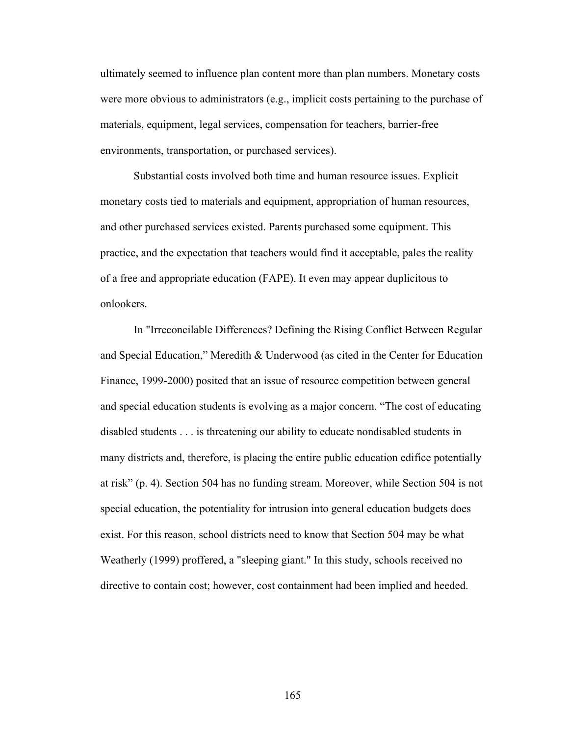ultimately seemed to influence plan content more than plan numbers. Monetary costs were more obvious to administrators (e.g., implicit costs pertaining to the purchase of materials, equipment, legal services, compensation for teachers, barrier-free environments, transportation, or purchased services).

 Substantial costs involved both time and human resource issues. Explicit monetary costs tied to materials and equipment, appropriation of human resources, and other purchased services existed. Parents purchased some equipment. This practice, and the expectation that teachers would find it acceptable, pales the reality of a free and appropriate education (FAPE). It even may appear duplicitous to onlookers.

 In "Irreconcilable Differences? Defining the Rising Conflict Between Regular and Special Education," Meredith & Underwood (as cited in the Center for Education Finance, 1999-2000) posited that an issue of resource competition between general and special education students is evolving as a major concern. "The cost of educating disabled students . . . is threatening our ability to educate nondisabled students in many districts and, therefore, is placing the entire public education edifice potentially at risk" (p. 4). Section 504 has no funding stream. Moreover, while Section 504 is not special education, the potentiality for intrusion into general education budgets does exist. For this reason, school districts need to know that Section 504 may be what Weatherly (1999) proffered, a "sleeping giant." In this study, schools received no directive to contain cost; however, cost containment had been implied and heeded.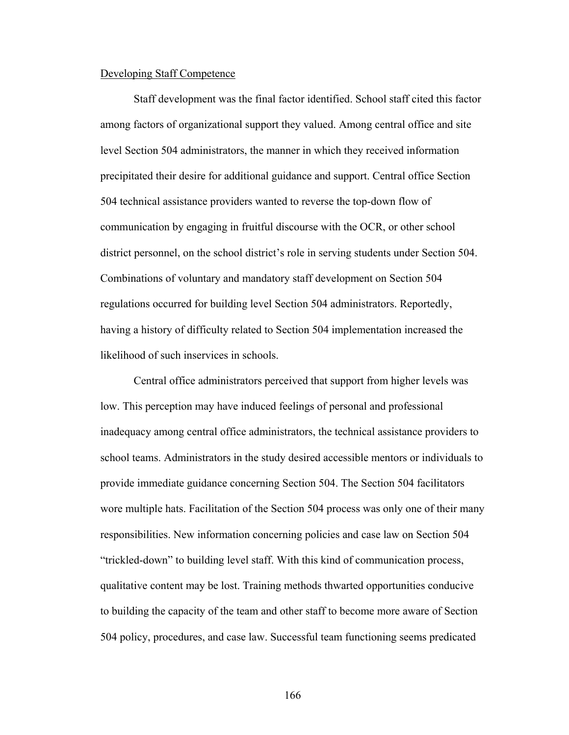#### Developing Staff Competence

 Staff development was the final factor identified. School staff cited this factor among factors of organizational support they valued. Among central office and site level Section 504 administrators, the manner in which they received information precipitated their desire for additional guidance and support. Central office Section 504 technical assistance providers wanted to reverse the top-down flow of communication by engaging in fruitful discourse with the OCR, or other school district personnel, on the school district's role in serving students under Section 504. Combinations of voluntary and mandatory staff development on Section 504 regulations occurred for building level Section 504 administrators. Reportedly, having a history of difficulty related to Section 504 implementation increased the likelihood of such inservices in schools.

 Central office administrators perceived that support from higher levels was low. This perception may have induced feelings of personal and professional inadequacy among central office administrators, the technical assistance providers to school teams. Administrators in the study desired accessible mentors or individuals to provide immediate guidance concerning Section 504. The Section 504 facilitators wore multiple hats. Facilitation of the Section 504 process was only one of their many responsibilities. New information concerning policies and case law on Section 504 "trickled-down" to building level staff. With this kind of communication process, qualitative content may be lost. Training methods thwarted opportunities conducive to building the capacity of the team and other staff to become more aware of Section 504 policy, procedures, and case law. Successful team functioning seems predicated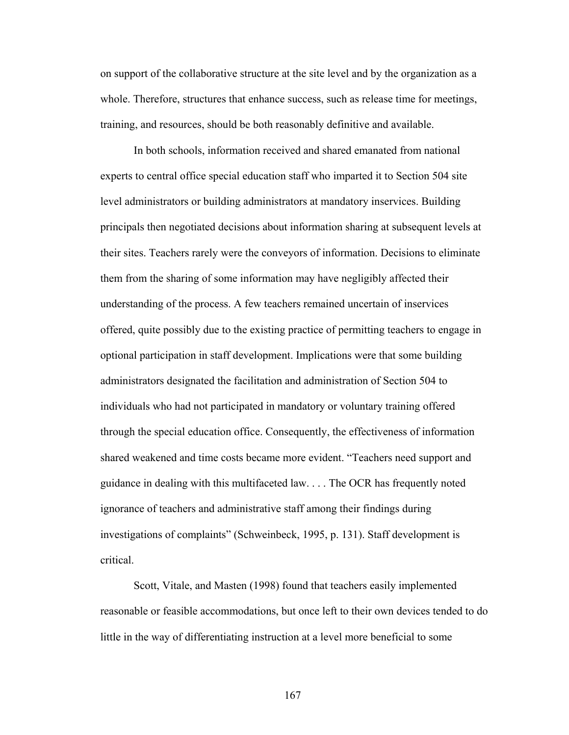on support of the collaborative structure at the site level and by the organization as a whole. Therefore, structures that enhance success, such as release time for meetings, training, and resources, should be both reasonably definitive and available.

 In both schools, information received and shared emanated from national experts to central office special education staff who imparted it to Section 504 site level administrators or building administrators at mandatory inservices. Building principals then negotiated decisions about information sharing at subsequent levels at their sites. Teachers rarely were the conveyors of information. Decisions to eliminate them from the sharing of some information may have negligibly affected their understanding of the process. A few teachers remained uncertain of inservices offered, quite possibly due to the existing practice of permitting teachers to engage in optional participation in staff development. Implications were that some building administrators designated the facilitation and administration of Section 504 to individuals who had not participated in mandatory or voluntary training offered through the special education office. Consequently, the effectiveness of information shared weakened and time costs became more evident. "Teachers need support and guidance in dealing with this multifaceted law. . . . The OCR has frequently noted ignorance of teachers and administrative staff among their findings during investigations of complaints" (Schweinbeck, 1995, p. 131). Staff development is critical.

 Scott, Vitale, and Masten (1998) found that teachers easily implemented reasonable or feasible accommodations, but once left to their own devices tended to do little in the way of differentiating instruction at a level more beneficial to some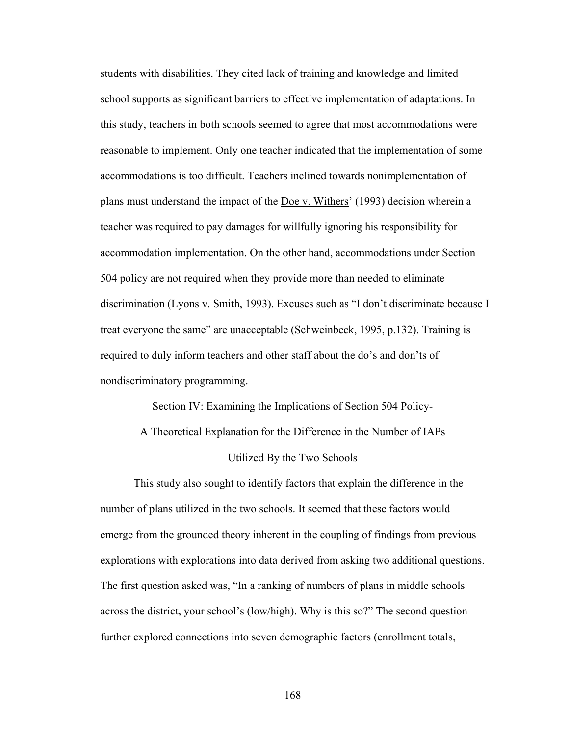students with disabilities. They cited lack of training and knowledge and limited school supports as significant barriers to effective implementation of adaptations. In this study, teachers in both schools seemed to agree that most accommodations were reasonable to implement. Only one teacher indicated that the implementation of some accommodations is too difficult. Teachers inclined towards nonimplementation of plans must understand the impact of the Doe v. Withers' (1993) decision wherein a teacher was required to pay damages for willfully ignoring his responsibility for accommodation implementation. On the other hand, accommodations under Section 504 policy are not required when they provide more than needed to eliminate discrimination (Lyons v. Smith, 1993). Excuses such as "I don't discriminate because I treat everyone the same" are unacceptable (Schweinbeck, 1995, p.132). Training is required to duly inform teachers and other staff about the do's and don'ts of nondiscriminatory programming.

Section IV: Examining the Implications of Section 504 Policy-A Theoretical Explanation for the Difference in the Number of IAPs Utilized By the Two Schools

 This study also sought to identify factors that explain the difference in the number of plans utilized in the two schools. It seemed that these factors would emerge from the grounded theory inherent in the coupling of findings from previous explorations with explorations into data derived from asking two additional questions. The first question asked was, "In a ranking of numbers of plans in middle schools across the district, your school's (low/high). Why is this so?" The second question further explored connections into seven demographic factors (enrollment totals,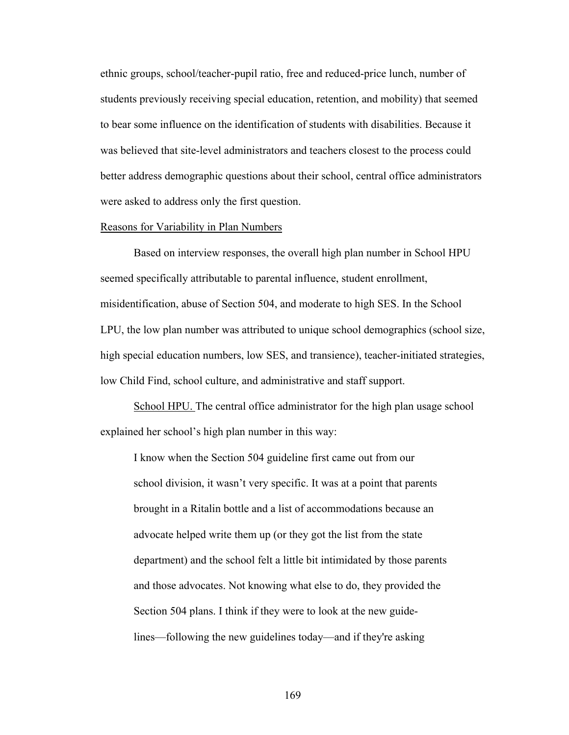ethnic groups, school/teacher-pupil ratio, free and reduced-price lunch, number of students previously receiving special education, retention, and mobility) that seemed to bear some influence on the identification of students with disabilities. Because it was believed that site-level administrators and teachers closest to the process could better address demographic questions about their school, central office administrators were asked to address only the first question.

## Reasons for Variability in Plan Numbers

Based on interview responses, the overall high plan number in School HPU seemed specifically attributable to parental influence, student enrollment, misidentification, abuse of Section 504, and moderate to high SES. In the School LPU, the low plan number was attributed to unique school demographics (school size, high special education numbers, low SES, and transience), teacher-initiated strategies, low Child Find, school culture, and administrative and staff support.

 School HPU. The central office administrator for the high plan usage school explained her school's high plan number in this way:

I know when the Section 504 guideline first came out from our school division, it wasn't very specific. It was at a point that parents brought in a Ritalin bottle and a list of accommodations because an advocate helped write them up (or they got the list from the state department) and the school felt a little bit intimidated by those parents and those advocates. Not knowing what else to do, they provided the Section 504 plans. I think if they were to look at the new guidelines—following the new guidelines today—and if they're asking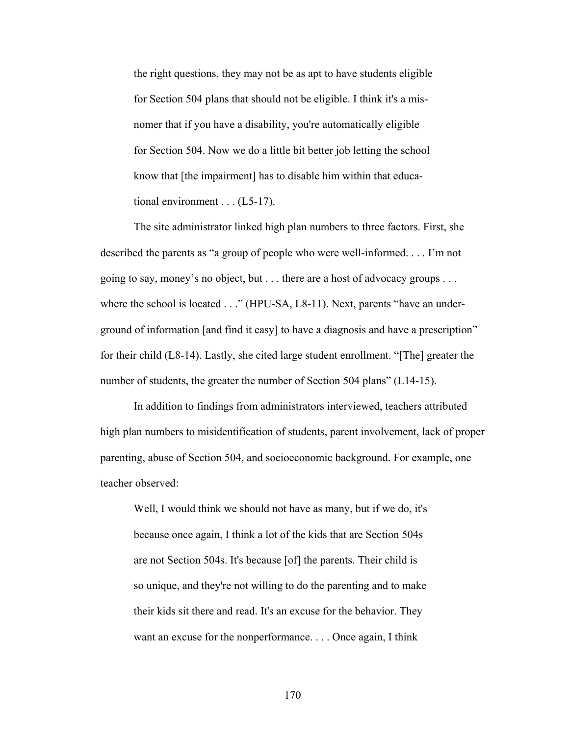the right questions, they may not be as apt to have students eligible for Section 504 plans that should not be eligible. I think it's a misnomer that if you have a disability, you're automatically eligible for Section 504. Now we do a little bit better job letting the school know that [the impairment] has to disable him within that educational environment . . . (L5-17).

 The site administrator linked high plan numbers to three factors. First, she described the parents as "a group of people who were well-informed. . . . I'm not going to say, money's no object, but . . . there are a host of advocacy groups . . . where the school is located . . ." (HPU-SA, L8-11). Next, parents "have an underground of information [and find it easy] to have a diagnosis and have a prescription" for their child (L8-14). Lastly, she cited large student enrollment. "[The] greater the number of students, the greater the number of Section 504 plans" (L14-15).

In addition to findings from administrators interviewed, teachers attributed high plan numbers to misidentification of students, parent involvement, lack of proper parenting, abuse of Section 504, and socioeconomic background. For example, one teacher observed:

 Well, I would think we should not have as many, but if we do, it's because once again, I think a lot of the kids that are Section 504s are not Section 504s. It's because [of] the parents. Their child is so unique, and they're not willing to do the parenting and to make their kids sit there and read. It's an excuse for the behavior. They want an excuse for the nonperformance. . . . Once again, I think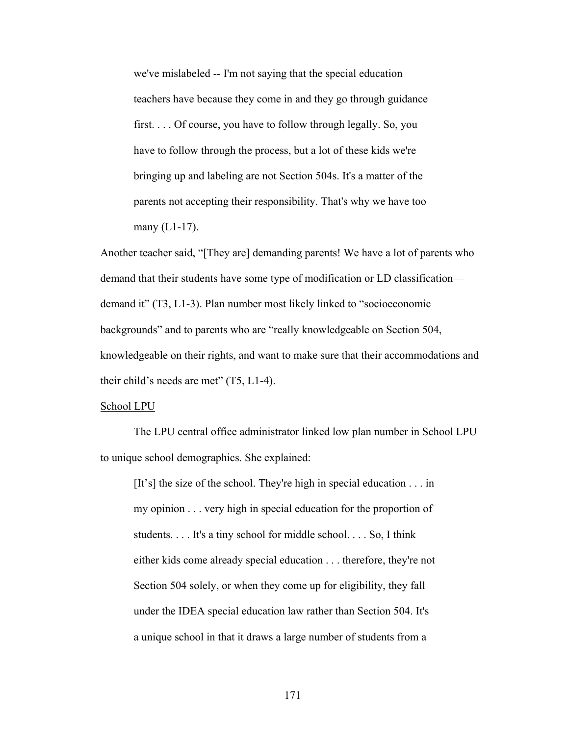we've mislabeled -- I'm not saying that the special education teachers have because they come in and they go through guidance first. . . . Of course, you have to follow through legally. So, you have to follow through the process, but a lot of these kids we're bringing up and labeling are not Section 504s. It's a matter of the parents not accepting their responsibility. That's why we have too many  $(L1-17)$ .

Another teacher said, "[They are] demanding parents! We have a lot of parents who demand that their students have some type of modification or LD classification demand it" (T3, L1-3). Plan number most likely linked to "socioeconomic backgrounds" and to parents who are "really knowledgeable on Section 504, knowledgeable on their rights, and want to make sure that their accommodations and their child's needs are met"  $(T5, L1-4)$ .

#### School LPU

 The LPU central office administrator linked low plan number in School LPU to unique school demographics. She explained:

[It's] the size of the school. They're high in special education . . . in my opinion . . . very high in special education for the proportion of students. . . . It's a tiny school for middle school. . . . So, I think either kids come already special education . . . therefore, they're not Section 504 solely, or when they come up for eligibility, they fall under the IDEA special education law rather than Section 504. It's a unique school in that it draws a large number of students from a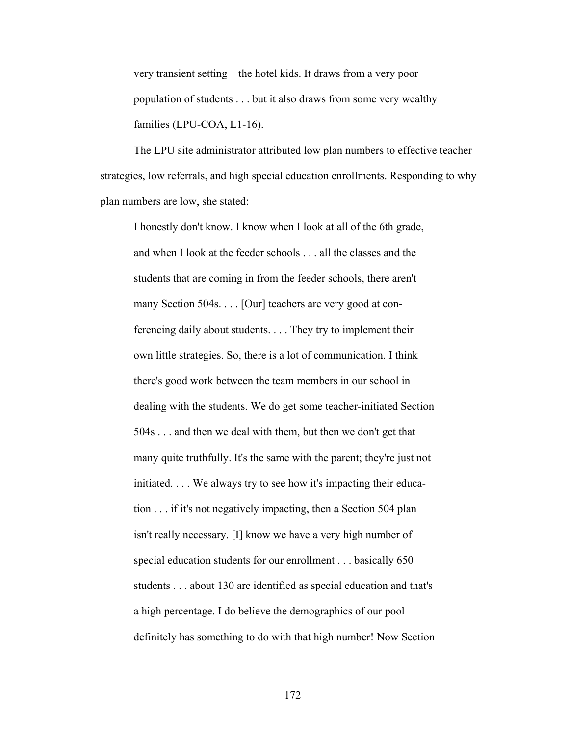very transient setting—the hotel kids. It draws from a very poor population of students . . . but it also draws from some very wealthy families (LPU-COA, L1-16).

 The LPU site administrator attributed low plan numbers to effective teacher strategies, low referrals, and high special education enrollments. Responding to why plan numbers are low, she stated:

 I honestly don't know. I know when I look at all of the 6th grade, and when I look at the feeder schools . . . all the classes and the students that are coming in from the feeder schools, there aren't many Section 504s. . . . [Our] teachers are very good at con ferencing daily about students. . . . They try to implement their own little strategies. So, there is a lot of communication. I think there's good work between the team members in our school in dealing with the students. We do get some teacher-initiated Section 504s . . . and then we deal with them, but then we don't get that many quite truthfully. It's the same with the parent; they're just not initiated. . . . We always try to see how it's impacting their educa tion . . . if it's not negatively impacting, then a Section 504 plan isn't really necessary. [I] know we have a very high number of special education students for our enrollment . . . basically 650 students . . . about 130 are identified as special education and that's a high percentage. I do believe the demographics of our pool definitely has something to do with that high number! Now Section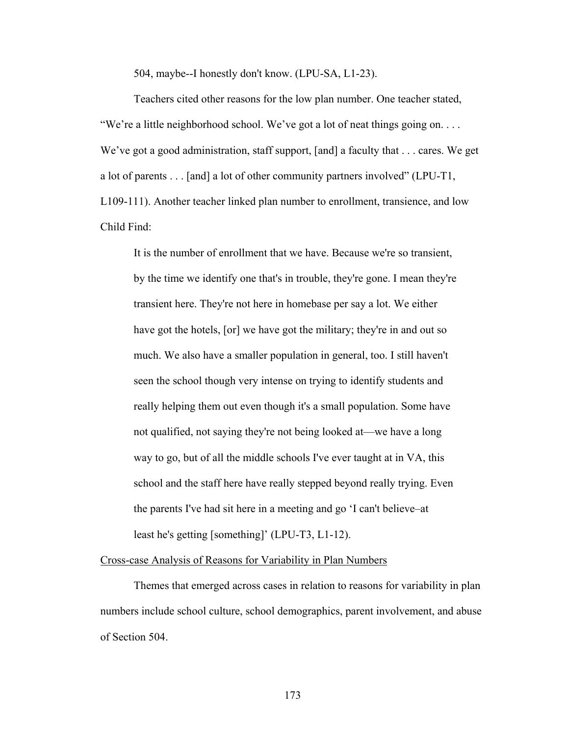504, maybe--I honestly don't know. (LPU-SA, L1-23).

Teachers cited other reasons for the low plan number. One teacher stated, "We're a little neighborhood school. We've got a lot of neat things going on.... We've got a good administration, staff support, [and] a faculty that . . . cares. We get a lot of parents . . . [and] a lot of other community partners involved" (LPU-T1, L109-111). Another teacher linked plan number to enrollment, transience, and low Child Find:

It is the number of enrollment that we have. Because we're so transient, by the time we identify one that's in trouble, they're gone. I mean they're transient here. They're not here in homebase per say a lot. We either have got the hotels, [or] we have got the military; they're in and out so much. We also have a smaller population in general, too. I still haven't seen the school though very intense on trying to identify students and really helping them out even though it's a small population. Some have not qualified, not saying they're not being looked at—we have a long way to go, but of all the middle schools I've ever taught at in VA, this school and the staff here have really stepped beyond really trying. Even the parents I've had sit here in a meeting and go 'I can't believe–at least he's getting [something]' (LPU-T3, L1-12).

Cross-case Analysis of Reasons for Variability in Plan Numbers

 Themes that emerged across cases in relation to reasons for variability in plan numbers include school culture, school demographics, parent involvement, and abuse of Section 504.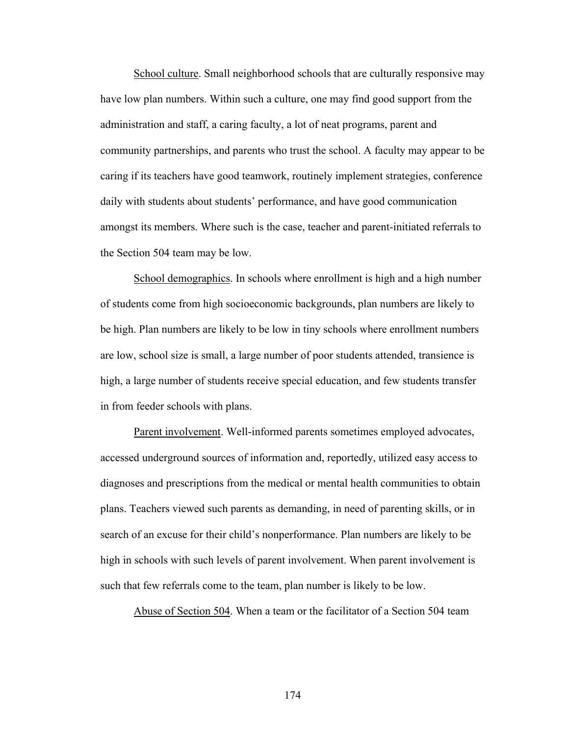School culture. Small neighborhood schools that are culturally responsive may have low plan numbers. Within such a culture, one may find good support from the administration and staff, a caring faculty, a lot of neat programs, parent and community partnerships, and parents who trust the school. A faculty may appear to be caring if its teachers have good teamwork, routinely implement strategies, conference daily with students about students' performance, and have good communication amongst its members. Where such is the case, teacher and parent-initiated referrals to the Section 504 team may be low.

School demographics. In schools where enrollment is high and a high number of students come from high socioeconomic backgrounds, plan numbers are likely to be high. Plan numbers are likely to be low in tiny schools where enrollment numbers are low, school size is small, a large number of poor students attended, transience is high, a large number of students receive special education, and few students transfer in from feeder schools with plans.

Parent involvement. Well-informed parents sometimes employed advocates, accessed underground sources of information and, reportedly, utilized easy access to diagnoses and prescriptions from the medical or mental health communities to obtain plans. Teachers viewed such parents as demanding, in need of parenting skills, or in search of an excuse for their child's nonperformance. Plan numbers are likely to be high in schools with such levels of parent involvement. When parent involvement is such that few referrals come to the team, plan number is likely to be low.

Abuse of Section 504. When a team or the facilitator of a Section 504 team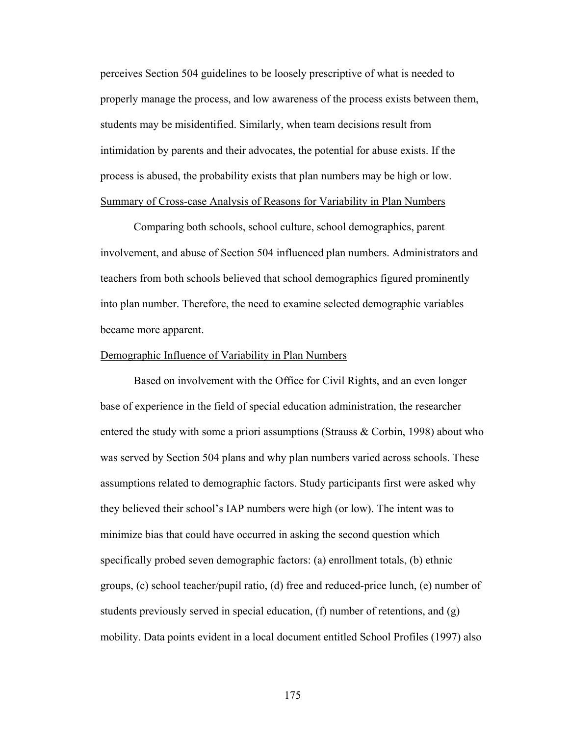perceives Section 504 guidelines to be loosely prescriptive of what is needed to properly manage the process, and low awareness of the process exists between them, students may be misidentified. Similarly, when team decisions result from intimidation by parents and their advocates, the potential for abuse exists. If the process is abused, the probability exists that plan numbers may be high or low. Summary of Cross-case Analysis of Reasons for Variability in Plan Numbers

 Comparing both schools, school culture, school demographics, parent involvement, and abuse of Section 504 influenced plan numbers. Administrators and teachers from both schools believed that school demographics figured prominently into plan number. Therefore, the need to examine selected demographic variables became more apparent.

#### Demographic Influence of Variability in Plan Numbers

 Based on involvement with the Office for Civil Rights, and an even longer base of experience in the field of special education administration, the researcher entered the study with some a priori assumptions (Strauss & Corbin, 1998) about who was served by Section 504 plans and why plan numbers varied across schools. These assumptions related to demographic factors. Study participants first were asked why they believed their school's IAP numbers were high (or low). The intent was to minimize bias that could have occurred in asking the second question which specifically probed seven demographic factors: (a) enrollment totals, (b) ethnic groups, (c) school teacher/pupil ratio, (d) free and reduced-price lunch, (e) number of students previously served in special education, (f) number of retentions, and (g) mobility. Data points evident in a local document entitled School Profiles (1997) also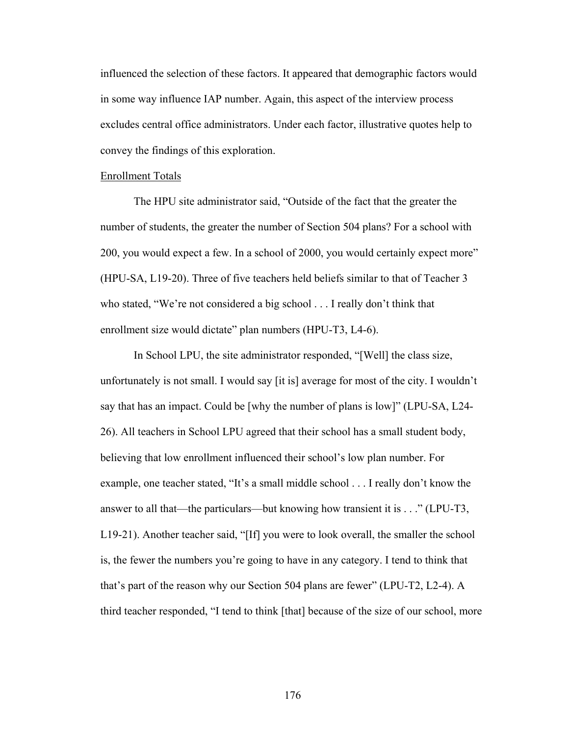influenced the selection of these factors. It appeared that demographic factors would in some way influence IAP number. Again, this aspect of the interview process excludes central office administrators. Under each factor, illustrative quotes help to convey the findings of this exploration.

#### Enrollment Totals

The HPU site administrator said, "Outside of the fact that the greater the number of students, the greater the number of Section 504 plans? For a school with 200, you would expect a few. In a school of 2000, you would certainly expect more" (HPU-SA, L19-20). Three of five teachers held beliefs similar to that of Teacher 3 who stated, "We're not considered a big school . . . I really don't think that enrollment size would dictate" plan numbers (HPU-T3, L4-6).

 In School LPU, the site administrator responded, "[Well] the class size, unfortunately is not small. I would say [it is] average for most of the city. I wouldn't say that has an impact. Could be [why the number of plans is low]" (LPU-SA, L24- 26). All teachers in School LPU agreed that their school has a small student body, believing that low enrollment influenced their school's low plan number. For example, one teacher stated, "It's a small middle school . . . I really don't know the answer to all that—the particulars—but knowing how transient it is . . ." (LPU-T3, L19-21). Another teacher said, "[If] you were to look overall, the smaller the school is, the fewer the numbers you're going to have in any category. I tend to think that that's part of the reason why our Section 504 plans are fewer" (LPU-T2, L2-4). A third teacher responded, "I tend to think [that] because of the size of our school, more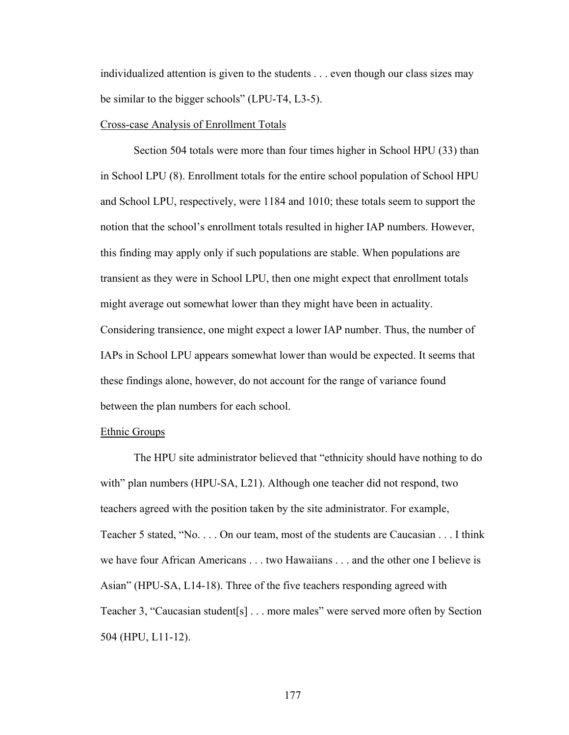individualized attention is given to the students . . . even though our class sizes may be similar to the bigger schools" (LPU-T4, L3-5).

#### Cross-case Analysis of Enrollment Totals

 Section 504 totals were more than four times higher in School HPU (33) than in School LPU (8). Enrollment totals for the entire school population of School HPU and School LPU, respectively, were 1184 and 1010; these totals seem to support the notion that the school's enrollment totals resulted in higher IAP numbers. However, this finding may apply only if such populations are stable. When populations are transient as they were in School LPU, then one might expect that enrollment totals might average out somewhat lower than they might have been in actuality. Considering transience, one might expect a lower IAP number. Thus, the number of IAPs in School LPU appears somewhat lower than would be expected. It seems that these findings alone, however, do not account for the range of variance found between the plan numbers for each school.

#### Ethnic Groups

The HPU site administrator believed that "ethnicity should have nothing to do with" plan numbers (HPU-SA, L21). Although one teacher did not respond, two teachers agreed with the position taken by the site administrator. For example, Teacher 5 stated, "No. . . . On our team, most of the students are Caucasian . . . I think we have four African Americans . . . two Hawaiians . . . and the other one I believe is Asian" (HPU-SA, L14-18). Three of the five teachers responding agreed with Teacher 3, "Caucasian student[s] . . . more males" were served more often by Section 504 (HPU, L11-12).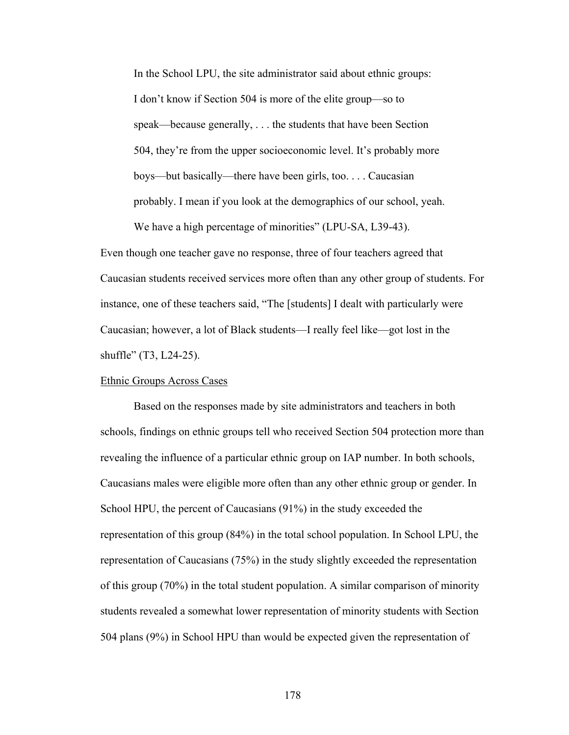In the School LPU, the site administrator said about ethnic groups: I don't know if Section 504 is more of the elite group—so to speak—because generally, . . . the students that have been Section 504, they're from the upper socioeconomic level. It's probably more boys—but basically—there have been girls, too. . . . Caucasian probably. I mean if you look at the demographics of our school, yeah. We have a high percentage of minorities" (LPU-SA, L39-43).

Even though one teacher gave no response, three of four teachers agreed that Caucasian students received services more often than any other group of students. For instance, one of these teachers said, "The [students] I dealt with particularly were Caucasian; however, a lot of Black students—I really feel like—got lost in the shuffle" (T3, L24-25).

#### Ethnic Groups Across Cases

 Based on the responses made by site administrators and teachers in both schools, findings on ethnic groups tell who received Section 504 protection more than revealing the influence of a particular ethnic group on IAP number. In both schools, Caucasians males were eligible more often than any other ethnic group or gender. In School HPU, the percent of Caucasians (91%) in the study exceeded the representation of this group (84%) in the total school population. In School LPU, the representation of Caucasians (75%) in the study slightly exceeded the representation of this group (70%) in the total student population. A similar comparison of minority students revealed a somewhat lower representation of minority students with Section 504 plans (9%) in School HPU than would be expected given the representation of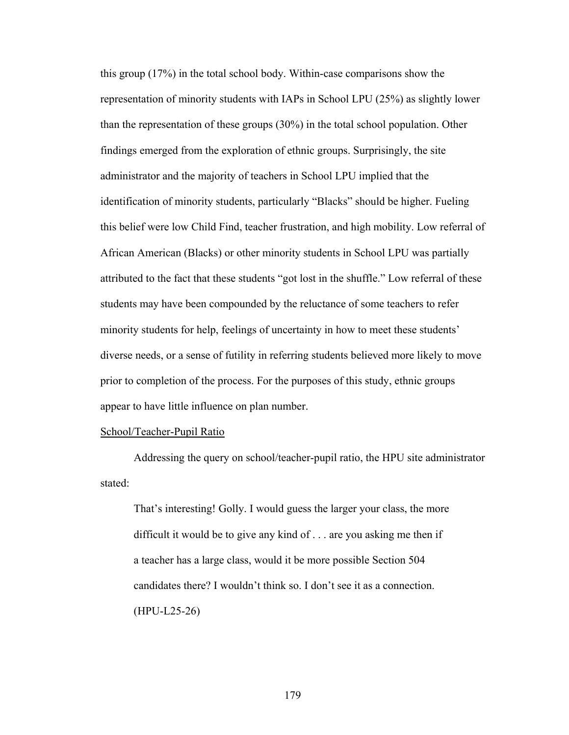this group (17%) in the total school body. Within-case comparisons show the representation of minority students with IAPs in School LPU (25%) as slightly lower than the representation of these groups (30%) in the total school population. Other findings emerged from the exploration of ethnic groups. Surprisingly, the site administrator and the majority of teachers in School LPU implied that the identification of minority students, particularly "Blacks" should be higher. Fueling this belief were low Child Find, teacher frustration, and high mobility. Low referral of African American (Blacks) or other minority students in School LPU was partially attributed to the fact that these students "got lost in the shuffle." Low referral of these students may have been compounded by the reluctance of some teachers to refer minority students for help, feelings of uncertainty in how to meet these students' diverse needs, or a sense of futility in referring students believed more likely to move prior to completion of the process. For the purposes of this study, ethnic groups appear to have little influence on plan number.

## School/Teacher-Pupil Ratio

Addressing the query on school/teacher-pupil ratio, the HPU site administrator stated:

That's interesting! Golly. I would guess the larger your class, the more difficult it would be to give any kind of . . . are you asking me then if a teacher has a large class, would it be more possible Section 504 candidates there? I wouldn't think so. I don't see it as a connection. (HPU-L25-26)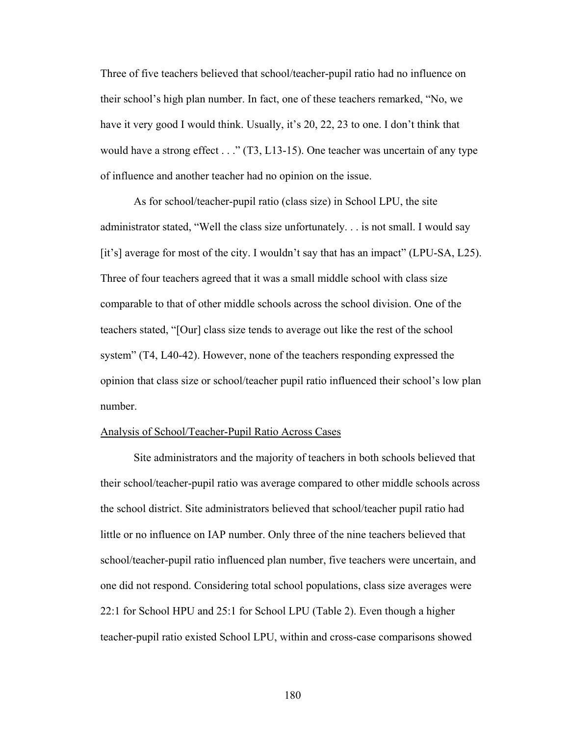Three of five teachers believed that school/teacher-pupil ratio had no influence on their school's high plan number. In fact, one of these teachers remarked, "No, we have it very good I would think. Usually, it's 20, 22, 23 to one. I don't think that would have a strong effect . . ." (T3, L13-15). One teacher was uncertain of any type of influence and another teacher had no opinion on the issue.

As for school/teacher-pupil ratio (class size) in School LPU, the site administrator stated, "Well the class size unfortunately. . . is not small. I would say [it's] average for most of the city. I wouldn't say that has an impact" (LPU-SA, L25). Three of four teachers agreed that it was a small middle school with class size comparable to that of other middle schools across the school division. One of the teachers stated, "[Our] class size tends to average out like the rest of the school system" (T4, L40-42). However, none of the teachers responding expressed the opinion that class size or school/teacher pupil ratio influenced their school's low plan number.

#### Analysis of School/Teacher-Pupil Ratio Across Cases

 Site administrators and the majority of teachers in both schools believed that their school/teacher-pupil ratio was average compared to other middle schools across the school district. Site administrators believed that school/teacher pupil ratio had little or no influence on IAP number. Only three of the nine teachers believed that school/teacher-pupil ratio influenced plan number, five teachers were uncertain, and one did not respond. Considering total school populations, class size averages were 22:1 for School HPU and 25:1 for School LPU (Table 2). Even though a higher teacher-pupil ratio existed School LPU, within and cross-case comparisons showed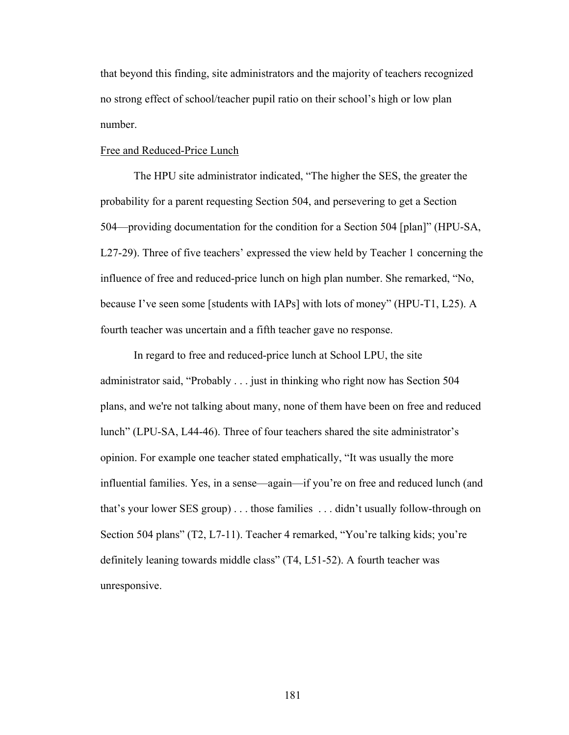that beyond this finding, site administrators and the majority of teachers recognized no strong effect of school/teacher pupil ratio on their school's high or low plan number.

### Free and Reduced-Price Lunch

The HPU site administrator indicated, "The higher the SES, the greater the probability for a parent requesting Section 504, and persevering to get a Section 504—providing documentation for the condition for a Section 504 [plan]" (HPU-SA, L27-29). Three of five teachers' expressed the view held by Teacher 1 concerning the influence of free and reduced-price lunch on high plan number. She remarked, "No, because I've seen some [students with IAPs] with lots of money" (HPU-T1, L25). A fourth teacher was uncertain and a fifth teacher gave no response.

In regard to free and reduced-price lunch at School LPU, the site administrator said, "Probably . . . just in thinking who right now has Section 504 plans, and we're not talking about many, none of them have been on free and reduced lunch" (LPU-SA, L44-46). Three of four teachers shared the site administrator's opinion. For example one teacher stated emphatically, "It was usually the more influential families. Yes, in a sense—again—if you're on free and reduced lunch (and that's your lower SES group) . . . those families . . . didn't usually follow-through on Section 504 plans" (T2, L7-11). Teacher 4 remarked, "You're talking kids; you're definitely leaning towards middle class" (T4, L51-52). A fourth teacher was unresponsive.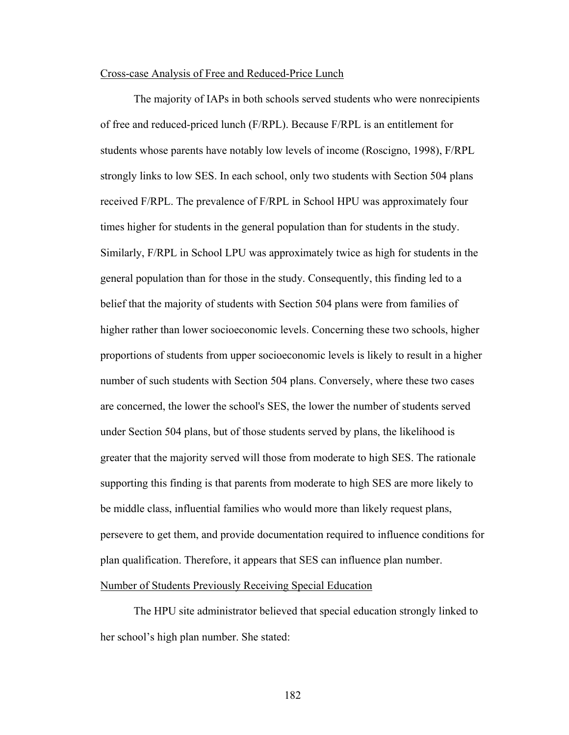#### Cross-case Analysis of Free and Reduced-Price Lunch

The majority of IAPs in both schools served students who were nonrecipients of free and reduced-priced lunch (F/RPL). Because F/RPL is an entitlement for students whose parents have notably low levels of income (Roscigno, 1998), F/RPL strongly links to low SES. In each school, only two students with Section 504 plans received F/RPL. The prevalence of F/RPL in School HPU was approximately four times higher for students in the general population than for students in the study. Similarly, F/RPL in School LPU was approximately twice as high for students in the general population than for those in the study. Consequently, this finding led to a belief that the majority of students with Section 504 plans were from families of higher rather than lower socioeconomic levels. Concerning these two schools, higher proportions of students from upper socioeconomic levels is likely to result in a higher number of such students with Section 504 plans. Conversely, where these two cases are concerned, the lower the school's SES, the lower the number of students served under Section 504 plans, but of those students served by plans, the likelihood is greater that the majority served will those from moderate to high SES. The rationale supporting this finding is that parents from moderate to high SES are more likely to be middle class, influential families who would more than likely request plans, persevere to get them, and provide documentation required to influence conditions for plan qualification. Therefore, it appears that SES can influence plan number. Number of Students Previously Receiving Special Education

The HPU site administrator believed that special education strongly linked to her school's high plan number. She stated: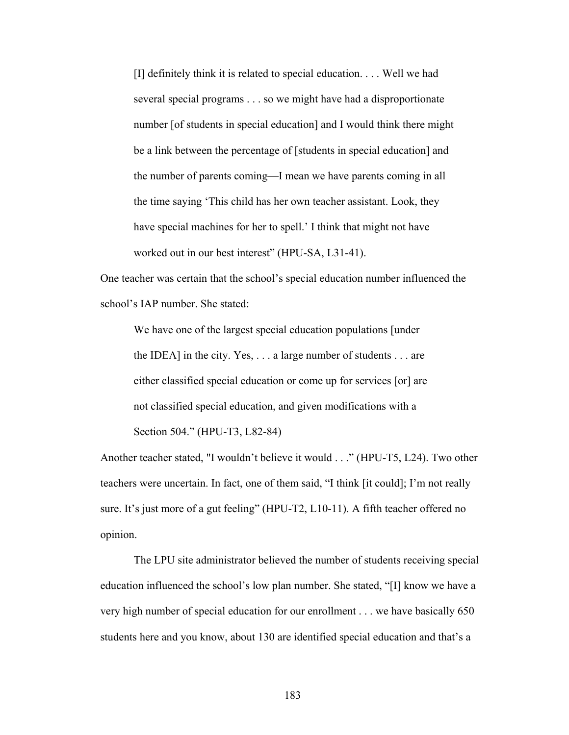[I] definitely think it is related to special education. . . . Well we had several special programs . . . so we might have had a disproportionate number [of students in special education] and I would think there might be a link between the percentage of [students in special education] and the number of parents coming—I mean we have parents coming in all the time saying 'This child has her own teacher assistant. Look, they have special machines for her to spell.' I think that might not have worked out in our best interest" (HPU-SA, L31-41).

One teacher was certain that the school's special education number influenced the school's IAP number. She stated:

We have one of the largest special education populations [under the IDEA] in the city. Yes, . . . a large number of students . . . are either classified special education or come up for services [or] are not classified special education, and given modifications with a Section 504." (HPU-T3, L82-84)

Another teacher stated, "I wouldn't believe it would . . ." (HPU-T5, L24). Two other teachers were uncertain. In fact, one of them said, "I think [it could]; I'm not really sure. It's just more of a gut feeling" (HPU-T2, L10-11). A fifth teacher offered no opinion.

The LPU site administrator believed the number of students receiving special education influenced the school's low plan number. She stated, "[I] know we have a very high number of special education for our enrollment . . . we have basically 650 students here and you know, about 130 are identified special education and that's a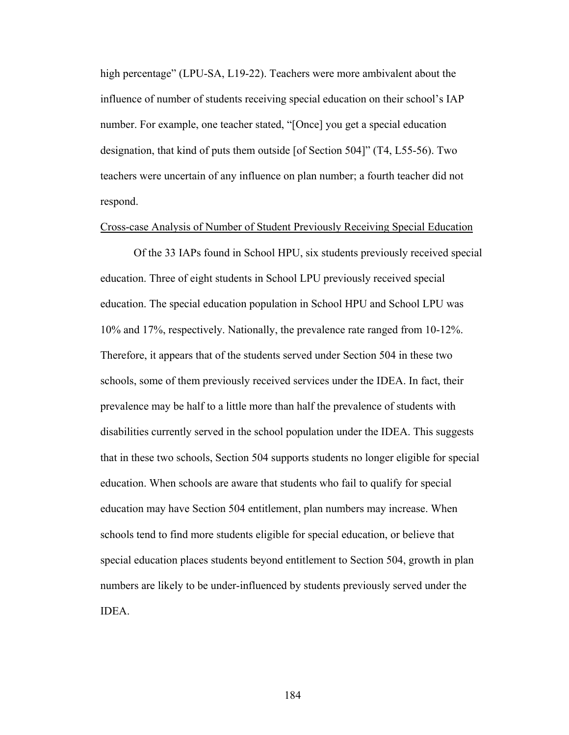high percentage" (LPU-SA, L19-22). Teachers were more ambivalent about the influence of number of students receiving special education on their school's IAP number. For example, one teacher stated, "[Once] you get a special education designation, that kind of puts them outside [of Section 504]" (T4, L55-56). Two teachers were uncertain of any influence on plan number; a fourth teacher did not respond.

#### Cross-case Analysis of Number of Student Previously Receiving Special Education

Of the 33 IAPs found in School HPU, six students previously received special education. Three of eight students in School LPU previously received special education. The special education population in School HPU and School LPU was 10% and 17%, respectively. Nationally, the prevalence rate ranged from 10-12%. Therefore, it appears that of the students served under Section 504 in these two schools, some of them previously received services under the IDEA. In fact, their prevalence may be half to a little more than half the prevalence of students with disabilities currently served in the school population under the IDEA. This suggests that in these two schools, Section 504 supports students no longer eligible for special education. When schools are aware that students who fail to qualify for special education may have Section 504 entitlement, plan numbers may increase. When schools tend to find more students eligible for special education, or believe that special education places students beyond entitlement to Section 504, growth in plan numbers are likely to be under-influenced by students previously served under the IDEA.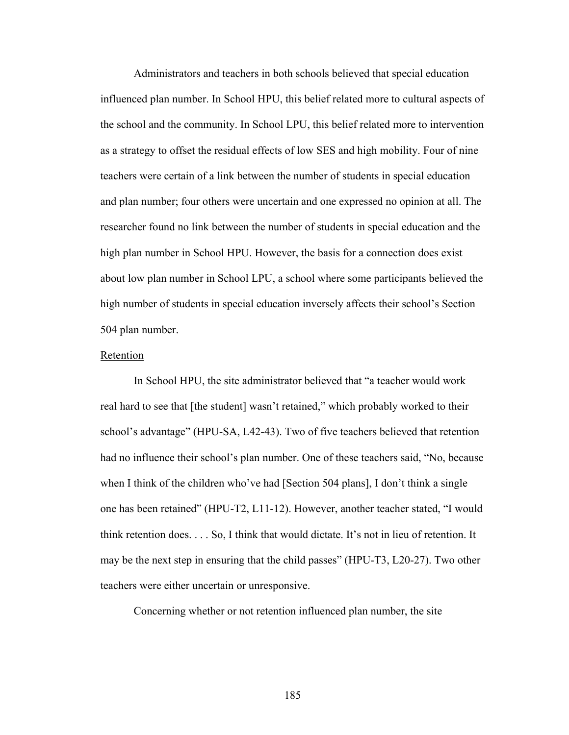Administrators and teachers in both schools believed that special education influenced plan number. In School HPU, this belief related more to cultural aspects of the school and the community. In School LPU, this belief related more to intervention as a strategy to offset the residual effects of low SES and high mobility. Four of nine teachers were certain of a link between the number of students in special education and plan number; four others were uncertain and one expressed no opinion at all. The researcher found no link between the number of students in special education and the high plan number in School HPU. However, the basis for a connection does exist about low plan number in School LPU, a school where some participants believed the high number of students in special education inversely affects their school's Section 504 plan number.

# Retention

In School HPU, the site administrator believed that "a teacher would work real hard to see that [the student] wasn't retained," which probably worked to their school's advantage" (HPU-SA, L42-43). Two of five teachers believed that retention had no influence their school's plan number. One of these teachers said, "No, because when I think of the children who've had [Section 504 plans], I don't think a single one has been retained" (HPU-T2, L11-12). However, another teacher stated, "I would think retention does. . . . So, I think that would dictate. It's not in lieu of retention. It may be the next step in ensuring that the child passes" (HPU-T3, L20-27). Two other teachers were either uncertain or unresponsive.

Concerning whether or not retention influenced plan number, the site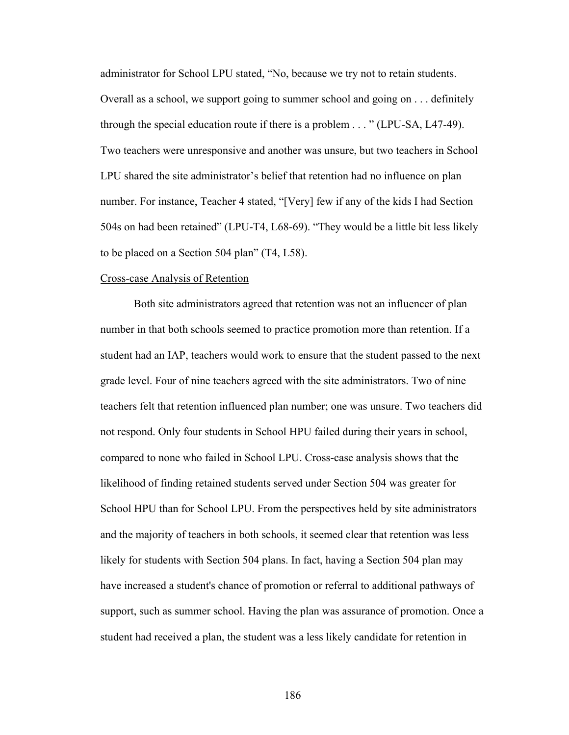administrator for School LPU stated, "No, because we try not to retain students. Overall as a school, we support going to summer school and going on . . . definitely through the special education route if there is a problem . . . " (LPU-SA, L47-49). Two teachers were unresponsive and another was unsure, but two teachers in School LPU shared the site administrator's belief that retention had no influence on plan number. For instance, Teacher 4 stated, "[Very] few if any of the kids I had Section 504s on had been retained" (LPU-T4, L68-69). "They would be a little bit less likely to be placed on a Section 504 plan" (T4, L58).

#### Cross-case Analysis of Retention

 Both site administrators agreed that retention was not an influencer of plan number in that both schools seemed to practice promotion more than retention. If a student had an IAP, teachers would work to ensure that the student passed to the next grade level. Four of nine teachers agreed with the site administrators. Two of nine teachers felt that retention influenced plan number; one was unsure. Two teachers did not respond. Only four students in School HPU failed during their years in school, compared to none who failed in School LPU. Cross-case analysis shows that the likelihood of finding retained students served under Section 504 was greater for School HPU than for School LPU. From the perspectives held by site administrators and the majority of teachers in both schools, it seemed clear that retention was less likely for students with Section 504 plans. In fact, having a Section 504 plan may have increased a student's chance of promotion or referral to additional pathways of support, such as summer school. Having the plan was assurance of promotion. Once a student had received a plan, the student was a less likely candidate for retention in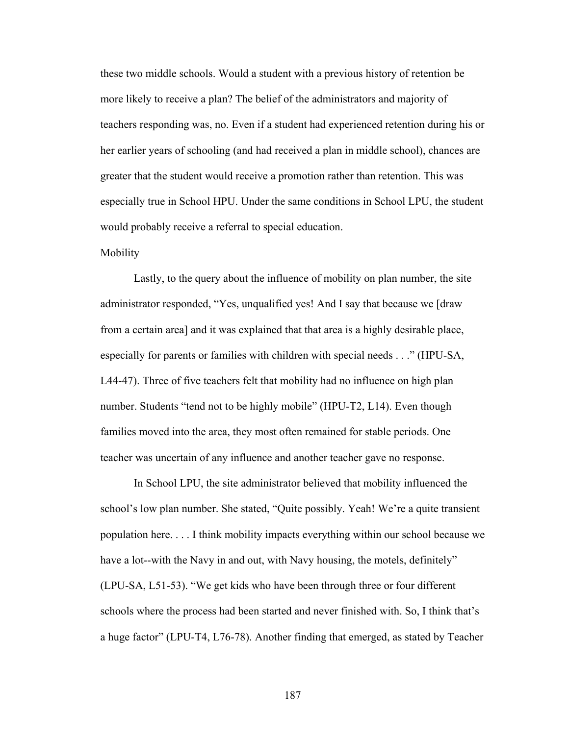these two middle schools. Would a student with a previous history of retention be more likely to receive a plan? The belief of the administrators and majority of teachers responding was, no. Even if a student had experienced retention during his or her earlier years of schooling (and had received a plan in middle school), chances are greater that the student would receive a promotion rather than retention. This was especially true in School HPU. Under the same conditions in School LPU, the student would probably receive a referral to special education.

#### Mobility

Lastly, to the query about the influence of mobility on plan number, the site administrator responded, "Yes, unqualified yes! And I say that because we [draw from a certain area] and it was explained that that area is a highly desirable place, especially for parents or families with children with special needs . . ." (HPU-SA, L44-47). Three of five teachers felt that mobility had no influence on high plan number. Students "tend not to be highly mobile" (HPU-T2, L14). Even though families moved into the area, they most often remained for stable periods. One teacher was uncertain of any influence and another teacher gave no response.

 In School LPU, the site administrator believed that mobility influenced the school's low plan number. She stated, "Quite possibly. Yeah! We're a quite transient population here. . . . I think mobility impacts everything within our school because we have a lot--with the Navy in and out, with Navy housing, the motels, definitely" (LPU-SA, L51-53). "We get kids who have been through three or four different schools where the process had been started and never finished with. So, I think that's a huge factor" (LPU-T4, L76-78). Another finding that emerged, as stated by Teacher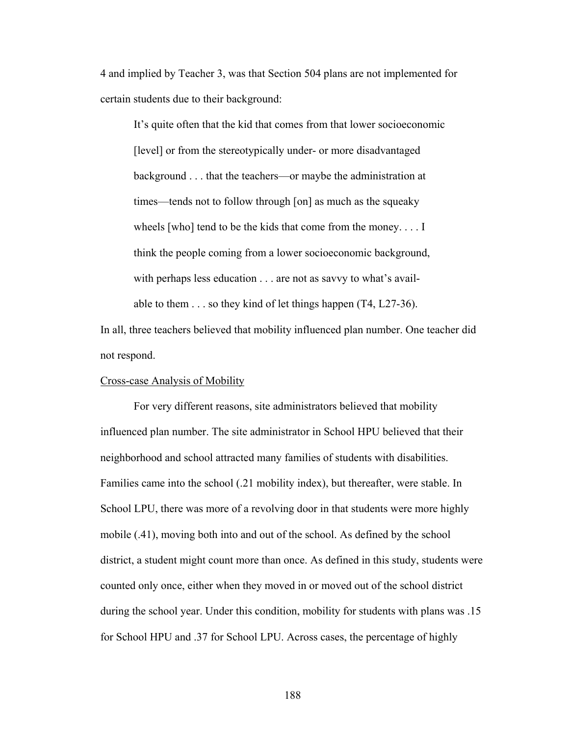4 and implied by Teacher 3, was that Section 504 plans are not implemented for certain students due to their background:

 It's quite often that the kid that comes from that lower socioeconomic [level] or from the stereotypically under- or more disadvantaged background . . . that the teachers—or maybe the administration at times—tends not to follow through [on] as much as the squeaky wheels [who] tend to be the kids that come from the money. . . . I think the people coming from a lower socioeconomic background, with perhaps less education . . . are not as savvy to what's available to them . . . so they kind of let things happen (T4, L27-36).

In all, three teachers believed that mobility influenced plan number. One teacher did not respond.

# Cross-case Analysis of Mobility

 For very different reasons, site administrators believed that mobility influenced plan number. The site administrator in School HPU believed that their neighborhood and school attracted many families of students with disabilities. Families came into the school (.21 mobility index), but thereafter, were stable. In School LPU, there was more of a revolving door in that students were more highly mobile (.41), moving both into and out of the school. As defined by the school district, a student might count more than once. As defined in this study, students were counted only once, either when they moved in or moved out of the school district during the school year. Under this condition, mobility for students with plans was .15 for School HPU and .37 for School LPU. Across cases, the percentage of highly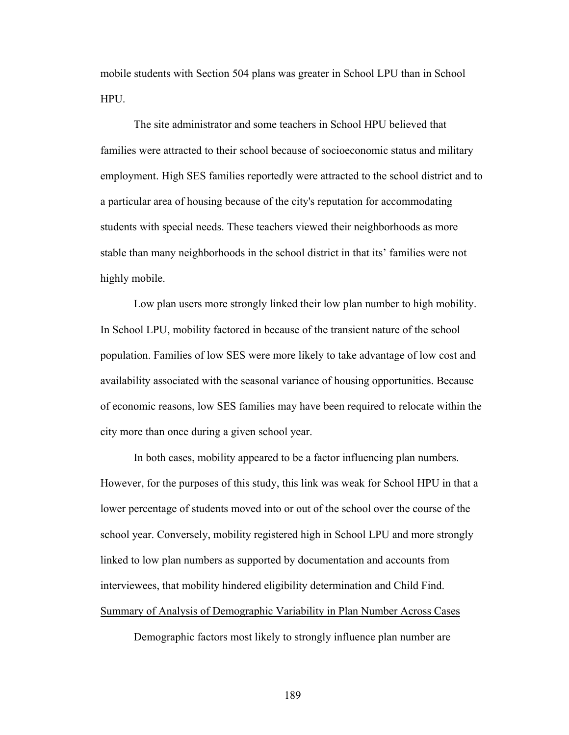mobile students with Section 504 plans was greater in School LPU than in School HPU.

The site administrator and some teachers in School HPU believed that families were attracted to their school because of socioeconomic status and military employment. High SES families reportedly were attracted to the school district and to a particular area of housing because of the city's reputation for accommodating students with special needs. These teachers viewed their neighborhoods as more stable than many neighborhoods in the school district in that its' families were not highly mobile.

Low plan users more strongly linked their low plan number to high mobility. In School LPU, mobility factored in because of the transient nature of the school population. Families of low SES were more likely to take advantage of low cost and availability associated with the seasonal variance of housing opportunities. Because of economic reasons, low SES families may have been required to relocate within the city more than once during a given school year.

In both cases, mobility appeared to be a factor influencing plan numbers. However, for the purposes of this study, this link was weak for School HPU in that a lower percentage of students moved into or out of the school over the course of the school year. Conversely, mobility registered high in School LPU and more strongly linked to low plan numbers as supported by documentation and accounts from interviewees, that mobility hindered eligibility determination and Child Find. Summary of Analysis of Demographic Variability in Plan Number Across Cases

Demographic factors most likely to strongly influence plan number are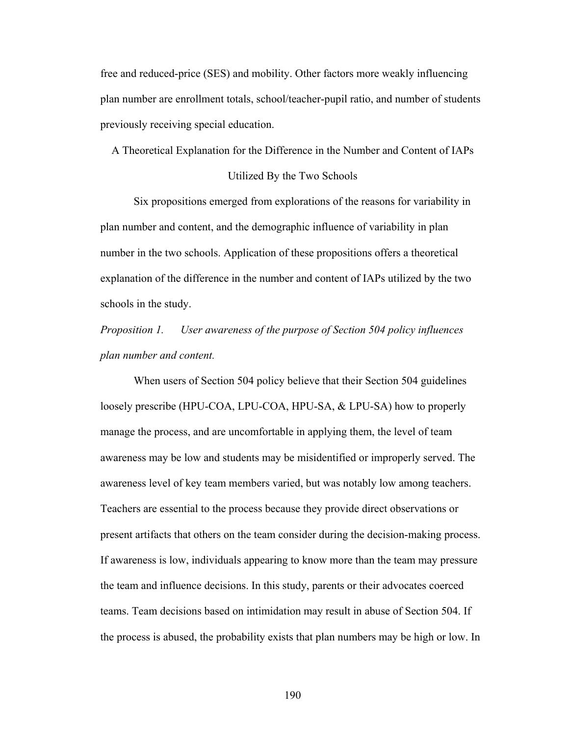free and reduced-price (SES) and mobility. Other factors more weakly influencing plan number are enrollment totals, school/teacher-pupil ratio, and number of students previously receiving special education.

A Theoretical Explanation for the Difference in the Number and Content of IAPs

#### Utilized By the Two Schools

 Six propositions emerged from explorations of the reasons for variability in plan number and content, and the demographic influence of variability in plan number in the two schools. Application of these propositions offers a theoretical explanation of the difference in the number and content of IAPs utilized by the two schools in the study.

*Proposition 1. User awareness of the purpose of Section 504 policy influences plan number and content.* 

When users of Section 504 policy believe that their Section 504 guidelines loosely prescribe (HPU-COA, LPU-COA, HPU-SA, & LPU-SA) how to properly manage the process, and are uncomfortable in applying them, the level of team awareness may be low and students may be misidentified or improperly served. The awareness level of key team members varied, but was notably low among teachers. Teachers are essential to the process because they provide direct observations or present artifacts that others on the team consider during the decision-making process. If awareness is low, individuals appearing to know more than the team may pressure the team and influence decisions. In this study, parents or their advocates coerced teams. Team decisions based on intimidation may result in abuse of Section 504. If the process is abused, the probability exists that plan numbers may be high or low. In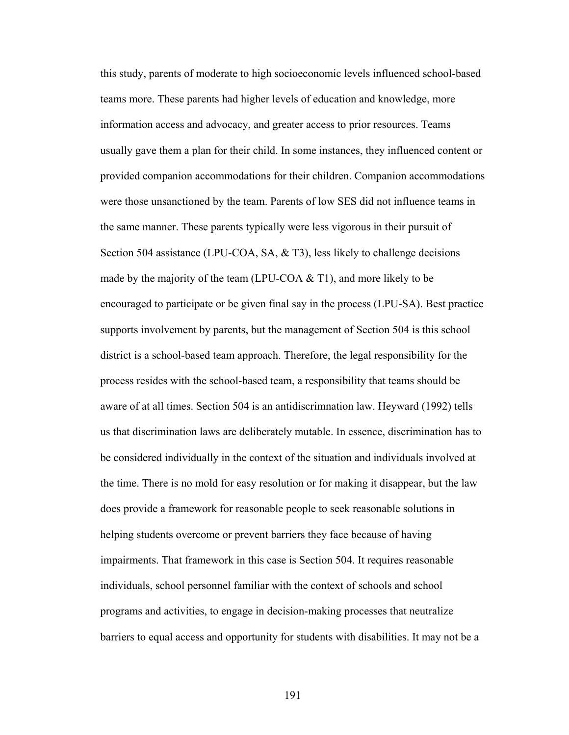this study, parents of moderate to high socioeconomic levels influenced school-based teams more. These parents had higher levels of education and knowledge, more information access and advocacy, and greater access to prior resources. Teams usually gave them a plan for their child. In some instances, they influenced content or provided companion accommodations for their children. Companion accommodations were those unsanctioned by the team. Parents of low SES did not influence teams in the same manner. These parents typically were less vigorous in their pursuit of Section 504 assistance (LPU-COA, SA, & T3), less likely to challenge decisions made by the majority of the team (LPU-COA  $&$  T1), and more likely to be encouraged to participate or be given final say in the process (LPU-SA). Best practice supports involvement by parents, but the management of Section 504 is this school district is a school-based team approach. Therefore, the legal responsibility for the process resides with the school-based team, a responsibility that teams should be aware of at all times. Section 504 is an antidiscrimnation law. Heyward (1992) tells us that discrimination laws are deliberately mutable. In essence, discrimination has to be considered individually in the context of the situation and individuals involved at the time. There is no mold for easy resolution or for making it disappear, but the law does provide a framework for reasonable people to seek reasonable solutions in helping students overcome or prevent barriers they face because of having impairments. That framework in this case is Section 504. It requires reasonable individuals, school personnel familiar with the context of schools and school programs and activities, to engage in decision-making processes that neutralize barriers to equal access and opportunity for students with disabilities. It may not be a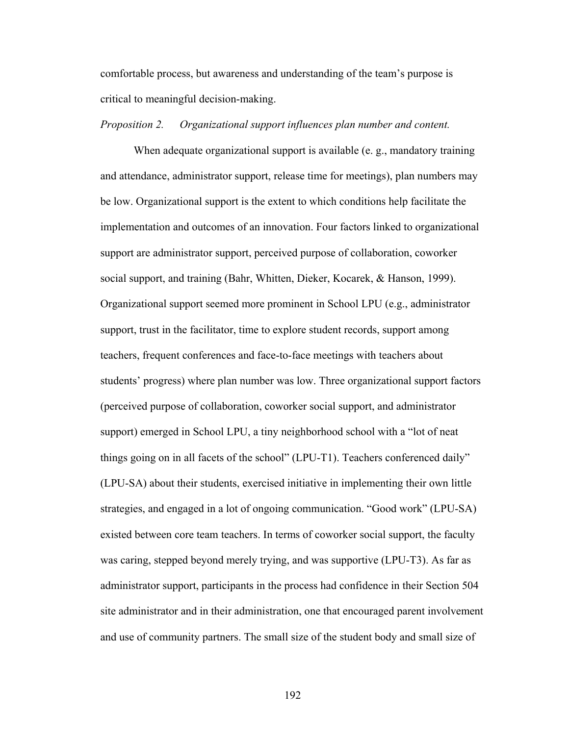comfortable process, but awareness and understanding of the team's purpose is critical to meaningful decision-making.

### *Proposition 2. Organizational support influences plan number and content.*

When adequate organizational support is available (e. g., mandatory training and attendance, administrator support, release time for meetings), plan numbers may be low. Organizational support is the extent to which conditions help facilitate the implementation and outcomes of an innovation. Four factors linked to organizational support are administrator support, perceived purpose of collaboration, coworker social support, and training (Bahr, Whitten, Dieker, Kocarek, & Hanson, 1999). Organizational support seemed more prominent in School LPU (e.g., administrator support, trust in the facilitator, time to explore student records, support among teachers, frequent conferences and face-to-face meetings with teachers about students' progress) where plan number was low. Three organizational support factors (perceived purpose of collaboration, coworker social support, and administrator support) emerged in School LPU, a tiny neighborhood school with a "lot of neat things going on in all facets of the school" (LPU-T1). Teachers conferenced daily" (LPU-SA) about their students, exercised initiative in implementing their own little strategies, and engaged in a lot of ongoing communication. "Good work" (LPU-SA) existed between core team teachers. In terms of coworker social support, the faculty was caring, stepped beyond merely trying, and was supportive (LPU-T3). As far as administrator support, participants in the process had confidence in their Section 504 site administrator and in their administration, one that encouraged parent involvement and use of community partners. The small size of the student body and small size of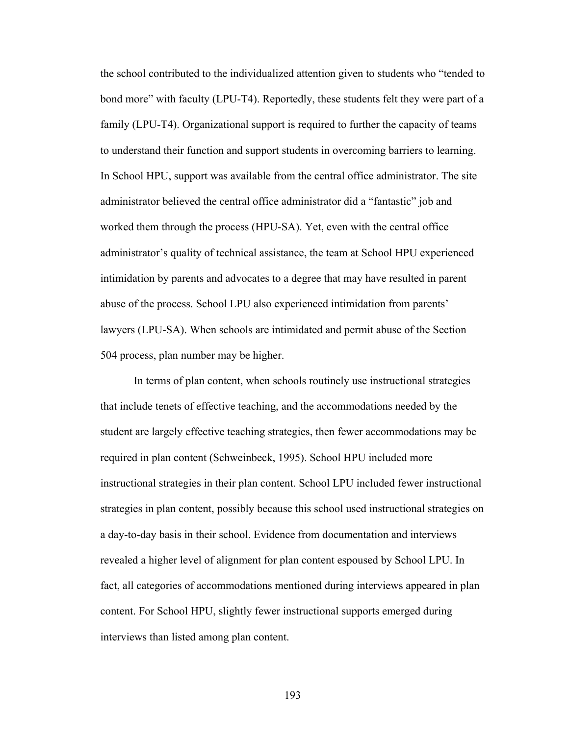the school contributed to the individualized attention given to students who "tended to bond more" with faculty (LPU-T4). Reportedly, these students felt they were part of a family (LPU-T4). Organizational support is required to further the capacity of teams to understand their function and support students in overcoming barriers to learning. In School HPU, support was available from the central office administrator. The site administrator believed the central office administrator did a "fantastic" job and worked them through the process (HPU-SA). Yet, even with the central office administrator's quality of technical assistance, the team at School HPU experienced intimidation by parents and advocates to a degree that may have resulted in parent abuse of the process. School LPU also experienced intimidation from parents' lawyers (LPU-SA). When schools are intimidated and permit abuse of the Section 504 process, plan number may be higher.

 In terms of plan content, when schools routinely use instructional strategies that include tenets of effective teaching, and the accommodations needed by the student are largely effective teaching strategies, then fewer accommodations may be required in plan content (Schweinbeck, 1995). School HPU included more instructional strategies in their plan content. School LPU included fewer instructional strategies in plan content, possibly because this school used instructional strategies on a day-to-day basis in their school. Evidence from documentation and interviews revealed a higher level of alignment for plan content espoused by School LPU. In fact, all categories of accommodations mentioned during interviews appeared in plan content. For School HPU, slightly fewer instructional supports emerged during interviews than listed among plan content.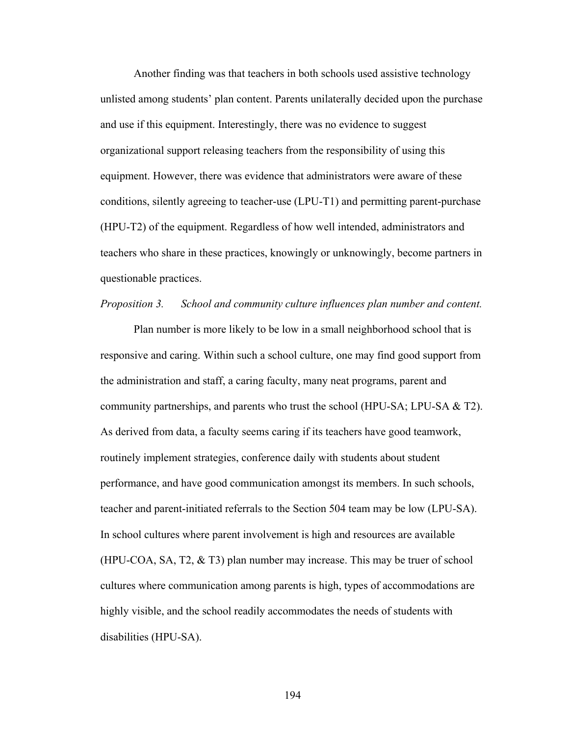Another finding was that teachers in both schools used assistive technology unlisted among students' plan content. Parents unilaterally decided upon the purchase and use if this equipment. Interestingly, there was no evidence to suggest organizational support releasing teachers from the responsibility of using this equipment. However, there was evidence that administrators were aware of these conditions, silently agreeing to teacher-use (LPU-T1) and permitting parent-purchase (HPU-T2) of the equipment. Regardless of how well intended, administrators and teachers who share in these practices, knowingly or unknowingly, become partners in questionable practices.

#### *Proposition 3. School and community culture influences plan number and content.*

 Plan number is more likely to be low in a small neighborhood school that is responsive and caring. Within such a school culture, one may find good support from the administration and staff, a caring faculty, many neat programs, parent and community partnerships, and parents who trust the school (HPU-SA; LPU-SA & T2). As derived from data, a faculty seems caring if its teachers have good teamwork, routinely implement strategies, conference daily with students about student performance, and have good communication amongst its members. In such schools, teacher and parent-initiated referrals to the Section 504 team may be low (LPU-SA). In school cultures where parent involvement is high and resources are available (HPU-COA, SA, T2,  $\&$  T3) plan number may increase. This may be truer of school cultures where communication among parents is high, types of accommodations are highly visible, and the school readily accommodates the needs of students with disabilities (HPU-SA).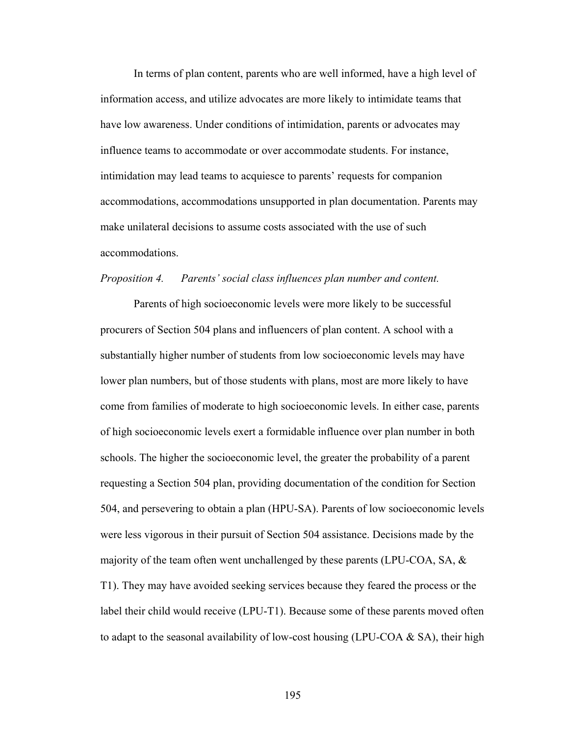In terms of plan content, parents who are well informed, have a high level of information access, and utilize advocates are more likely to intimidate teams that have low awareness. Under conditions of intimidation, parents or advocates may influence teams to accommodate or over accommodate students. For instance, intimidation may lead teams to acquiesce to parents' requests for companion accommodations, accommodations unsupported in plan documentation. Parents may make unilateral decisions to assume costs associated with the use of such accommodations.

#### *Proposition 4. Parents' social class influences plan number and content.*

 Parents of high socioeconomic levels were more likely to be successful procurers of Section 504 plans and influencers of plan content. A school with a substantially higher number of students from low socioeconomic levels may have lower plan numbers, but of those students with plans, most are more likely to have come from families of moderate to high socioeconomic levels. In either case, parents of high socioeconomic levels exert a formidable influence over plan number in both schools. The higher the socioeconomic level, the greater the probability of a parent requesting a Section 504 plan, providing documentation of the condition for Section 504, and persevering to obtain a plan (HPU-SA). Parents of low socioeconomic levels were less vigorous in their pursuit of Section 504 assistance. Decisions made by the majority of the team often went unchallenged by these parents (LPU-COA, SA,  $\&$ T1). They may have avoided seeking services because they feared the process or the label their child would receive (LPU-T1). Because some of these parents moved often to adapt to the seasonal availability of low-cost housing (LPU-COA  $\&$  SA), their high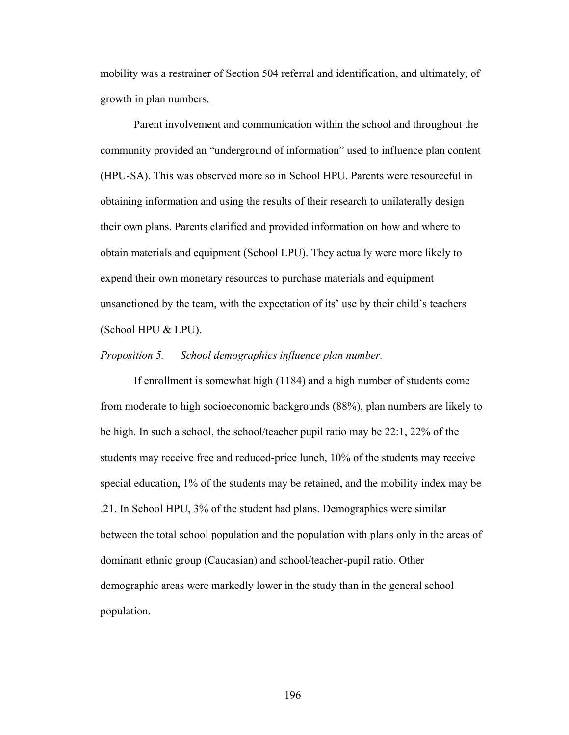mobility was a restrainer of Section 504 referral and identification, and ultimately, of growth in plan numbers.

 Parent involvement and communication within the school and throughout the community provided an "underground of information" used to influence plan content (HPU-SA). This was observed more so in School HPU. Parents were resourceful in obtaining information and using the results of their research to unilaterally design their own plans. Parents clarified and provided information on how and where to obtain materials and equipment (School LPU). They actually were more likely to expend their own monetary resources to purchase materials and equipment unsanctioned by the team, with the expectation of its' use by their child's teachers (School HPU & LPU).

#### *Proposition 5. School demographics influence plan number.*

 If enrollment is somewhat high (1184) and a high number of students come from moderate to high socioeconomic backgrounds (88%), plan numbers are likely to be high. In such a school, the school/teacher pupil ratio may be 22:1, 22% of the students may receive free and reduced-price lunch, 10% of the students may receive special education, 1% of the students may be retained, and the mobility index may be .21. In School HPU, 3% of the student had plans. Demographics were similar between the total school population and the population with plans only in the areas of dominant ethnic group (Caucasian) and school/teacher-pupil ratio. Other demographic areas were markedly lower in the study than in the general school population.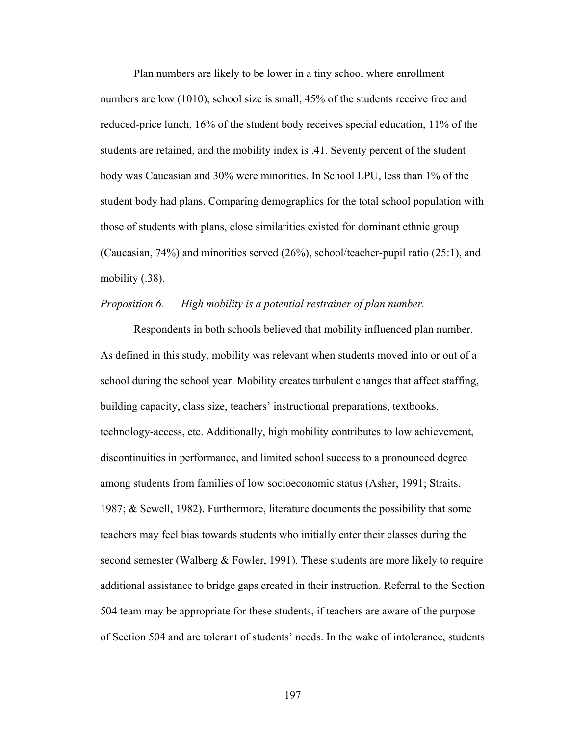Plan numbers are likely to be lower in a tiny school where enrollment numbers are low (1010), school size is small, 45% of the students receive free and reduced-price lunch, 16% of the student body receives special education, 11% of the students are retained, and the mobility index is .41. Seventy percent of the student body was Caucasian and 30% were minorities. In School LPU, less than 1% of the student body had plans. Comparing demographics for the total school population with those of students with plans, close similarities existed for dominant ethnic group (Caucasian, 74%) and minorities served (26%), school/teacher-pupil ratio (25:1), and mobility (.38).

#### *Proposition 6. High mobility is a potential restrainer of plan number.*

 Respondents in both schools believed that mobility influenced plan number. As defined in this study, mobility was relevant when students moved into or out of a school during the school year. Mobility creates turbulent changes that affect staffing, building capacity, class size, teachers' instructional preparations, textbooks, technology-access, etc. Additionally, high mobility contributes to low achievement, discontinuities in performance, and limited school success to a pronounced degree among students from families of low socioeconomic status (Asher, 1991; Straits, 1987; & Sewell, 1982). Furthermore, literature documents the possibility that some teachers may feel bias towards students who initially enter their classes during the second semester (Walberg  $&$  Fowler, 1991). These students are more likely to require additional assistance to bridge gaps created in their instruction. Referral to the Section 504 team may be appropriate for these students, if teachers are aware of the purpose of Section 504 and are tolerant of students' needs. In the wake of intolerance, students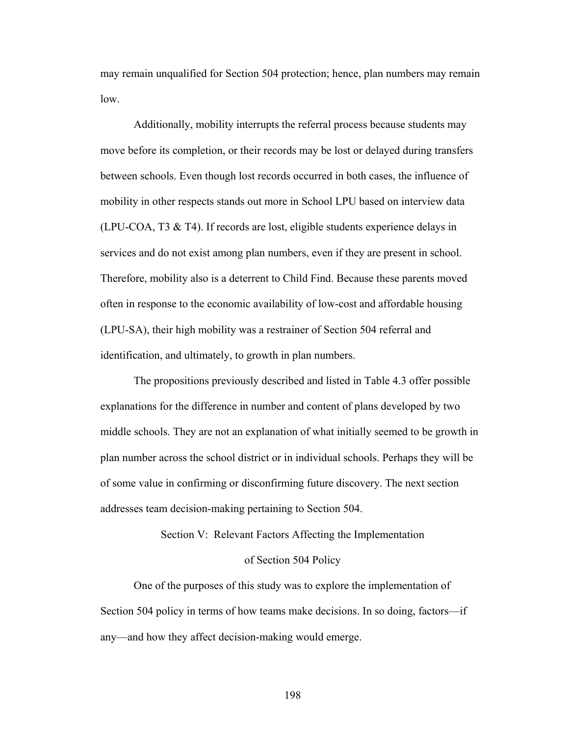may remain unqualified for Section 504 protection; hence, plan numbers may remain low.

 Additionally, mobility interrupts the referral process because students may move before its completion, or their records may be lost or delayed during transfers between schools. Even though lost records occurred in both cases, the influence of mobility in other respects stands out more in School LPU based on interview data (LPU-COA, T3 & T4). If records are lost, eligible students experience delays in services and do not exist among plan numbers, even if they are present in school. Therefore, mobility also is a deterrent to Child Find. Because these parents moved often in response to the economic availability of low-cost and affordable housing (LPU-SA), their high mobility was a restrainer of Section 504 referral and identification, and ultimately, to growth in plan numbers.

 The propositions previously described and listed in Table 4.3 offer possible explanations for the difference in number and content of plans developed by two middle schools. They are not an explanation of what initially seemed to be growth in plan number across the school district or in individual schools. Perhaps they will be of some value in confirming or disconfirming future discovery. The next section addresses team decision-making pertaining to Section 504.

Section V: Relevant Factors Affecting the Implementation

## of Section 504 Policy

 One of the purposes of this study was to explore the implementation of Section 504 policy in terms of how teams make decisions. In so doing, factors—if any—and how they affect decision-making would emerge.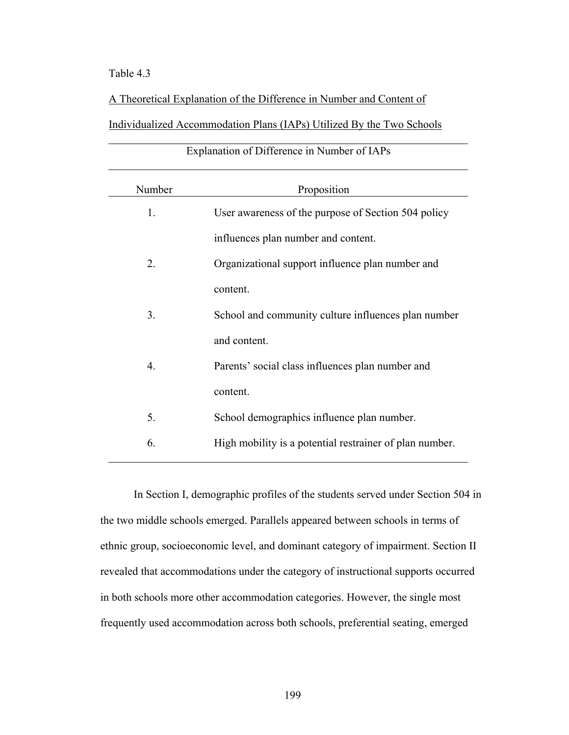# Table 4.3

A Theoretical Explanation of the Difference in Number and Content of

Individualized Accommodation Plans (IAPs) Utilized By the Two Schools

| Explanation of Difference in Number of IAPs |                                                         |
|---------------------------------------------|---------------------------------------------------------|
| Number                                      | Proposition                                             |
| 1.                                          | User awareness of the purpose of Section 504 policy     |
|                                             | influences plan number and content.                     |
| 2.                                          | Organizational support influence plan number and        |
|                                             | content.                                                |
| 3.                                          | School and community culture influences plan number     |
|                                             | and content.                                            |
| 4.                                          | Parents' social class influences plan number and        |
|                                             | content.                                                |
| 5.                                          | School demographics influence plan number.              |
| 6.                                          | High mobility is a potential restrainer of plan number. |
|                                             |                                                         |

 In Section I, demographic profiles of the students served under Section 504 in the two middle schools emerged. Parallels appeared between schools in terms of ethnic group, socioeconomic level, and dominant category of impairment. Section II revealed that accommodations under the category of instructional supports occurred in both schools more other accommodation categories. However, the single most frequently used accommodation across both schools, preferential seating, emerged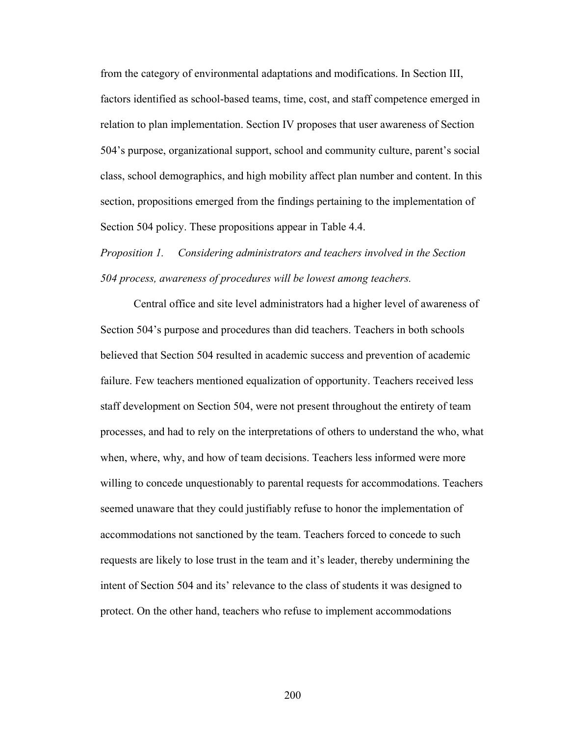from the category of environmental adaptations and modifications. In Section III, factors identified as school-based teams, time, cost, and staff competence emerged in relation to plan implementation. Section IV proposes that user awareness of Section 504's purpose, organizational support, school and community culture, parent's social class, school demographics, and high mobility affect plan number and content. In this section, propositions emerged from the findings pertaining to the implementation of Section 504 policy. These propositions appear in Table 4.4.

*Proposition 1. Considering administrators and teachers involved in the Section 504 process, awareness of procedures will be lowest among teachers.* 

 Central office and site level administrators had a higher level of awareness of Section 504's purpose and procedures than did teachers. Teachers in both schools believed that Section 504 resulted in academic success and prevention of academic failure. Few teachers mentioned equalization of opportunity. Teachers received less staff development on Section 504, were not present throughout the entirety of team processes, and had to rely on the interpretations of others to understand the who, what when, where, why, and how of team decisions. Teachers less informed were more willing to concede unquestionably to parental requests for accommodations. Teachers seemed unaware that they could justifiably refuse to honor the implementation of accommodations not sanctioned by the team. Teachers forced to concede to such requests are likely to lose trust in the team and it's leader, thereby undermining the intent of Section 504 and its' relevance to the class of students it was designed to protect. On the other hand, teachers who refuse to implement accommodations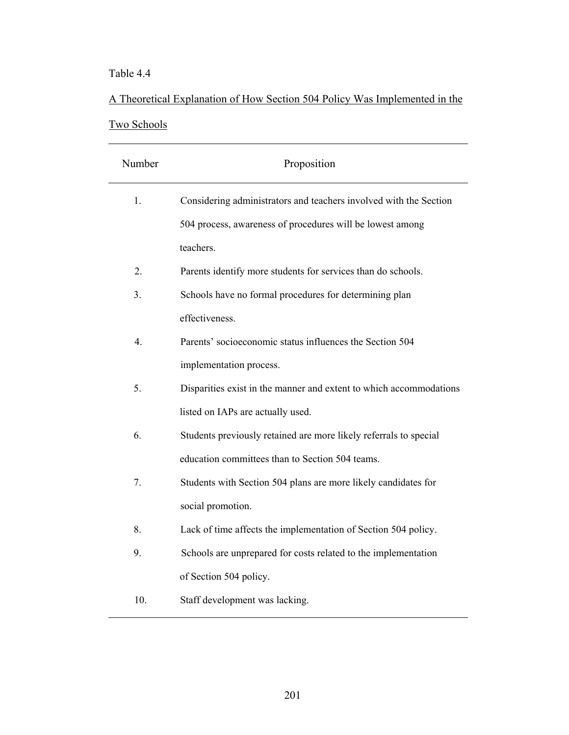# Table 4.4

# A Theoretical Explanation of How Section 504 Policy Was Implemented in the Two Schools

| Number           | Proposition                                                        |
|------------------|--------------------------------------------------------------------|
| 1.               | Considering administrators and teachers involved with the Section  |
|                  | 504 process, awareness of procedures will be lowest among          |
|                  | teachers.                                                          |
| 2.               | Parents identify more students for services than do schools.       |
| 3.               | Schools have no formal procedures for determining plan             |
|                  | effectiveness.                                                     |
| $\overline{4}$ . | Parents' socioeconomic status influences the Section 504           |
|                  | implementation process.                                            |
| 5.               | Disparities exist in the manner and extent to which accommodations |
|                  | listed on IAPs are actually used.                                  |
| 6.               | Students previously retained are more likely referrals to special  |
|                  | education committees than to Section 504 teams.                    |
| 7.               | Students with Section 504 plans are more likely candidates for     |
|                  | social promotion.                                                  |
| 8.               | Lack of time affects the implementation of Section 504 policy.     |
| 9.               | Schools are unprepared for costs related to the implementation     |
|                  | of Section 504 policy.                                             |
| 10.              | Staff development was lacking.                                     |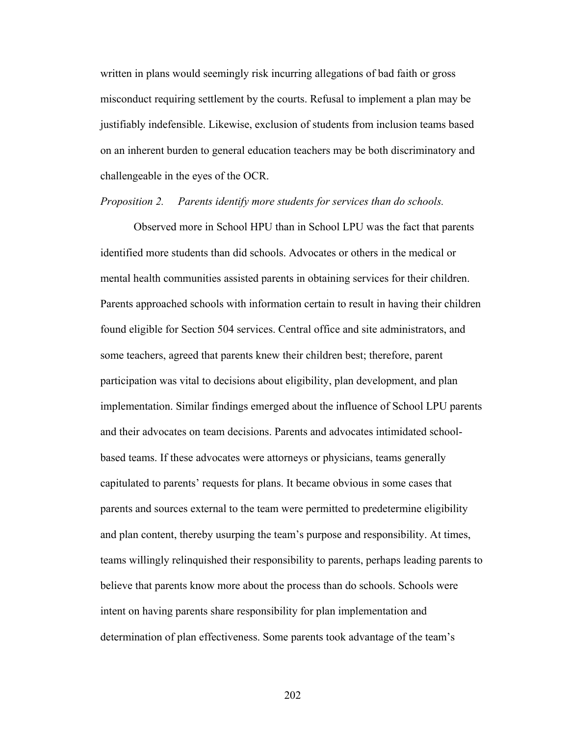written in plans would seemingly risk incurring allegations of bad faith or gross misconduct requiring settlement by the courts. Refusal to implement a plan may be justifiably indefensible. Likewise, exclusion of students from inclusion teams based on an inherent burden to general education teachers may be both discriminatory and challengeable in the eyes of the OCR.

#### *Proposition 2. Parents identify more students for services than do schools.*

 Observed more in School HPU than in School LPU was the fact that parents identified more students than did schools. Advocates or others in the medical or mental health communities assisted parents in obtaining services for their children. Parents approached schools with information certain to result in having their children found eligible for Section 504 services. Central office and site administrators, and some teachers, agreed that parents knew their children best; therefore, parent participation was vital to decisions about eligibility, plan development, and plan implementation. Similar findings emerged about the influence of School LPU parents and their advocates on team decisions. Parents and advocates intimidated schoolbased teams. If these advocates were attorneys or physicians, teams generally capitulated to parents' requests for plans. It became obvious in some cases that parents and sources external to the team were permitted to predetermine eligibility and plan content, thereby usurping the team's purpose and responsibility. At times, teams willingly relinquished their responsibility to parents, perhaps leading parents to believe that parents know more about the process than do schools. Schools were intent on having parents share responsibility for plan implementation and determination of plan effectiveness. Some parents took advantage of the team's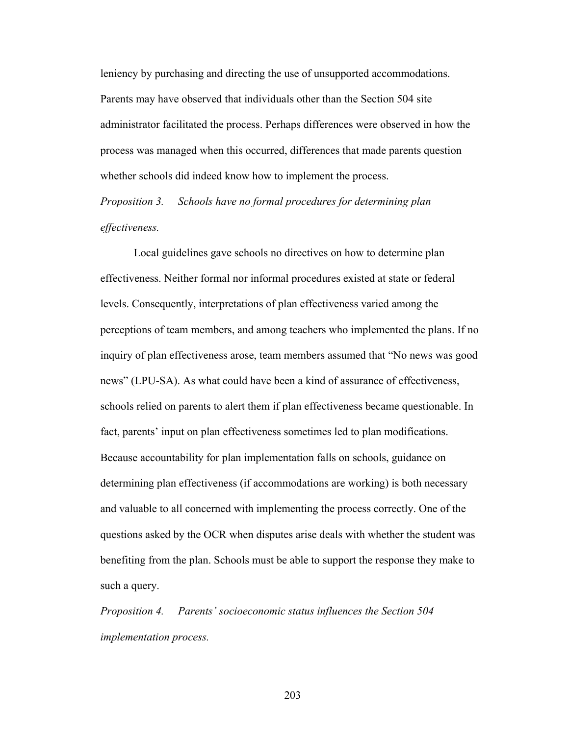leniency by purchasing and directing the use of unsupported accommodations. Parents may have observed that individuals other than the Section 504 site administrator facilitated the process. Perhaps differences were observed in how the process was managed when this occurred, differences that made parents question whether schools did indeed know how to implement the process.

*Proposition 3. Schools have no formal procedures for determining plan effectiveness.* 

 Local guidelines gave schools no directives on how to determine plan effectiveness. Neither formal nor informal procedures existed at state or federal levels. Consequently, interpretations of plan effectiveness varied among the perceptions of team members, and among teachers who implemented the plans. If no inquiry of plan effectiveness arose, team members assumed that "No news was good news" (LPU-SA). As what could have been a kind of assurance of effectiveness, schools relied on parents to alert them if plan effectiveness became questionable. In fact, parents' input on plan effectiveness sometimes led to plan modifications. Because accountability for plan implementation falls on schools, guidance on determining plan effectiveness (if accommodations are working) is both necessary and valuable to all concerned with implementing the process correctly. One of the questions asked by the OCR when disputes arise deals with whether the student was benefiting from the plan. Schools must be able to support the response they make to such a query.

*Proposition 4. Parents' socioeconomic status influences the Section 504 implementation process.*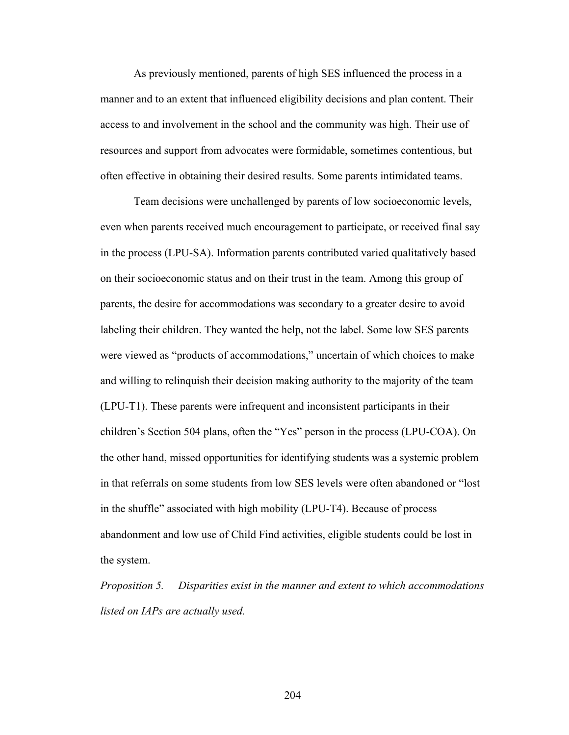As previously mentioned, parents of high SES influenced the process in a manner and to an extent that influenced eligibility decisions and plan content. Their access to and involvement in the school and the community was high. Their use of resources and support from advocates were formidable, sometimes contentious, but often effective in obtaining their desired results. Some parents intimidated teams.

 Team decisions were unchallenged by parents of low socioeconomic levels, even when parents received much encouragement to participate, or received final say in the process (LPU-SA). Information parents contributed varied qualitatively based on their socioeconomic status and on their trust in the team. Among this group of parents, the desire for accommodations was secondary to a greater desire to avoid labeling their children. They wanted the help, not the label. Some low SES parents were viewed as "products of accommodations," uncertain of which choices to make and willing to relinquish their decision making authority to the majority of the team (LPU-T1). These parents were infrequent and inconsistent participants in their children's Section 504 plans, often the "Yes" person in the process (LPU-COA). On the other hand, missed opportunities for identifying students was a systemic problem in that referrals on some students from low SES levels were often abandoned or "lost in the shuffle" associated with high mobility (LPU-T4). Because of process abandonment and low use of Child Find activities, eligible students could be lost in the system.

*Proposition 5. Disparities exist in the manner and extent to which accommodations listed on IAPs are actually used.*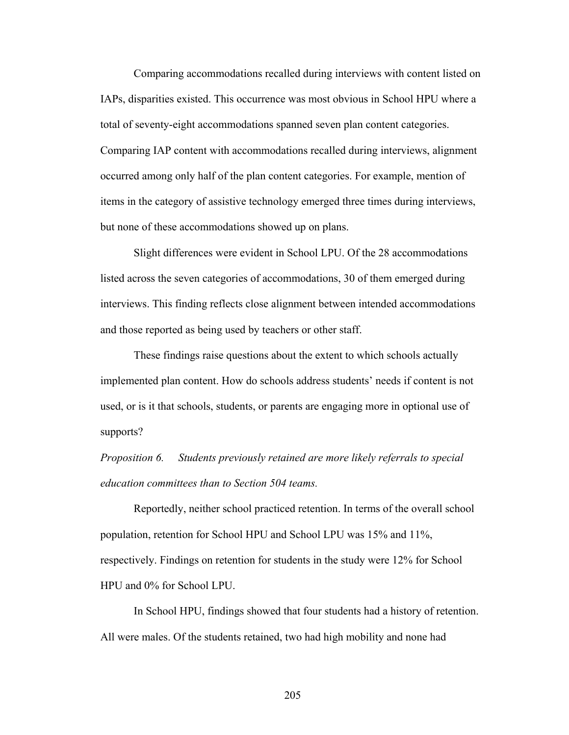Comparing accommodations recalled during interviews with content listed on IAPs, disparities existed. This occurrence was most obvious in School HPU where a total of seventy-eight accommodations spanned seven plan content categories. Comparing IAP content with accommodations recalled during interviews, alignment occurred among only half of the plan content categories. For example, mention of items in the category of assistive technology emerged three times during interviews, but none of these accommodations showed up on plans.

 Slight differences were evident in School LPU. Of the 28 accommodations listed across the seven categories of accommodations, 30 of them emerged during interviews. This finding reflects close alignment between intended accommodations and those reported as being used by teachers or other staff.

 These findings raise questions about the extent to which schools actually implemented plan content. How do schools address students' needs if content is not used, or is it that schools, students, or parents are engaging more in optional use of supports?

*Proposition 6. Students previously retained are more likely referrals to special education committees than to Section 504 teams.* 

 Reportedly, neither school practiced retention. In terms of the overall school population, retention for School HPU and School LPU was 15% and 11%, respectively. Findings on retention for students in the study were 12% for School HPU and 0% for School LPU.

 In School HPU, findings showed that four students had a history of retention. All were males. Of the students retained, two had high mobility and none had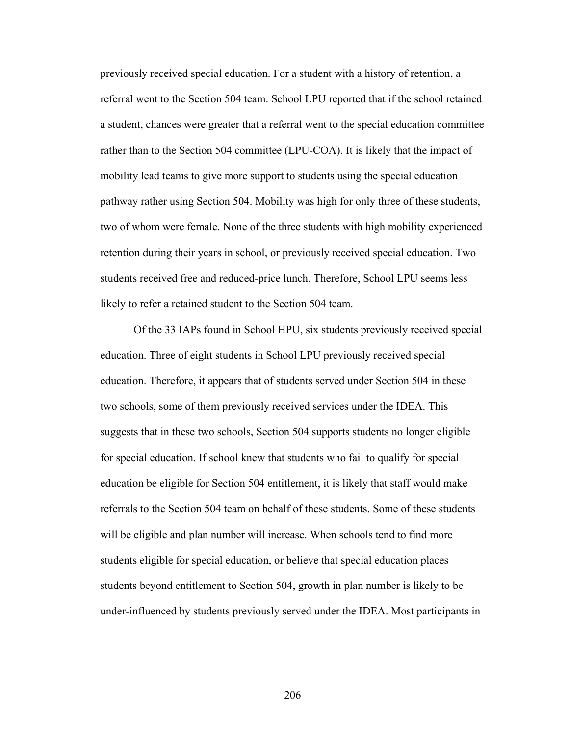previously received special education. For a student with a history of retention, a referral went to the Section 504 team. School LPU reported that if the school retained a student, chances were greater that a referral went to the special education committee rather than to the Section 504 committee (LPU-COA). It is likely that the impact of mobility lead teams to give more support to students using the special education pathway rather using Section 504. Mobility was high for only three of these students, two of whom were female. None of the three students with high mobility experienced retention during their years in school, or previously received special education. Two students received free and reduced-price lunch. Therefore, School LPU seems less likely to refer a retained student to the Section 504 team.

Of the 33 IAPs found in School HPU, six students previously received special education. Three of eight students in School LPU previously received special education. Therefore, it appears that of students served under Section 504 in these two schools, some of them previously received services under the IDEA. This suggests that in these two schools, Section 504 supports students no longer eligible for special education. If school knew that students who fail to qualify for special education be eligible for Section 504 entitlement, it is likely that staff would make referrals to the Section 504 team on behalf of these students. Some of these students will be eligible and plan number will increase. When schools tend to find more students eligible for special education, or believe that special education places students beyond entitlement to Section 504, growth in plan number is likely to be under-influenced by students previously served under the IDEA. Most participants in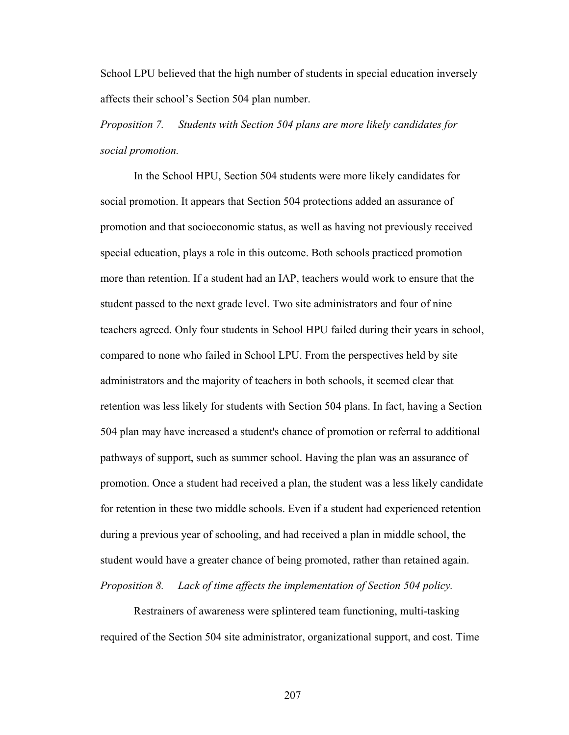School LPU believed that the high number of students in special education inversely affects their school's Section 504 plan number.

*Proposition 7. Students with Section 504 plans are more likely candidates for social promotion.* 

 In the School HPU, Section 504 students were more likely candidates for social promotion. It appears that Section 504 protections added an assurance of promotion and that socioeconomic status, as well as having not previously received special education, plays a role in this outcome. Both schools practiced promotion more than retention. If a student had an IAP, teachers would work to ensure that the student passed to the next grade level. Two site administrators and four of nine teachers agreed. Only four students in School HPU failed during their years in school, compared to none who failed in School LPU. From the perspectives held by site administrators and the majority of teachers in both schools, it seemed clear that retention was less likely for students with Section 504 plans. In fact, having a Section 504 plan may have increased a student's chance of promotion or referral to additional pathways of support, such as summer school. Having the plan was an assurance of promotion. Once a student had received a plan, the student was a less likely candidate for retention in these two middle schools. Even if a student had experienced retention during a previous year of schooling, and had received a plan in middle school, the student would have a greater chance of being promoted, rather than retained again. *Proposition 8. Lack of time affects the implementation of Section 504 policy.* 

 Restrainers of awareness were splintered team functioning, multi-tasking required of the Section 504 site administrator, organizational support, and cost. Time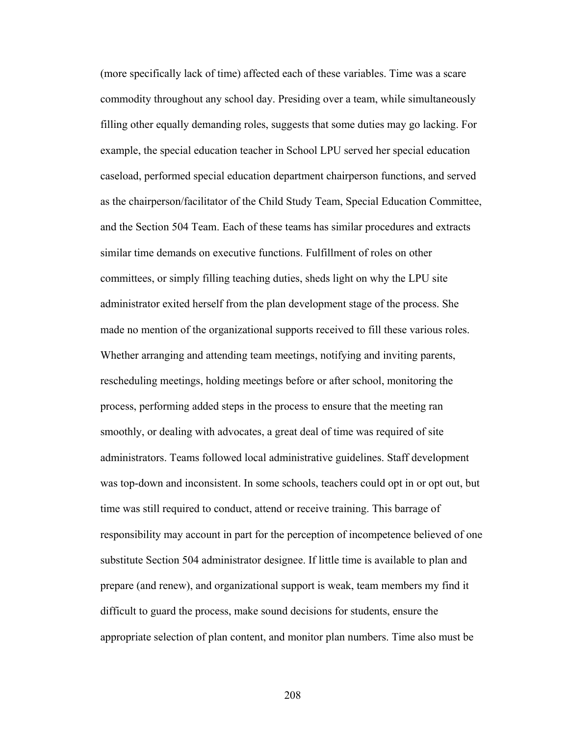(more specifically lack of time) affected each of these variables. Time was a scare commodity throughout any school day. Presiding over a team, while simultaneously filling other equally demanding roles, suggests that some duties may go lacking. For example, the special education teacher in School LPU served her special education caseload, performed special education department chairperson functions, and served as the chairperson/facilitator of the Child Study Team, Special Education Committee, and the Section 504 Team. Each of these teams has similar procedures and extracts similar time demands on executive functions. Fulfillment of roles on other committees, or simply filling teaching duties, sheds light on why the LPU site administrator exited herself from the plan development stage of the process. She made no mention of the organizational supports received to fill these various roles. Whether arranging and attending team meetings, notifying and inviting parents, rescheduling meetings, holding meetings before or after school, monitoring the process, performing added steps in the process to ensure that the meeting ran smoothly, or dealing with advocates, a great deal of time was required of site administrators. Teams followed local administrative guidelines. Staff development was top-down and inconsistent. In some schools, teachers could opt in or opt out, but time was still required to conduct, attend or receive training. This barrage of responsibility may account in part for the perception of incompetence believed of one substitute Section 504 administrator designee. If little time is available to plan and prepare (and renew), and organizational support is weak, team members my find it difficult to guard the process, make sound decisions for students, ensure the appropriate selection of plan content, and monitor plan numbers. Time also must be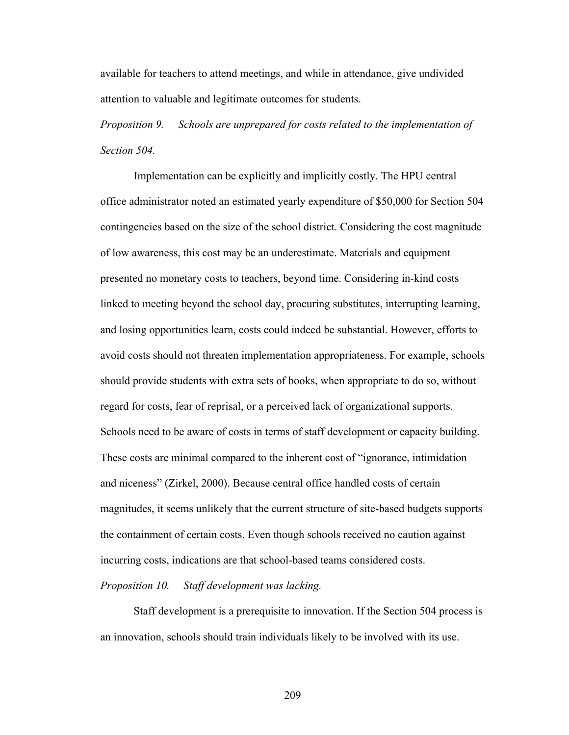available for teachers to attend meetings, and while in attendance, give undivided attention to valuable and legitimate outcomes for students.

*Proposition 9. Schools are unprepared for costs related to the implementation of Section 504.* 

 Implementation can be explicitly and implicitly costly. The HPU central office administrator noted an estimated yearly expenditure of \$50,000 for Section 504 contingencies based on the size of the school district. Considering the cost magnitude of low awareness, this cost may be an underestimate. Materials and equipment presented no monetary costs to teachers, beyond time. Considering in-kind costs linked to meeting beyond the school day, procuring substitutes, interrupting learning, and losing opportunities learn, costs could indeed be substantial. However, efforts to avoid costs should not threaten implementation appropriateness. For example, schools should provide students with extra sets of books, when appropriate to do so, without regard for costs, fear of reprisal, or a perceived lack of organizational supports. Schools need to be aware of costs in terms of staff development or capacity building. These costs are minimal compared to the inherent cost of "ignorance, intimidation and niceness" (Zirkel, 2000). Because central office handled costs of certain magnitudes, it seems unlikely that the current structure of site-based budgets supports the containment of certain costs. Even though schools received no caution against incurring costs, indications are that school-based teams considered costs.

#### *Proposition 10. Staff development was lacking.*

 Staff development is a prerequisite to innovation. If the Section 504 process is an innovation, schools should train individuals likely to be involved with its use.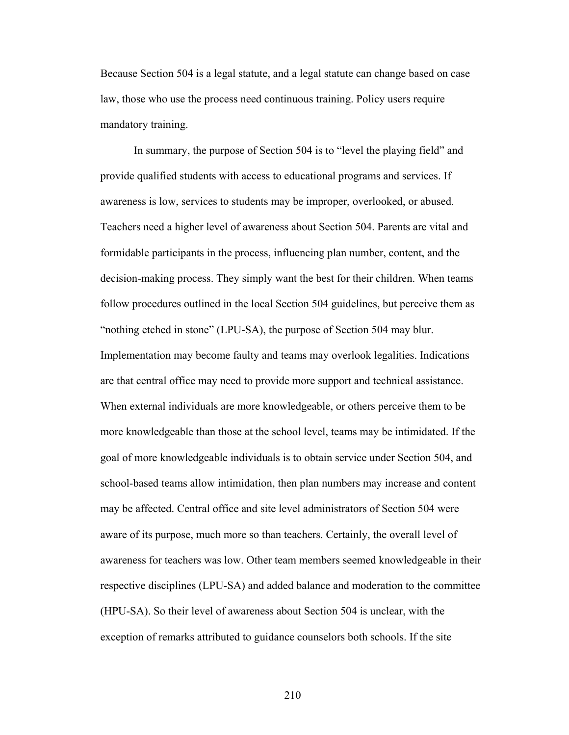Because Section 504 is a legal statute, and a legal statute can change based on case law, those who use the process need continuous training. Policy users require mandatory training.

 In summary, the purpose of Section 504 is to "level the playing field" and provide qualified students with access to educational programs and services. If awareness is low, services to students may be improper, overlooked, or abused. Teachers need a higher level of awareness about Section 504. Parents are vital and formidable participants in the process, influencing plan number, content, and the decision-making process. They simply want the best for their children. When teams follow procedures outlined in the local Section 504 guidelines, but perceive them as "nothing etched in stone" (LPU-SA), the purpose of Section 504 may blur. Implementation may become faulty and teams may overlook legalities. Indications are that central office may need to provide more support and technical assistance. When external individuals are more knowledgeable, or others perceive them to be more knowledgeable than those at the school level, teams may be intimidated. If the goal of more knowledgeable individuals is to obtain service under Section 504, and school-based teams allow intimidation, then plan numbers may increase and content may be affected. Central office and site level administrators of Section 504 were aware of its purpose, much more so than teachers. Certainly, the overall level of awareness for teachers was low. Other team members seemed knowledgeable in their respective disciplines (LPU-SA) and added balance and moderation to the committee (HPU-SA). So their level of awareness about Section 504 is unclear, with the exception of remarks attributed to guidance counselors both schools. If the site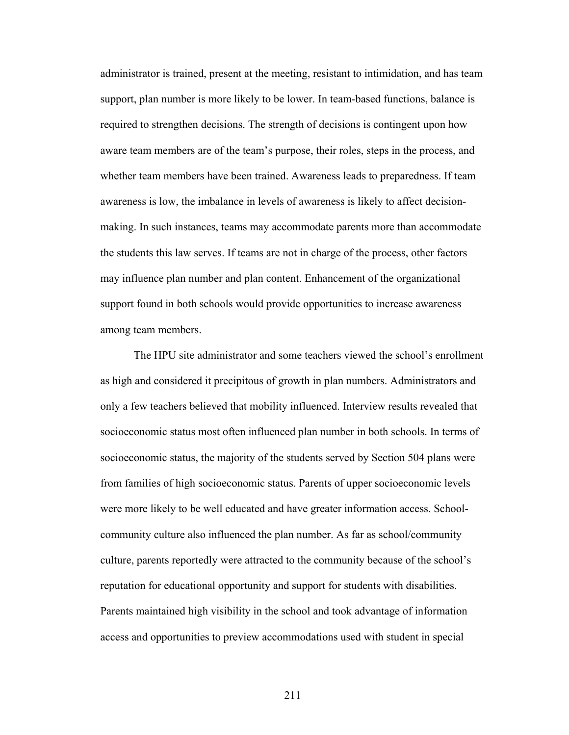administrator is trained, present at the meeting, resistant to intimidation, and has team support, plan number is more likely to be lower. In team-based functions, balance is required to strengthen decisions. The strength of decisions is contingent upon how aware team members are of the team's purpose, their roles, steps in the process, and whether team members have been trained. Awareness leads to preparedness. If team awareness is low, the imbalance in levels of awareness is likely to affect decisionmaking. In such instances, teams may accommodate parents more than accommodate the students this law serves. If teams are not in charge of the process, other factors may influence plan number and plan content. Enhancement of the organizational support found in both schools would provide opportunities to increase awareness among team members.

 The HPU site administrator and some teachers viewed the school's enrollment as high and considered it precipitous of growth in plan numbers. Administrators and only a few teachers believed that mobility influenced. Interview results revealed that socioeconomic status most often influenced plan number in both schools. In terms of socioeconomic status, the majority of the students served by Section 504 plans were from families of high socioeconomic status. Parents of upper socioeconomic levels were more likely to be well educated and have greater information access. Schoolcommunity culture also influenced the plan number. As far as school/community culture, parents reportedly were attracted to the community because of the school's reputation for educational opportunity and support for students with disabilities. Parents maintained high visibility in the school and took advantage of information access and opportunities to preview accommodations used with student in special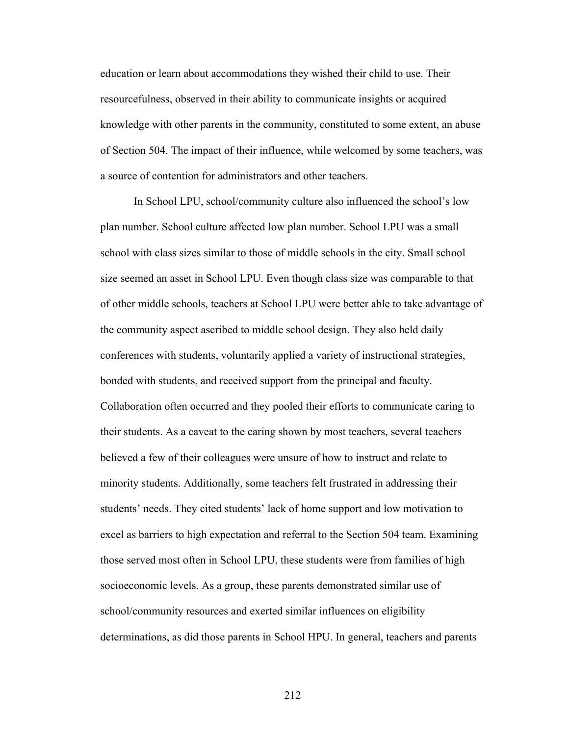education or learn about accommodations they wished their child to use. Their resourcefulness, observed in their ability to communicate insights or acquired knowledge with other parents in the community, constituted to some extent, an abuse of Section 504. The impact of their influence, while welcomed by some teachers, was a source of contention for administrators and other teachers.

 In School LPU, school/community culture also influenced the school's low plan number. School culture affected low plan number. School LPU was a small school with class sizes similar to those of middle schools in the city. Small school size seemed an asset in School LPU. Even though class size was comparable to that of other middle schools, teachers at School LPU were better able to take advantage of the community aspect ascribed to middle school design. They also held daily conferences with students, voluntarily applied a variety of instructional strategies, bonded with students, and received support from the principal and faculty. Collaboration often occurred and they pooled their efforts to communicate caring to their students. As a caveat to the caring shown by most teachers, several teachers believed a few of their colleagues were unsure of how to instruct and relate to minority students. Additionally, some teachers felt frustrated in addressing their students' needs. They cited students' lack of home support and low motivation to excel as barriers to high expectation and referral to the Section 504 team. Examining those served most often in School LPU, these students were from families of high socioeconomic levels. As a group, these parents demonstrated similar use of school/community resources and exerted similar influences on eligibility determinations, as did those parents in School HPU. In general, teachers and parents